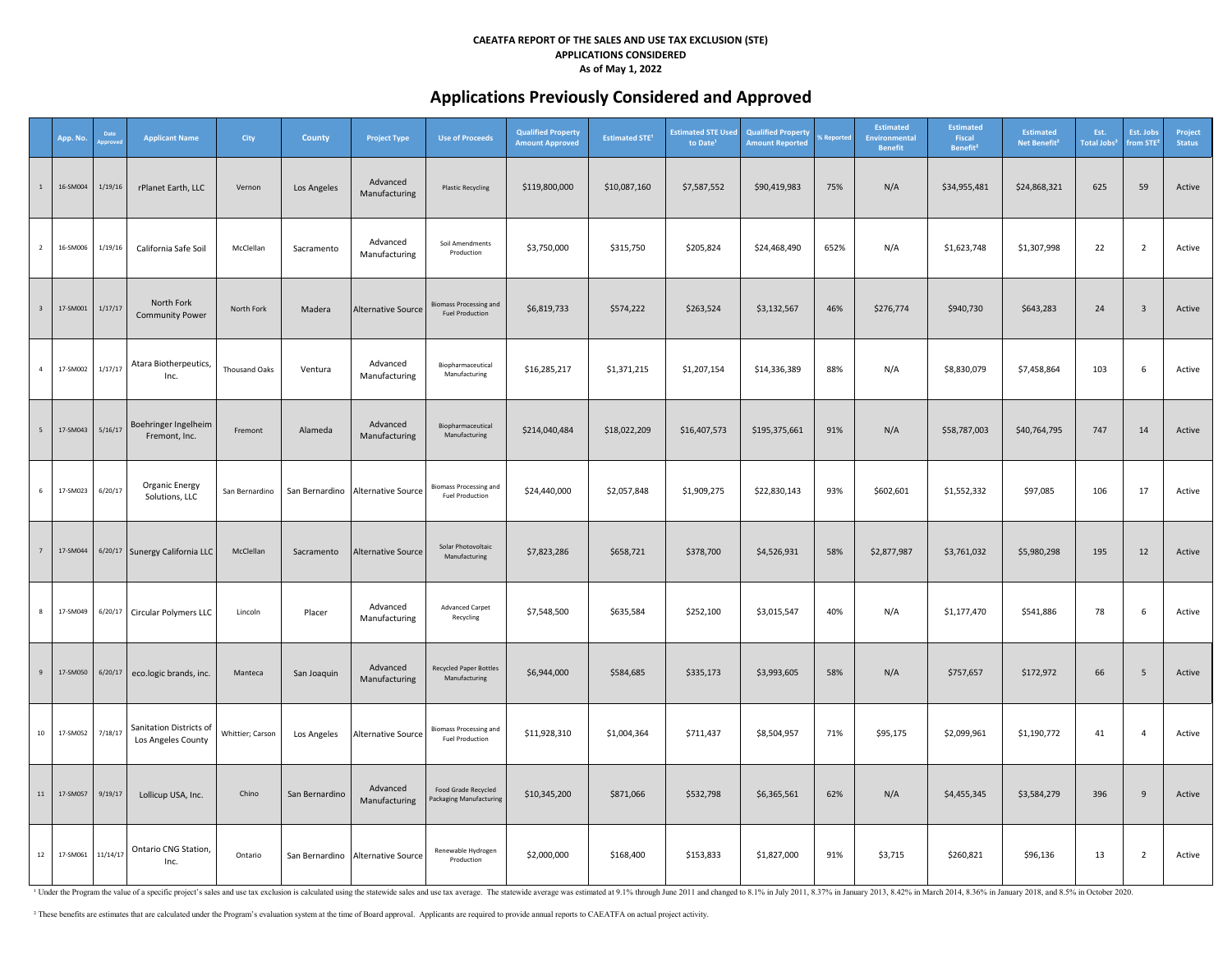# **Applications Previously Considered and Approved**

|                          | App. No. | Date     | <b>Applicant Name</b>                         | City                 | County         | <b>Project Type</b>                 | <b>Use of Proceeds</b>                                  | <b>Qualified Property</b><br><b>Amount Approved</b> | <b>Estimated STE<sup>1</sup></b> | <b>Estimated STE Used</b><br>to Date <sup>1</sup> | <b>Qualified Property</b><br><b>Amount Reported</b> | <b>6 Reporte</b> | Estimated<br>Environmental<br><b>Benefit</b> | <b>Estimated</b><br>Fiscal<br>Benefit <sup>2</sup> | <b>Estimated</b><br>Net Benefit <sup>2</sup> | Est.<br>Total Jobs <sup>2</sup> | Est. Jobs<br>from STE   | Project<br><b>Status</b> |
|--------------------------|----------|----------|-----------------------------------------------|----------------------|----------------|-------------------------------------|---------------------------------------------------------|-----------------------------------------------------|----------------------------------|---------------------------------------------------|-----------------------------------------------------|------------------|----------------------------------------------|----------------------------------------------------|----------------------------------------------|---------------------------------|-------------------------|--------------------------|
| $\overline{1}$           | 16-SM004 | 1/19/16  | rPlanet Earth, LLC                            | Vernon               | Los Angeles    | Advanced<br>Manufacturing           | <b>Plastic Recycling</b>                                | \$119,800,000                                       | \$10,087,160                     | \$7,587,552                                       | \$90,419,983                                        | 75%              | N/A                                          | \$34,955,481                                       | \$24,868,321                                 | 625                             | 59                      | Active                   |
| $\overline{2}$           | 16-SM006 | 1/19/16  | California Safe Soil                          | McClellan            | Sacramento     | Advanced<br>Manufacturing           | Soil Amendments<br>Production                           | \$3,750,000                                         | \$315,750                        | \$205,824                                         | \$24,468,490                                        | 652%             | N/A                                          | \$1,623,748                                        | \$1,307,998                                  | 22                              | $\overline{2}$          | Active                   |
| $\overline{\phantom{a}}$ | 17-SM001 | 1/17/17  | North Fork<br><b>Community Power</b>          | North Fork           | Madera         | <b>Alternative Source</b>           | <b>Biomass Processing and</b><br><b>Fuel Production</b> | \$6,819,733                                         | \$574,222                        | \$263,524                                         | \$3,132,567                                         | 46%              | \$276,774                                    | \$940,730                                          | \$643,283                                    | 24                              | $\overline{\mathbf{3}}$ | Active                   |
| $\overline{4}$           | 17-SM002 | 1/17/17  | Atara Biotherpeutics,<br>Inc.                 | <b>Thousand Oaks</b> | Ventura        | Advanced<br>Manufacturing           | Biopharmaceutical<br>Manufacturing                      | \$16,285,217                                        | \$1,371,215                      | \$1,207,154                                       | \$14,336,389                                        | 88%              | N/A                                          | \$8,830,079                                        | \$7,458,864                                  | 103                             | 6                       | Active                   |
| 5                        | 17-SM043 | 5/16/17  | Boehringer Ingelheim<br>Fremont, Inc.         | Fremont              | Alameda        | Advanced<br>Manufacturing           | Biopharmaceutical<br>Manufacturing                      | \$214,040,484                                       | \$18,022,209                     | \$16,407,573                                      | \$195,375,661                                       | 91%              | N/A                                          | \$58,787,003                                       | \$40,764,795                                 | 747                             | 14                      | Active                   |
| $6\overline{6}$          | 17-SM023 | 6/20/17  | Organic Energy<br>Solutions, LLC              | San Bernardino       |                | San Bernardino   Alternative Source | <b>Biomass Processing and</b><br><b>Fuel Production</b> | \$24,440,000                                        | \$2,057,848                      | \$1,909,275                                       | \$22,830,143                                        | 93%              | \$602,601                                    | \$1,552,332                                        | \$97,085                                     | 106                             | 17                      | Active                   |
| $\overline{7}$           | 17-SM044 |          | 6/20/17 Sunergy California LLC                | McClellan            | Sacramento     | <b>Alternative Source</b>           | Solar Photovoltaic<br>Manufacturing                     | \$7,823,286                                         | \$658,721                        | \$378,700                                         | \$4,526,931                                         | 58%              | \$2,877,987                                  | \$3,761,032                                        | \$5,980,298                                  | 195                             | 12                      | Active                   |
| 8                        | 17-SM049 | 6/20/17  | Circular Polymers LLC                         | Lincoln              | Placer         | Advanced<br>Manufacturing           | <b>Advanced Carpet</b><br>Recycling                     | \$7,548,500                                         | \$635,584                        | \$252,100                                         | \$3,015,547                                         | 40%              | N/A                                          | \$1,177,470                                        | \$541,886                                    | 78                              | 6                       | Active                   |
| 9                        | 17-SM050 | 6/20/17  | eco.logic brands, inc.                        | Manteca              | San Joaquin    | Advanced<br>Manufacturing           | Recycled Paper Bottles<br>Manufacturing                 | \$6,944,000                                         | \$584,685                        | \$335,173                                         | \$3,993,605                                         | 58%              | N/A                                          | \$757,657                                          | \$172,972                                    | 66                              | 5                       | Active                   |
| 10                       | 17-SM052 | 7/18/17  | Sanitation Districts of<br>Los Angeles County | Whittier; Carson     | Los Angeles    | <b>Alternative Source</b>           | <b>Biomass Processing and</b><br><b>Fuel Production</b> | \$11,928,310                                        | \$1,004,364                      | \$711,437                                         | \$8,504,957                                         | 71%              | \$95,175                                     | \$2,099,961                                        | \$1,190,772                                  | 41                              | $\overline{4}$          | Active                   |
| 11                       | 17-SM057 | 9/19/17  | Lollicup USA, Inc.                            | Chino                | San Bernardino | Advanced<br>Manufacturing           | Food Grade Recycled<br>Packaging Manufacturing          | \$10,345,200                                        | \$871,066                        | \$532,798                                         | \$6,365,561                                         | 62%              | N/A                                          | \$4,455,345                                        | \$3,584,279                                  | 396                             | 9                       | Active                   |
| 12                       | 17-SM061 | 11/14/17 | Ontario CNG Station,<br>Inc.                  | Ontario              |                | San Bernardino Alternative Source   | Renewable Hydrogen<br>Production                        | \$2,000,000                                         | \$168,400                        | \$153,833                                         | \$1,827,000                                         | 91%              | \$3,715                                      | \$260,821                                          | \$96,136                                     | 13                              | $\overline{2}$          | Active                   |

1 Under the Program the value of a specific project's sales and use tax exclusion is calculated using the statewide sales and use tax average. The statewide average was estimated at 9.1% through June 2011 and changed to 8.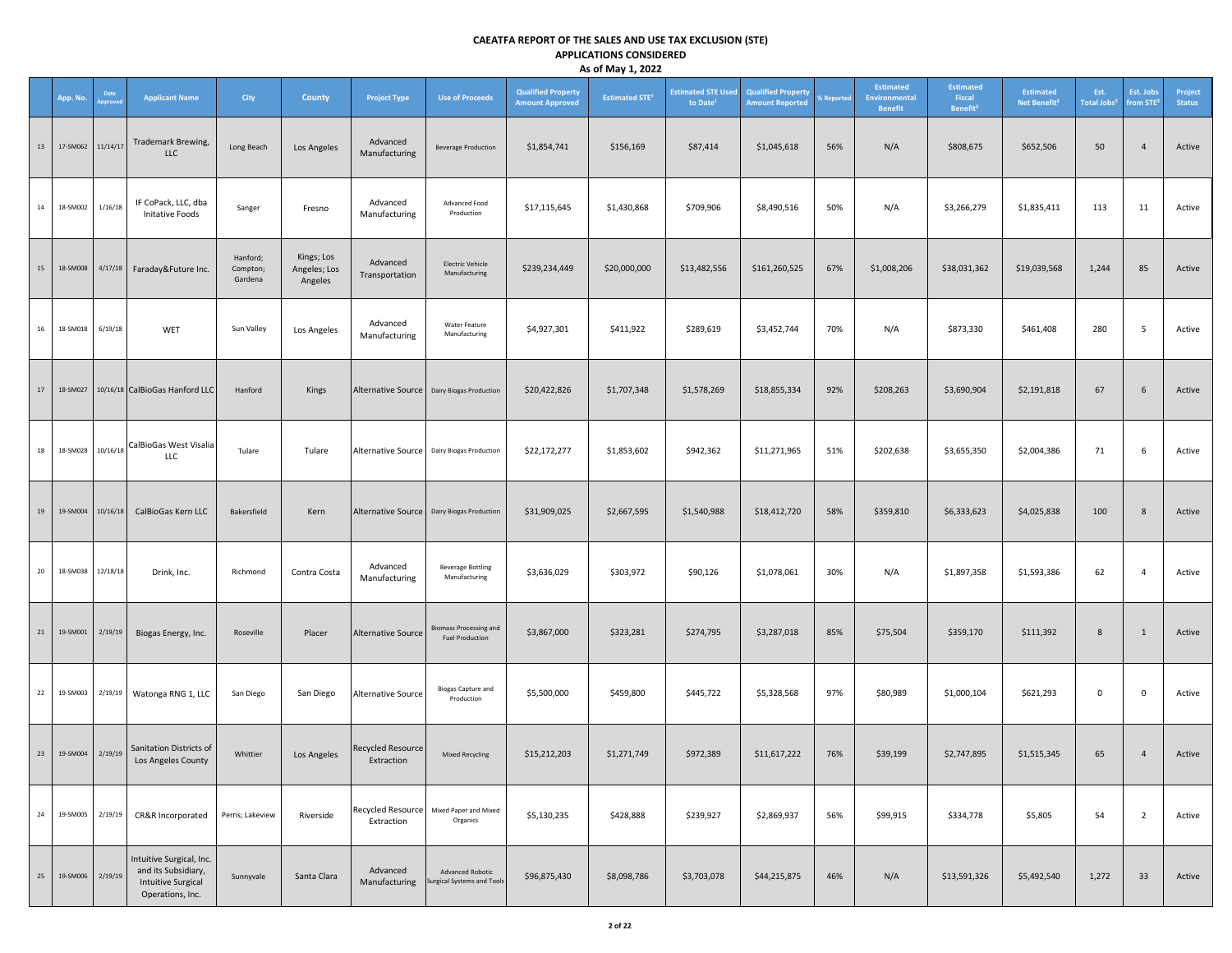|    |             |                       |                                                                                                  |                                 |                                       |                                 |                                                         |                                                     | . .                              |                                                   |                                                     |                   |                                                            |                                                    |                                              |                                 |                                   |                          |
|----|-------------|-----------------------|--------------------------------------------------------------------------------------------------|---------------------------------|---------------------------------------|---------------------------------|---------------------------------------------------------|-----------------------------------------------------|----------------------------------|---------------------------------------------------|-----------------------------------------------------|-------------------|------------------------------------------------------------|----------------------------------------------------|----------------------------------------------|---------------------------------|-----------------------------------|--------------------------|
|    | App. No.    | Date<br><b>pprove</b> | <b>Applicant Name</b>                                                                            | <b>City</b>                     | <b>County</b>                         | <b>Project Type</b>             | <b>Use of Proceeds</b>                                  | <b>Qualified Property</b><br><b>Amount Approved</b> | <b>Estimated STE<sup>1</sup></b> | <b>Estimated STE Used</b><br>to Date <sup>1</sup> | <b>Qualified Property</b><br><b>Amount Reported</b> | <b>6 Reported</b> | <b>Estimated</b><br><b>Environmental</b><br><b>Benefit</b> | <b>Estimated</b><br>Fiscal<br>Benefit <sup>2</sup> | <b>Estimated</b><br>Net Benefit <sup>2</sup> | Est.<br>Total Jobs <sup>2</sup> | Est. Jobs<br>rom STE <sup>2</sup> | Project<br><b>Status</b> |
| 13 | 17-SM062    | 11/14/17              | Trademark Brewing,<br><b>LLC</b>                                                                 | Long Beach                      | Los Angeles                           | Advanced<br>Manufacturing       | <b>Beverage Production</b>                              | \$1,854,741                                         | \$156,169                        | \$87,414                                          | \$1,045,618                                         | 56%               | N/A                                                        | \$808,675                                          | \$652,506                                    | 50                              | $\overline{4}$                    | Active                   |
| 14 | 18-SM002    | 1/16/18               | IF CoPack, LLC, dba<br><b>Initative Foods</b>                                                    | Sanger                          | Fresno                                | Advanced<br>Manufacturing       | Advanced Food<br>Production                             | \$17,115,645                                        | \$1,430,868                      | \$709,906                                         | \$8,490,516                                         | 50%               | N/A                                                        | \$3,266,279                                        | \$1,835,411                                  | 113                             | 11                                | Active                   |
| 15 | 18-SM008    | 4/17/18               | Faraday&Future Inc.                                                                              | Hanford;<br>Compton;<br>Gardena | Kings; Los<br>Angeles; Los<br>Angeles | Advanced<br>Transportation      | <b>Electric Vehicle</b><br>Manufacturing                | \$239,234,449                                       | \$20,000,000                     | \$13,482,556                                      | \$161,260,525                                       | 67%               | \$1,008,206                                                | \$38,031,362                                       | \$19,039,568                                 | 1,244                           | 85                                | Active                   |
| 16 | 18-SM018    | 6/19/18               | WET                                                                                              | Sun Valley                      | Los Angeles                           | Advanced<br>Manufacturing       | Water Feature<br>Manufacturing                          | \$4,927,301                                         | \$411,922                        | \$289,619                                         | \$3,452,744                                         | 70%               | N/A                                                        | \$873,330                                          | \$461,408                                    | 280                             | $5\phantom{.0}$                   | Active                   |
| 17 | 18-SM027    |                       | 10/16/18 CalBioGas Hanford LLC                                                                   | Hanford                         | Kings                                 |                                 | Alternative Source   Dairy Biogas Production            | \$20,422,826                                        | \$1,707,348                      | \$1,578,269                                       | \$18,855,334                                        | 92%               | \$208,263                                                  | \$3,690,904                                        | \$2,191,818                                  | 67                              | 6                                 | Active                   |
| 18 | 18-SM028    | 10/16/18              | CalBioGas West Visalia<br><b>LLC</b>                                                             | Tulare                          | Tulare                                |                                 | Alternative Source   Dairy Biogas Production            | \$22,172,277                                        | \$1,853,602                      | \$942,362                                         | \$11,271,965                                        | 51%               | \$202,638                                                  | \$3,655,350                                        | \$2,004,386                                  | 71                              | 6                                 | Active                   |
| 19 | 19-SM004    | 10/16/18              | CalBioGas Kern LLC                                                                               | Bakersfield                     | Kern                                  |                                 | Alternative Source   Dairy Biogas Production            | \$31,909,025                                        | \$2,667,595                      | \$1,540,988                                       | \$18,412,720                                        | 58%               | \$359,810                                                  | \$6,333,623                                        | \$4,025,838                                  | 100                             | 8                                 | Active                   |
| 20 | 18-SM038    | 12/18/18              | Drink, Inc.                                                                                      | Richmond                        | Contra Costa                          | Advanced<br>Manufacturing       | <b>Beverage Bottling</b><br>Manufacturing               | \$3,636,029                                         | \$303,972                        | \$90,126                                          | \$1,078,061                                         | 30%               | N/A                                                        | \$1,897,358                                        | \$1,593,386                                  | 62                              | $\overline{4}$                    | Active                   |
| 21 | 19-SM001    | 2/19/19               | Biogas Energy, Inc.                                                                              | Roseville                       | Placer                                | <b>Alternative Source</b>       | <b>Biomass Processing and</b><br><b>Fuel Production</b> | \$3,867,000                                         | \$323,281                        | \$274,795                                         | \$3,287,018                                         | 85%               | \$75,504                                                   | \$359,170                                          | \$111,392                                    | 8                               | 1                                 | Active                   |
| 22 | 19-SM003    | 2/19/19               | Watonga RNG 1, LLC                                                                               | San Diego                       | San Diego                             | <b>Alternative Source</b>       | <b>Biogas Capture and</b><br>Production                 | \$5,500,000                                         | \$459,800                        | \$445,722                                         | \$5,328,568                                         | 97%               | \$80,989                                                   | \$1,000,104                                        | \$621,293                                    | $\mathbf 0$                     | $\mathbf 0$                       | Active                   |
|    | 23 19-SM004 | 2/19/19               | Sanitation Districts of<br>Los Angeles County                                                    | Whittier                        | Los Angeles                           | Recycled Resource<br>Extraction | Mixed Recycling                                         | \$15,212,203                                        | \$1,271,749                      | \$972,389                                         | \$11,617,222                                        | 76%               | \$39,199                                                   | \$2,747,895                                        | \$1,515,345                                  | 65                              | $\overline{4}$                    | Active                   |
| 24 | 19-SM005    | 2/19/19               | CR&R Incorporated                                                                                | Perris; Lakeview                | Riverside                             | Extraction                      | Recycled Resource   Mixed Paper and Mixed<br>Organics   | \$5,130,235                                         | \$428,888                        | \$239,927                                         | \$2,869,937                                         | 56%               | \$99,915                                                   | \$334,778                                          | \$5,805                                      | 54                              | $\overline{2}$                    | Active                   |
| 25 | 19-SM006    | 2/19/19               | Intuitive Surgical, Inc.<br>and its Subsidiary,<br><b>Intuitive Surgical</b><br>Operations, Inc. | Sunnyvale                       | Santa Clara                           | Advanced<br>Manufacturing       | Advanced Robotic<br><b>Surgical Systems and Tools</b>   | \$96,875,430                                        | \$8,098,786                      | \$3,703,078                                       | \$44,215,875                                        | 46%               | N/A                                                        | \$13,591,326                                       | \$5,492,540                                  | 1,272                           | 33                                | Active                   |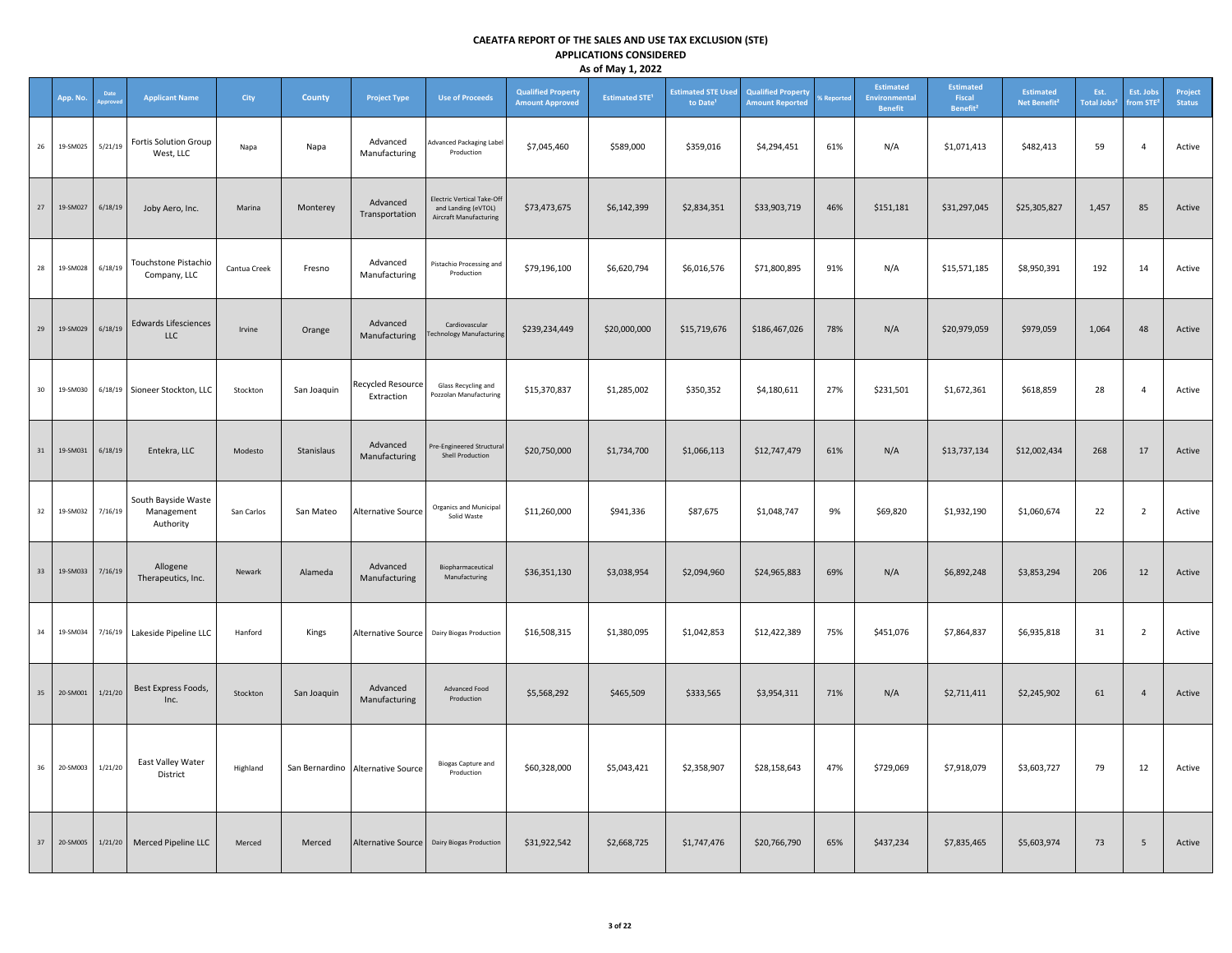|    | App. No. | Date    | <b>Applicant Name</b>                          | City         | County      | <b>Project Type</b>                    | <b>Use of Proceeds</b>                                                             | <b>Qualified Property</b><br><b>Amount Approved</b> | <b>Estimated STE<sup>1</sup></b> | <b>Estimated STE Used</b><br>to Date <sup>1</sup> | <b>Qualified Property</b><br><b>Amount Reported</b> | <b>6 Reported</b> | Estimated<br>Environmental<br><b>Benefit</b> | <b>Estimated</b><br>Fiscal<br>Benefit <sup>2</sup> | <b>Estimated</b><br>Net Benefit <sup>2</sup> | Est.<br>Total Jobs <sup>2</sup> | Est. Jobs<br>from STE <sup>3</sup> | Project<br><b>Status</b> |
|----|----------|---------|------------------------------------------------|--------------|-------------|----------------------------------------|------------------------------------------------------------------------------------|-----------------------------------------------------|----------------------------------|---------------------------------------------------|-----------------------------------------------------|-------------------|----------------------------------------------|----------------------------------------------------|----------------------------------------------|---------------------------------|------------------------------------|--------------------------|
| 26 | 19-SM025 | 5/21/19 | <b>Fortis Solution Group</b><br>West, LLC      | Napa         | Napa        | Advanced<br>Manufacturing              | Advanced Packaging Label<br>Production                                             | \$7,045,460                                         | \$589,000                        | \$359,016                                         | \$4,294,451                                         | 61%               | N/A                                          | \$1,071,413                                        | \$482,413                                    | 59                              | $\overline{4}$                     | Active                   |
| 27 | 19-SM027 | 6/18/19 | Joby Aero, Inc.                                | Marina       | Monterey    | Advanced<br>Transportation             | <b>Electric Vertical Take-Off</b><br>and Landing (eVTOL)<br>Aircraft Manufacturing | \$73,473,675                                        | \$6,142,399                      | \$2,834,351                                       | \$33,903,719                                        | 46%               | \$151,181                                    | \$31,297,045                                       | \$25,305,827                                 | 1,457                           | 85                                 | Active                   |
| 28 | 19-SM028 | 6/18/19 | Touchstone Pistachio<br>Company, LLC           | Cantua Creek | Fresno      | Advanced<br>Manufacturing              | Pistachio Processing and<br>Production                                             | \$79,196,100                                        | \$6,620,794                      | \$6,016,576                                       | \$71,800,895                                        | 91%               | N/A                                          | \$15,571,185                                       | \$8,950,391                                  | 192                             | 14                                 | Active                   |
| 29 | 19-SM029 | 6/18/19 | <b>Edwards Lifesciences</b><br><b>LLC</b>      | Irvine       | Orange      | Advanced<br>Manufacturing              | Cardiovascular<br>echnology Manufacturing                                          | \$239,234,449                                       | \$20,000,000                     | \$15,719,676                                      | \$186,467,026                                       | 78%               | N/A                                          | \$20,979,059                                       | \$979,059                                    | 1,064                           | 48                                 | Active                   |
| 30 | 19-SM030 |         | 6/18/19 Sioneer Stockton, LLC                  | Stockton     | San Joaquin | <b>Recycled Resource</b><br>Extraction | Glass Recycling and<br>Pozzolan Manufacturing                                      | \$15,370,837                                        | \$1,285,002                      | \$350,352                                         | \$4,180,611                                         | 27%               | \$231,501                                    | \$1,672,361                                        | \$618,859                                    | 28                              | $\overline{4}$                     | Active                   |
| 31 | 19-SM031 | 6/18/19 | Entekra, LLC                                   | Modesto      | Stanislaus  | Advanced<br>Manufacturing              | re-Engineered Structural<br>Shell Production                                       | \$20,750,000                                        | \$1,734,700                      | \$1,066,113                                       | \$12,747,479                                        | 61%               | N/A                                          | \$13,737,134                                       | \$12,002,434                                 | 268                             | 17                                 | Active                   |
| 32 | 19-SM032 | 7/16/19 | South Bayside Waste<br>Management<br>Authority | San Carlos   | San Mateo   | <b>Alternative Source</b>              | Organics and Municipal<br>Solid Waste                                              | \$11,260,000                                        | \$941,336                        | \$87,675                                          | \$1,048,747                                         | 9%                | \$69,820                                     | \$1,932,190                                        | \$1,060,674                                  | 22                              | $\overline{2}$                     | Active                   |
| 33 | 19-SM033 | 7/16/19 | Allogene<br>Therapeutics, Inc.                 | Newark       | Alameda     | Advanced<br>Manufacturing              | Biopharmaceutical<br>Manufacturing                                                 | \$36,351,130                                        | \$3,038,954                      | \$2,094,960                                       | \$24,965,883                                        | 69%               | N/A                                          | \$6,892,248                                        | \$3,853,294                                  | 206                             | 12                                 | Active                   |
| 34 | 19-SM034 | 7/16/19 | Lakeside Pipeline LLC                          | Hanford      | Kings       | Alternative Source                     | Dairy Biogas Production                                                            | \$16,508,315                                        | \$1,380,095                      | \$1,042,853                                       | \$12,422,389                                        | 75%               | \$451,076                                    | \$7,864,837                                        | \$6,935,818                                  | 31                              | $\overline{2}$                     | Active                   |
| 35 | 20-SM001 | 1/21/20 | Best Express Foods,<br>Inc.                    | Stockton     | San Joaquin | Advanced<br>Manufacturing              | Advanced Food<br>Production                                                        | \$5,568,292                                         | \$465,509                        | \$333,565                                         | \$3,954,311                                         | 71%               | N/A                                          | \$2,711,411                                        | \$2,245,902                                  | 61                              | $\overline{4}$                     | Active                   |
| 36 | 20-SM003 | 1/21/20 | East Valley Water<br>District                  | Highland     |             | San Bernardino Alternative Source      | <b>Biogas Capture and</b><br>Production                                            | \$60,328,000                                        | \$5,043,421                      | \$2,358,907                                       | \$28,158,643                                        | 47%               | \$729,069                                    | \$7,918,079                                        | \$3,603,727                                  | 79                              | 12                                 | Active                   |
| 37 | 20-SM005 | 1/21/20 | Merced Pipeline LLC                            | Merced       | Merced      | Alternative Source                     | Dairy Biogas Production                                                            | \$31,922,542                                        | \$2,668,725                      | \$1,747,476                                       | \$20,766,790                                        | 65%               | \$437,234                                    | \$7,835,465                                        | \$5,603,974                                  | 73                              | 5                                  | Active                   |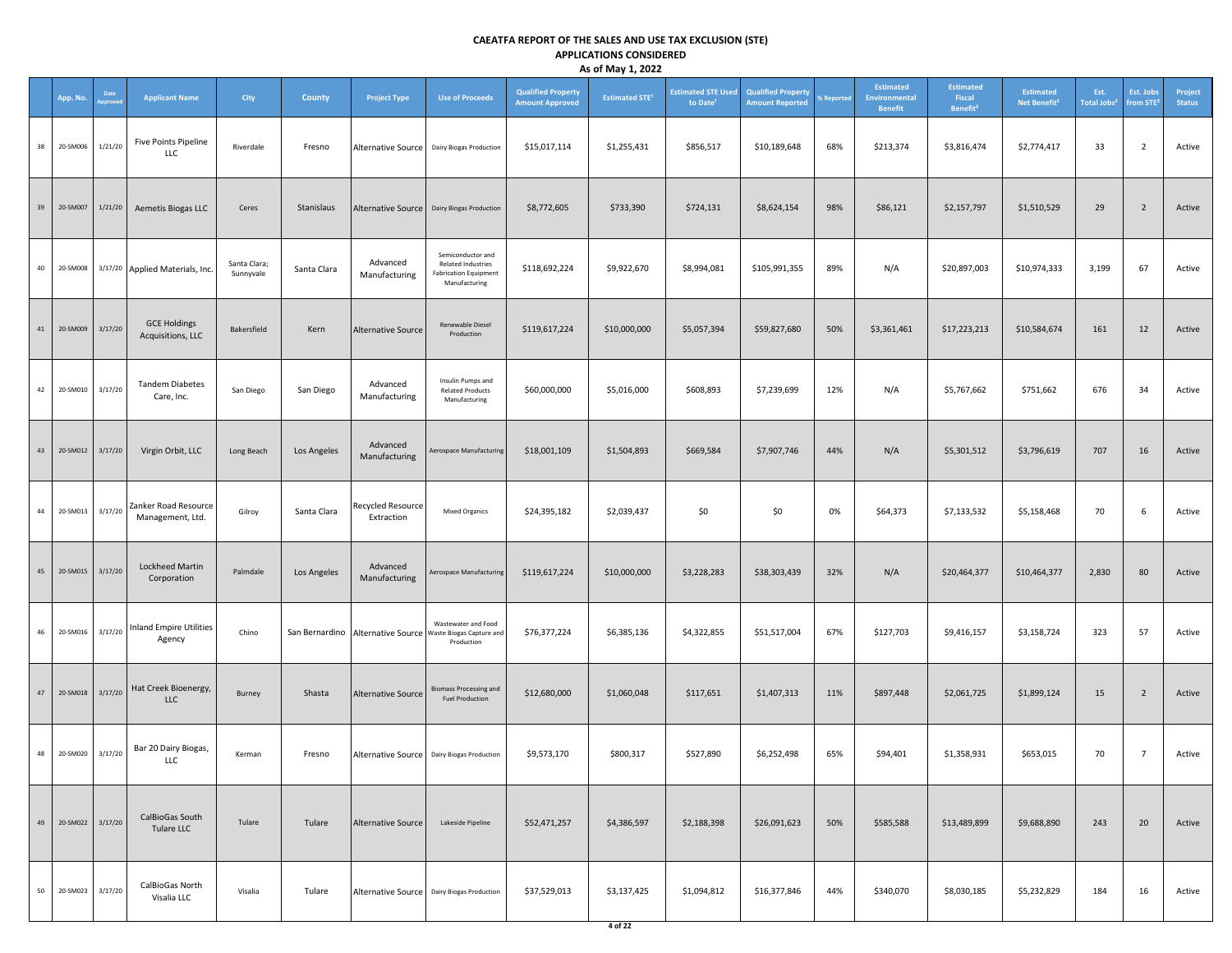|    |          |                |                                          |                           |             |                                        |                                                                                                     |                                                     | ,                                |                                                   |                                                     |            |                                                     |                                                    |                                              |                                       |                                    |                          |
|----|----------|----------------|------------------------------------------|---------------------------|-------------|----------------------------------------|-----------------------------------------------------------------------------------------------------|-----------------------------------------------------|----------------------------------|---------------------------------------------------|-----------------------------------------------------|------------|-----------------------------------------------------|----------------------------------------------------|----------------------------------------------|---------------------------------------|------------------------------------|--------------------------|
|    | App. No. | Date<br>pprove | <b>Applicant Name</b>                    | City                      | County      | <b>Project Type</b>                    | <b>Use of Proceeds</b>                                                                              | <b>Qualified Property</b><br><b>Amount Approved</b> | <b>Estimated STE<sup>1</sup></b> | <b>Estimated STE Used</b><br>to Date <sup>1</sup> | <b>Qualified Property</b><br><b>Amount Reported</b> | % Reported | <b>Estimated</b><br>Environmental<br><b>Benefit</b> | <b>Estimated</b><br>Fiscal<br>Benefit <sup>2</sup> | <b>Estimated</b><br>Net Benefit <sup>2</sup> | Est.<br><b>Total Jobs<sup>2</sup></b> | Est. Jobs<br>from STE <sup>3</sup> | Project<br><b>Status</b> |
| 38 | 20-SM006 | 1/21/20        | Five Points Pipeline<br>LLC              | Riverdale                 | Fresno      | <b>Alternative Source</b>              | <b>Dairy Biogas Production</b>                                                                      | \$15,017,114                                        | \$1,255,431                      | \$856,517                                         | \$10,189,648                                        | 68%        | \$213,374                                           | \$3,816,474                                        | \$2,774,417                                  | 33                                    | $\overline{2}$                     | Active                   |
| 39 | 20-SM007 | 1/21/20        | Aemetis Biogas LLC                       | Ceres                     | Stanislaus  |                                        | Alternative Source   Dairy Biogas Production                                                        | \$8,772,605                                         | \$733,390                        | \$724,131                                         | \$8,624,154                                         | 98%        | \$86,121                                            | \$2,157,797                                        | \$1,510,529                                  | 29                                    | $\overline{2}$                     | Active                   |
| 40 | 20-SM008 |                | 3/17/20 Applied Materials, Inc.          | Santa Clara;<br>Sunnyvale | Santa Clara | Advanced<br>Manufacturing              | Semiconductor and<br>Related Industries<br><b>Fabrication Equipment</b><br>Manufacturing            | \$118,692,224                                       | \$9,922,670                      | \$8,994,081                                       | \$105,991,355                                       | 89%        | N/A                                                 | \$20,897,003                                       | \$10,974,333                                 | 3,199                                 | 67                                 | Active                   |
| 41 | 20-SM009 | 3/17/20        | <b>GCE Holdings</b><br>Acquisitions, LLC | Bakersfield               | Kern        | <b>Alternative Source</b>              | Renewable Diesel<br>Production                                                                      | \$119,617,224                                       | \$10,000,000                     | \$5,057,394                                       | \$59,827,680                                        | 50%        | \$3,361,461                                         | \$17,223,213                                       | \$10,584,674                                 | 161                                   | 12                                 | Active                   |
| 42 | 20-SM010 | 3/17/20        | <b>Tandem Diabetes</b><br>Care, Inc.     | San Diego                 | San Diego   | Advanced<br>Manufacturing              | Insulin Pumps and<br><b>Related Products</b><br>Manufacturing                                       | \$60,000,000                                        | \$5,016,000                      | \$608,893                                         | \$7,239,699                                         | 12%        | N/A                                                 | \$5,767,662                                        | \$751,662                                    | 676                                   | 34                                 | Active                   |
| 43 | 20-SM012 | 3/17/20        | Virgin Orbit, LLC                        | Long Beach                | Los Angeles | Advanced<br>Manufacturing              | Aerospace Manufacturing                                                                             | \$18,001,109                                        | \$1,504,893                      | \$669,584                                         | \$7,907,746                                         | 44%        | N/A                                                 | \$5,301,512                                        | \$3,796,619                                  | 707                                   | 16                                 | Active                   |
| 44 | 20-SM013 | 3/17/20        | Zanker Road Resource<br>Management, Ltd. | Gilroy                    | Santa Clara | <b>Recycled Resource</b><br>Extraction | <b>Mixed Organics</b>                                                                               | \$24,395,182                                        | \$2,039,437                      | \$0                                               | \$0                                                 | 0%         | \$64,373                                            | \$7,133,532                                        | \$5,158,468                                  | 70                                    | 6                                  | Active                   |
| 45 | 20-SM015 | 3/17/20        | Lockheed Martin<br>Corporation           | Palmdale                  | Los Angeles | Advanced<br>Manufacturing              | Aerospace Manufacturing                                                                             | \$119,617,224                                       | \$10,000,000                     | \$3,228,283                                       | \$38,303,439                                        | 32%        | N/A                                                 | \$20,464,377                                       | \$10,464,377                                 | 2,830                                 | 80                                 | Active                   |
| 46 | 20-SM016 | 3/17/20        | <b>Inland Empire Utilities</b><br>Agency | Chino                     |             |                                        | Wastewater and Food<br>San Bernardino   Alternative Source   Waste Biogas Capture and<br>Production | \$76,377,224                                        | \$6,385,136                      | \$4,322,855                                       | \$51,517,004                                        | 67%        | \$127,703                                           | \$9,416,157                                        | \$3,158,724                                  | 323                                   | 57                                 | Active                   |
| 47 | 20-SM018 | 3/17/20        | Hat Creek Bioenergy,<br><b>LLC</b>       | Burney                    | Shasta      | Alternative Source                     | <b>Biomass Processing and</b><br><b>Fuel Production</b>                                             | \$12,680,000                                        | \$1,060,048                      | \$117,651                                         | \$1,407,313                                         | 11%        | \$897,448                                           | \$2,061,725                                        | \$1,899,124                                  | 15                                    | $\overline{2}$                     | Active                   |
| 48 | 20-SM020 | 3/17/20        | Bar 20 Dairy Biogas,<br>LLC              | Kerman                    | Fresno      |                                        | Alternative Source Dairy Biogas Production                                                          | \$9,573,170                                         | \$800,317                        | \$527,890                                         | \$6,252,498                                         | 65%        | \$94,401                                            | \$1,358,931                                        | \$653,015                                    | 70                                    | $7\overline{ }$                    | Active                   |
| 49 | 20-SM022 | 3/17/20        | CalBioGas South<br>Tulare LLC            | Tulare                    | Tulare      | <b>Alternative Source</b>              | Lakeside Pipeline                                                                                   | \$52,471,257                                        | \$4,386,597                      | \$2,188,398                                       | \$26,091,623                                        | 50%        | \$585,588                                           | \$13,489,899                                       | \$9,688,890                                  | 243                                   | 20                                 | Active                   |
| 50 | 20-SM023 | 3/17/20        | CalBioGas North<br>Visalia LLC           | Visalia                   | Tulare      |                                        | Alternative Source   Dairy Biogas Production                                                        | \$37,529,013                                        | \$3,137,425                      | \$1,094,812                                       | \$16,377,846                                        | 44%        | \$340,070                                           | \$8,030,185                                        | \$5,232,829                                  | 184                                   | 16                                 | Active                   |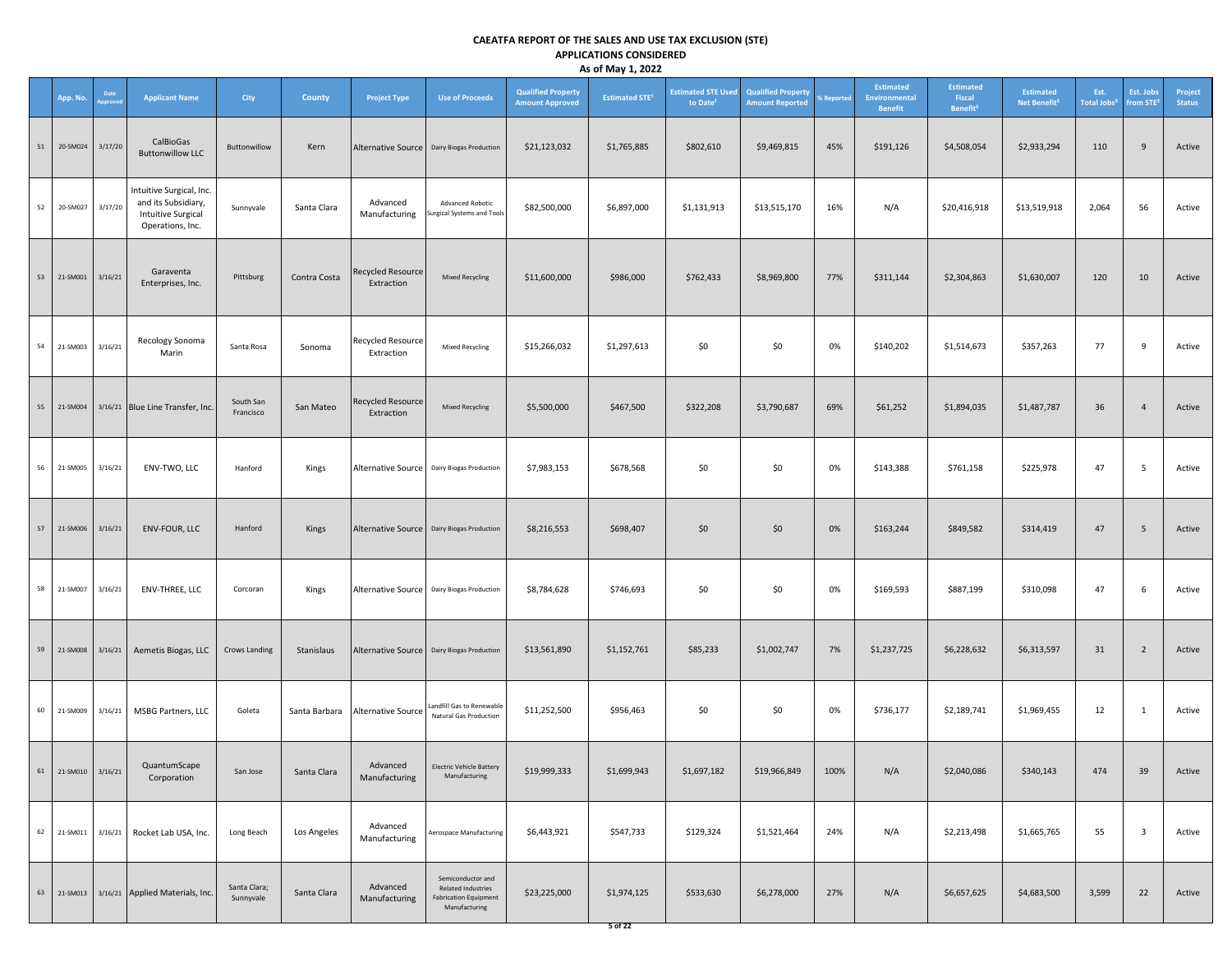|    |                     |                         |                                                                                                  |                           |                        |                                        |                                                                                          |                                                     | $\cdot$ $\cdot$                  |                                                   |                                                     |                               |                                                     |                                                    |                                              |                                 |                                    |                          |
|----|---------------------|-------------------------|--------------------------------------------------------------------------------------------------|---------------------------|------------------------|----------------------------------------|------------------------------------------------------------------------------------------|-----------------------------------------------------|----------------------------------|---------------------------------------------------|-----------------------------------------------------|-------------------------------|-----------------------------------------------------|----------------------------------------------------|----------------------------------------------|---------------------------------|------------------------------------|--------------------------|
|    | App. No.            | Date<br><b>Approved</b> | <b>Applicant Name</b>                                                                            | <b>City</b>               | <b>County</b>          | <b>Project Type</b>                    | <b>Use of Proceeds</b>                                                                   | <b>Qualified Property</b><br><b>Amount Approved</b> | <b>Estimated STE<sup>1</sup></b> | <b>Estimated STE Used</b><br>to Date <sup>1</sup> | <b>Qualified Property</b><br><b>Amount Reported</b> | <b><i><u>Keportec</u></i></b> | <b>Estimated</b><br>Environmental<br><b>Benefit</b> | <b>Estimated</b><br>Fiscal<br>Benefit <sup>2</sup> | <b>Estimated</b><br>Net Benefit <sup>2</sup> | Est.<br>Total Jobs <sup>2</sup> | Est. Jobs<br>from STE <sup>2</sup> | Project<br><b>Status</b> |
| 51 | 20-SM024            | 3/17/20                 | CalBioGas<br><b>Buttonwillow LLC</b>                                                             | Buttonwillow              | Kern                   |                                        | Alternative Source   Dairy Biogas Production                                             | \$21,123,032                                        | \$1,765,885                      | \$802,610                                         | \$9,469,815                                         | 45%                           | \$191,126                                           | \$4,508,054                                        | \$2,933,294                                  | 110                             | 9                                  | Active                   |
| 52 | 20-SM027            | 3/17/20                 | Intuitive Surgical, Inc.<br>and its Subsidiary,<br><b>Intuitive Surgical</b><br>Operations, Inc. | Sunnyvale                 | Santa Clara            | Advanced<br>Manufacturing              | Advanced Robotic<br>Surgical Systems and Tools                                           | \$82,500,000                                        | \$6,897,000                      | \$1,131,913                                       | \$13,515,170                                        | 16%                           | N/A                                                 | \$20,416,918                                       | \$13,519,918                                 | 2,064                           | 56                                 | Active                   |
|    | 53 21-SM001         | 3/16/21                 | Garaventa<br>Enterprises, Inc.                                                                   | Pittsburg                 | Contra Costa           | <b>Recycled Resource</b><br>Extraction | <b>Mixed Recycling</b>                                                                   | \$11,600,000                                        | \$986,000                        | \$762,433                                         | \$8,969,800                                         | 77%                           | \$311,144                                           | \$2,304,863                                        | \$1,630,007                                  | 120                             | 10                                 | Active                   |
|    | 54 21-SM003         | 3/16/21                 | Recology Sonoma<br>Marin                                                                         | Santa Rosa                | Sonoma                 | <b>Recycled Resource</b><br>Extraction | Mixed Recycling                                                                          | \$15,266,032                                        | \$1,297,613                      | \$0                                               | \$0                                                 | 0%                            | \$140,202                                           | \$1,514,673                                        | \$357,263                                    | 77                              | 9                                  | Active                   |
|    | 55 21-SM004         |                         | 3/16/21 Blue Line Transfer, Inc.                                                                 | South San<br>Francisco    | San Mateo              | Recycled Resource<br>Extraction        | <b>Mixed Recycling</b>                                                                   | \$5,500,000                                         | \$467,500                        | \$322,208                                         | \$3,790,687                                         | 69%                           | \$61,252                                            | \$1,894,035                                        | \$1,487,787                                  | 36                              | $\overline{4}$                     | Active                   |
|    | 56 21-SM005         | 3/16/21                 | ENV-TWO, LLC                                                                                     | Hanford                   | Kings                  |                                        | Alternative Source   Dairy Biogas Production                                             | \$7,983,153                                         | \$678,568                        | \$0                                               | \$0                                                 | 0%                            | \$143,388                                           | \$761,158                                          | \$225,978                                    | 47                              | $5\overline{5}$                    | Active                   |
|    | 57 21-SM006         | 3/16/21                 | ENV-FOUR, LLC                                                                                    | Hanford                   | Kings                  |                                        | Alternative Source   Dairy Biogas Production                                             | \$8,216,553                                         | \$698,407                        | \$0                                               | \$0                                                 | 0%                            | \$163,244                                           | \$849,582                                          | \$314,419                                    | 47                              | $5\phantom{.0}$                    | Active                   |
|    | 58 21-SM007         | 3/16/21                 | ENV-THREE, LLC                                                                                   | Corcoran                  | Kings                  |                                        | Alternative Source   Dairy Biogas Production                                             | \$8,784,628                                         | \$746,693                        | \$0                                               | \$0                                                 | 0%                            | \$169,593                                           | \$887,199                                          | \$310,098                                    | 47                              | 6                                  | Active                   |
|    | 59 21-SM008         | 3/16/21                 | Aemetis Biogas, LLC                                                                              | Crows Landing             | Stanislaus             |                                        | Alternative Source   Dairy Biogas Production                                             | \$13,561,890                                        | \$1,152,761                      | \$85,233                                          | \$1,002,747                                         | 7%                            | \$1,237,725                                         | \$6,228,632                                        | \$6,313,597                                  | 31                              | $\overline{2}$                     | Active                   |
|    | 60 21-SM009         | 3/16/21                 | MSBG Partners, LLC                                                                               | Goleta                    | Santa Barbara          | <b>Alternative Source</b>              | Landfill Gas to Renewable<br>Natural Gas Production                                      | \$11,252,500                                        | \$956,463                        | \$0                                               | \$0                                                 | 0%                            | \$736,177                                           | \$2,189,741                                        | \$1,969,455                                  | 12                              | $\mathbf{1}$                       | Active                   |
|    | 61 21-SM010 3/16/21 |                         | QuantumScape<br>Corporation                                                                      |                           | San Jose   Santa Clara | Advanced<br>Manufacturing              | <b>Electric Vehicle Battery</b><br>Manufacturing                                         | \$19,999,333                                        | \$1,699,943                      | \$1,697,182                                       | \$19,966,849                                        | 100%                          | N/A                                                 | \$2,040,086                                        | \$340,143                                    | 474                             | 39                                 | Active                   |
|    | 62 21-SM011         | 3/16/21                 | Rocket Lab USA, Inc.                                                                             | Long Beach                | Los Angeles            | Advanced<br>Manufacturing              | Aerospace Manufacturing                                                                  | \$6,443,921                                         | \$547,733                        | \$129,324                                         | \$1,521,464                                         | 24%                           | N/A                                                 | \$2,213,498                                        | \$1,665,765                                  | 55                              | $\overline{\mathbf{3}}$            | Active                   |
| 63 | 21-SM013            |                         | 3/16/21 Applied Materials, Inc.                                                                  | Santa Clara;<br>Sunnyvale | Santa Clara            | Advanced<br>Manufacturing              | Semiconductor and<br>Related Industries<br><b>Fabrication Equipment</b><br>Manufacturing | \$23,225,000                                        | \$1,974,125                      | \$533,630                                         | \$6,278,000                                         | 27%                           | N/A                                                 | \$6,657,625                                        | \$4,683,500                                  | 3,599                           | 22                                 | Active                   |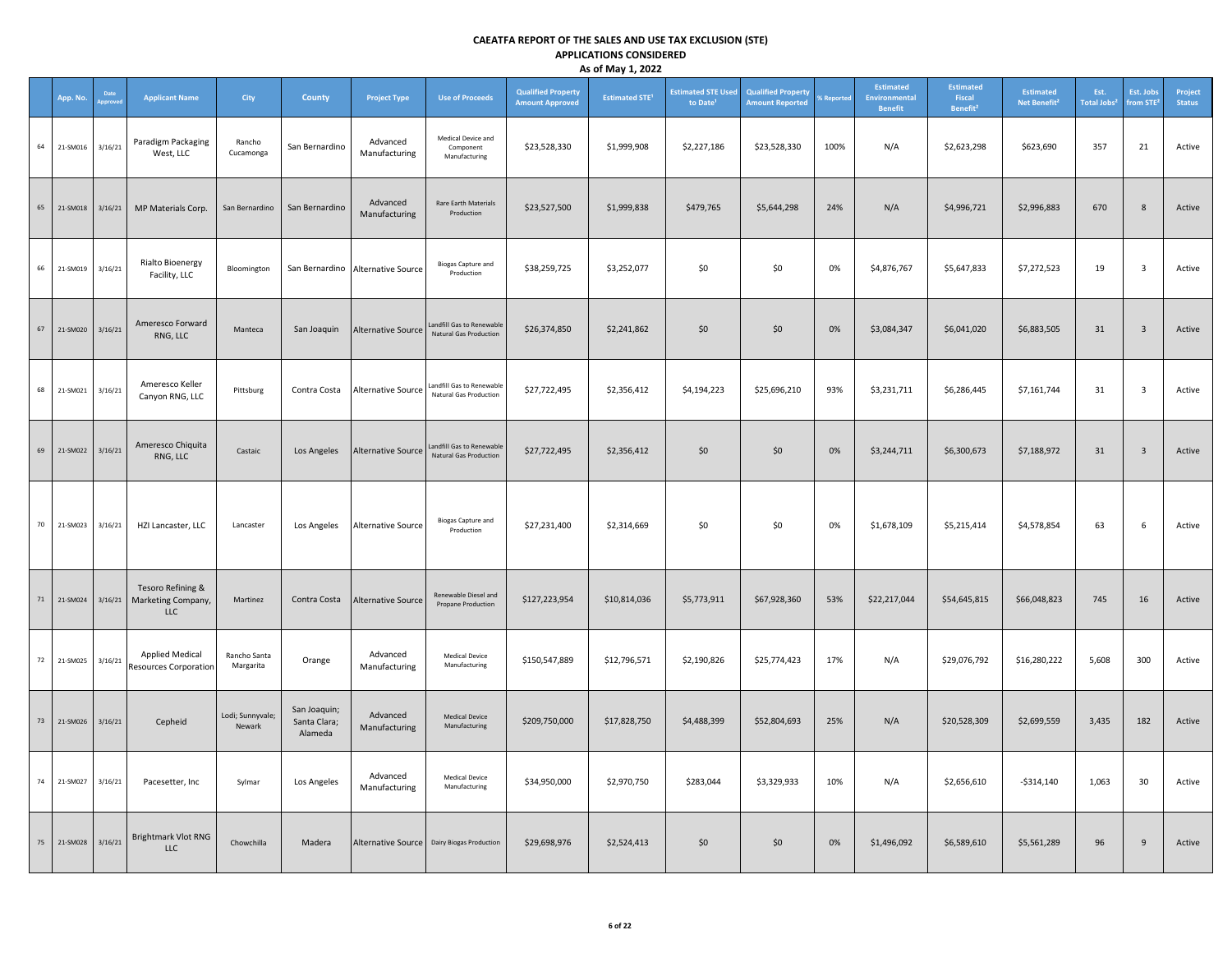|    | App. No. |         | <b>Applicant Name</b>                                  | City                       | County                                  | <b>Project Type</b>               | <b>Use of Proceeds</b>                                     | <b>Qualified Property</b><br><b>Amount Approved</b> | <b>Estimated STE<sup>1</sup></b> | <b>Estimated STE Used</b><br>to Date <sup>1</sup> | <b>Qualified Property</b><br><b>Amount Reported</b> | <b>6 Reported</b> | Estimated<br>Environmental<br><b>Benefit</b> | <b>Estimated</b><br>Fiscal<br>Benefit <sup>2</sup> | <b>Estimated</b><br>Net Benefit <sup>2</sup> | Est.<br><b>Total Jobs<sup>2</sup></b> | Est. Jobs<br>from STE <sup>3</sup> | Project<br><b>Status</b> |
|----|----------|---------|--------------------------------------------------------|----------------------------|-----------------------------------------|-----------------------------------|------------------------------------------------------------|-----------------------------------------------------|----------------------------------|---------------------------------------------------|-----------------------------------------------------|-------------------|----------------------------------------------|----------------------------------------------------|----------------------------------------------|---------------------------------------|------------------------------------|--------------------------|
| 64 | 21-SM016 | 3/16/21 | Paradigm Packaging<br>West, LLC                        | Rancho<br>Cucamonga        | San Bernardino                          | Advanced<br>Manufacturing         | Medical Device and<br>Component<br>Manufacturing           | \$23,528,330                                        | \$1,999,908                      | \$2,227,186                                       | \$23,528,330                                        | 100%              | N/A                                          | \$2,623,298                                        | \$623,690                                    | 357                                   | 21                                 | Active                   |
| 65 | 21-SM018 | 3/16/21 | MP Materials Corp.                                     | San Bernardino             | San Bernardino                          | Advanced<br>Manufacturing         | Rare Earth Materials<br>Production                         | \$23,527,500                                        | \$1,999,838                      | \$479,765                                         | \$5,644,298                                         | 24%               | N/A                                          | \$4,996,721                                        | \$2,996,883                                  | 670                                   | 8                                  | Active                   |
| 66 | 21-SM019 | 3/16/21 | Rialto Bioenergy<br>Facility, LLC                      | Bloomington                |                                         | San Bernardino Alternative Source | <b>Biogas Capture and</b><br>Production                    | \$38,259,725                                        | \$3,252,077                      | \$0                                               | \$0                                                 | 0%                | \$4,876,767                                  | \$5,647,833                                        | \$7,272,523                                  | 19                                    | $\overline{\mathbf{3}}$            | Active                   |
| 67 | 21-SM020 | 3/16/21 | Ameresco Forward<br>RNG, LLC                           | Manteca                    | San Joaquin                             | <b>Alternative Source</b>         | andfill Gas to Renewable<br>Natural Gas Production         | \$26,374,850                                        | \$2,241,862                      | \$0                                               | \$0\$                                               | 0%                | \$3,084,347                                  | \$6,041,020                                        | \$6,883,505                                  | 31                                    | $\overline{3}$                     | Active                   |
| 68 | 21-SM021 | 3/16/21 | Ameresco Keller<br>Canyon RNG, LLC                     | Pittsburg                  | Contra Costa                            | <b>Alternative Source</b>         | Landfill Gas to Renewable<br><b>Natural Gas Production</b> | \$27,722,495                                        | \$2,356,412                      | \$4,194,223                                       | \$25,696,210                                        | 93%               | \$3,231,711                                  | \$6,286,445                                        | \$7,161,744                                  | 31                                    | $\overline{\mathbf{3}}$            | Active                   |
| 69 | 21-SM022 | 3/16/21 | Ameresco Chiquita<br>RNG, LLC                          | Castaic                    | Los Angeles                             | <b>Alternative Source</b>         | Landfill Gas to Renewable<br>Natural Gas Production        | \$27,722,495                                        | \$2,356,412                      | \$0                                               | \$0                                                 | 0%                | \$3,244,711                                  | \$6,300,673                                        | \$7,188,972                                  | 31                                    | $\overline{\mathbf{3}}$            | Active                   |
| 70 | 21-SM023 | 3/16/21 | HZI Lancaster, LLC                                     | Lancaster                  | Los Angeles                             | Alternative Source                | <b>Biogas Capture and</b><br>Production                    | \$27,231,400                                        | \$2,314,669                      | \$0                                               | \$0                                                 | 0%                | \$1,678,109                                  | \$5,215,414                                        | \$4,578,854                                  | 63                                    | 6                                  | Active                   |
| 71 | 21-SM024 | 3/16/21 | Tesoro Refining &<br>Marketing Company,<br>LLC         | Martinez                   | Contra Costa                            | <b>Alternative Source</b>         | Renewable Diesel and<br>Propane Production                 | \$127,223,954                                       | \$10,814,036                     | \$5,773,911                                       | \$67,928,360                                        | 53%               | \$22,217,044                                 | \$54,645,815                                       | \$66,048,823                                 | 745                                   | 16                                 | Active                   |
| 72 | 21-SM025 | 3/16/21 | <b>Applied Medical</b><br><b>Resources Corporation</b> | Rancho Santa<br>Margarita  | Orange                                  | Advanced<br>Manufacturing         | <b>Medical Device</b><br>Manufacturing                     | \$150,547,889                                       | \$12,796,571                     | \$2,190,826                                       | \$25,774,423                                        | 17%               | N/A                                          | \$29,076,792                                       | \$16,280,222                                 | 5,608                                 | 300                                | Active                   |
| 73 | 21-SM026 | 3/16/21 | Cepheid                                                | Lodi; Sunnyvale;<br>Newark | San Joaquin;<br>Santa Clara;<br>Alameda | Advanced<br>Manufacturing         | <b>Medical Device</b><br>Manufacturing                     | \$209,750,000                                       | \$17,828,750                     | \$4,488,399                                       | \$52,804,693                                        | 25%               | N/A                                          | \$20,528,309                                       | \$2,699,559                                  | 3,435                                 | 182                                | Active                   |
| 74 | 21-SM027 | 3/16/21 | Pacesetter, Inc                                        | Sylmar                     | Los Angeles                             | Advanced<br>Manufacturing         | Medical Device<br>Manufacturing                            | \$34,950,000                                        | \$2,970,750                      | \$283,044                                         | \$3,329,933                                         | 10%               | N/A                                          | \$2,656,610                                        | $-5314,140$                                  | 1,063                                 | 30                                 | Active                   |
| 75 | 21-SM028 | 3/16/21 | <b>Brightmark Vlot RNG</b><br><b>LLC</b>               | Chowchilla                 | Madera                                  | Alternative Source                | <b>Dairy Biogas Production</b>                             | \$29,698,976                                        | \$2,524,413                      | \$0                                               | \$0                                                 | 0%                | \$1,496,092                                  | \$6,589,610                                        | \$5,561,289                                  | 96                                    | 9                                  | Active                   |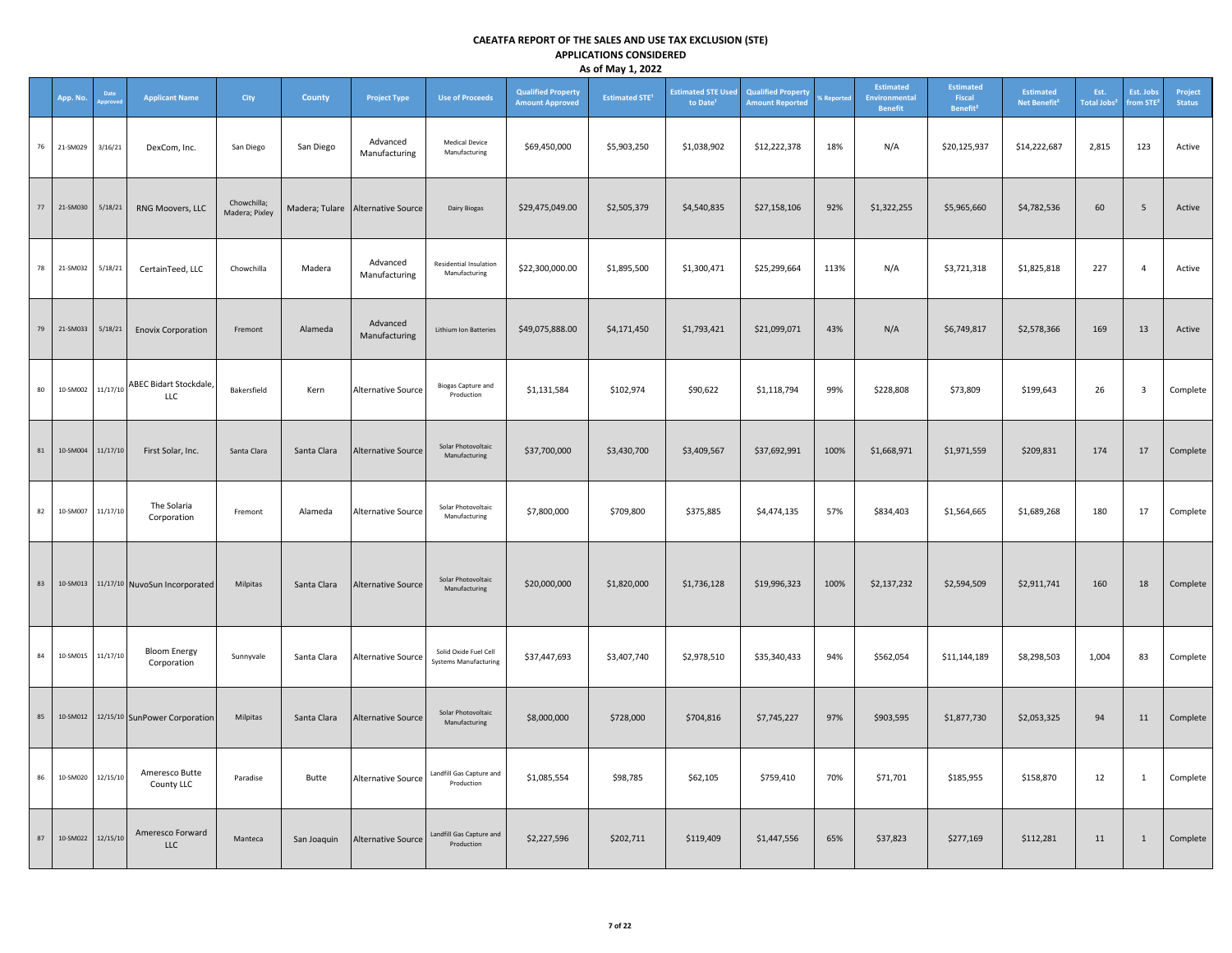|    | App. No. | Date     | <b>Applicant Name</b>              | City                          | County      | <b>Project Type</b>                 | <b>Use of Proceeds</b>                                | <b>Qualified Property</b><br><b>Amount Approved</b> | <b>Estimated STE<sup>1</sup></b> | <b>Estimated STE Used</b><br>to Date <sup>1</sup> | <b>Qualified Property</b><br><b>Amount Reported</b> | <b>6 Reported</b> | Estimated<br><b>Environmental</b><br><b>Benefit</b> | <b>Estimated</b><br>Fiscal<br>Benefit <sup>2</sup> | <b>Estimated</b><br>Net Benefit <sup>2</sup> | Est.<br>Total Jobs <sup>2</sup> | Est. Jobs<br>from STE <sup>3</sup> | Project<br><b>Status</b> |
|----|----------|----------|------------------------------------|-------------------------------|-------------|-------------------------------------|-------------------------------------------------------|-----------------------------------------------------|----------------------------------|---------------------------------------------------|-----------------------------------------------------|-------------------|-----------------------------------------------------|----------------------------------------------------|----------------------------------------------|---------------------------------|------------------------------------|--------------------------|
| 76 | 21-SM029 | 3/16/21  | DexCom, Inc.                       | San Diego                     | San Diego   | Advanced<br>Manufacturing           | <b>Medical Device</b><br>Manufacturing                | \$69,450,000                                        | \$5,903,250                      | \$1,038,902                                       | \$12,222,378                                        | 18%               | N/A                                                 | \$20,125,937                                       | \$14,222,687                                 | 2,815                           | 123                                | Active                   |
| 77 | 21-SM030 | 5/18/21  | RNG Moovers, LLC                   | Chowchilla;<br>Madera; Pixley |             | Madera; Tulare   Alternative Source | Dairy Biogas                                          | \$29,475,049.00                                     | \$2,505,379                      | \$4,540,835                                       | \$27,158,106                                        | 92%               | \$1,322,255                                         | \$5,965,660                                        | \$4,782,536                                  | 60                              | 5                                  | Active                   |
| 78 | 21-SM032 | 5/18/21  | CertainTeed, LLC                   | Chowchilla                    | Madera      | Advanced<br>Manufacturing           | Residential Insulation<br>Manufacturing               | \$22,300,000.00                                     | \$1,895,500                      | \$1,300,471                                       | \$25,299,664                                        | 113%              | N/A                                                 | \$3,721,318                                        | \$1,825,818                                  | 227                             | $\overline{4}$                     | Active                   |
| 79 | 21-SM033 | 5/18/21  | <b>Enovix Corporation</b>          | Fremont                       | Alameda     | Advanced<br>Manufacturing           | <b>Lithium Ion Batteries</b>                          | \$49,075,888.00                                     | \$4,171,450                      | \$1,793,421                                       | \$21,099,071                                        | 43%               | N/A                                                 | \$6,749,817                                        | \$2,578,366                                  | 169                             | 13                                 | Active                   |
| 80 | 10-SM002 | 11/17/10 | ABEC Bidart Stockdale,<br>LLC      | Bakersfield                   | Kern        | <b>Alternative Source</b>           | <b>Biogas Capture and</b><br>Production               | \$1,131,584                                         | \$102,974                        | \$90,622                                          | \$1,118,794                                         | 99%               | \$228,808                                           | \$73,809                                           | \$199,643                                    | 26                              | $\overline{\mathbf{3}}$            | Complete                 |
| 81 | 10-SM004 | 11/17/10 | First Solar, Inc.                  | Santa Clara                   | Santa Clara | <b>Alternative Source</b>           | Solar Photovoltaic<br>Manufacturing                   | \$37,700,000                                        | \$3,430,700                      | \$3,409,567                                       | \$37,692,991                                        | 100%              | \$1,668,971                                         | \$1,971,559                                        | \$209,831                                    | 174                             | 17                                 | Complete                 |
| 82 | 10-SM007 | 11/17/10 | The Solaria<br>Corporation         | Fremont                       | Alameda     | <b>Alternative Source</b>           | Solar Photovoltaic<br>Manufacturing                   | \$7,800,000                                         | \$709,800                        | \$375,885                                         | \$4,474,135                                         | 57%               | \$834,403                                           | \$1,564,665                                        | \$1,689,268                                  | 180                             | 17                                 | Complete                 |
| 83 | 10-SM013 |          | 11/17/10 NuvoSun Incorporated      | Milpitas                      | Santa Clara | <b>Alternative Source</b>           | Solar Photovoltaic<br>Manufacturing                   | \$20,000,000                                        | \$1,820,000                      | \$1,736,128                                       | \$19,996,323                                        | 100%              | \$2,137,232                                         | \$2,594,509                                        | \$2,911,741                                  | 160                             | 18                                 | Complete                 |
| 84 | 10-SM015 | 11/17/10 | <b>Bloom Energy</b><br>Corporation | Sunnyvale                     | Santa Clara | <b>Alternative Source</b>           | Solid Oxide Fuel Cell<br><b>Systems Manufacturing</b> | \$37,447,693                                        | \$3,407,740                      | \$2,978,510                                       | \$35,340,433                                        | 94%               | \$562,054                                           | \$11,144,189                                       | \$8,298,503                                  | 1,004                           | 83                                 | Complete                 |
| 85 | 10-SM012 |          | 12/15/10 SunPower Corporation      | Milpitas                      | Santa Clara | <b>Alternative Source</b>           | Solar Photovoltaic<br>Manufacturing                   | \$8,000,000                                         | \$728,000                        | \$704,816                                         | \$7,745,227                                         | 97%               | \$903,595                                           | \$1,877,730                                        | \$2,053,325                                  | 94                              | 11                                 | Complete                 |
| 86 | 10-SM020 | 12/15/10 | Ameresco Butte<br>County LLC       | Paradise                      | Butte       | <b>Alternative Source</b>           | Landfill Gas Capture and<br>Production                | \$1,085,554                                         | \$98,785                         | \$62,105                                          | \$759,410                                           | 70%               | \$71,701                                            | \$185,955                                          | \$158,870                                    | 12                              | $\mathbf{1}$                       | Complete                 |
| 87 | 10-SM022 | 12/15/10 | Ameresco Forward<br><b>LLC</b>     | Manteca                       | San Joaquin | <b>Alternative Source</b>           | Landfill Gas Capture and<br>Production                | \$2,227,596                                         | \$202,711                        | \$119,409                                         | \$1,447,556                                         | 65%               | \$37,823                                            | \$277,169                                          | \$112,281                                    | 11                              | $\mathbf{1}$                       | Complete                 |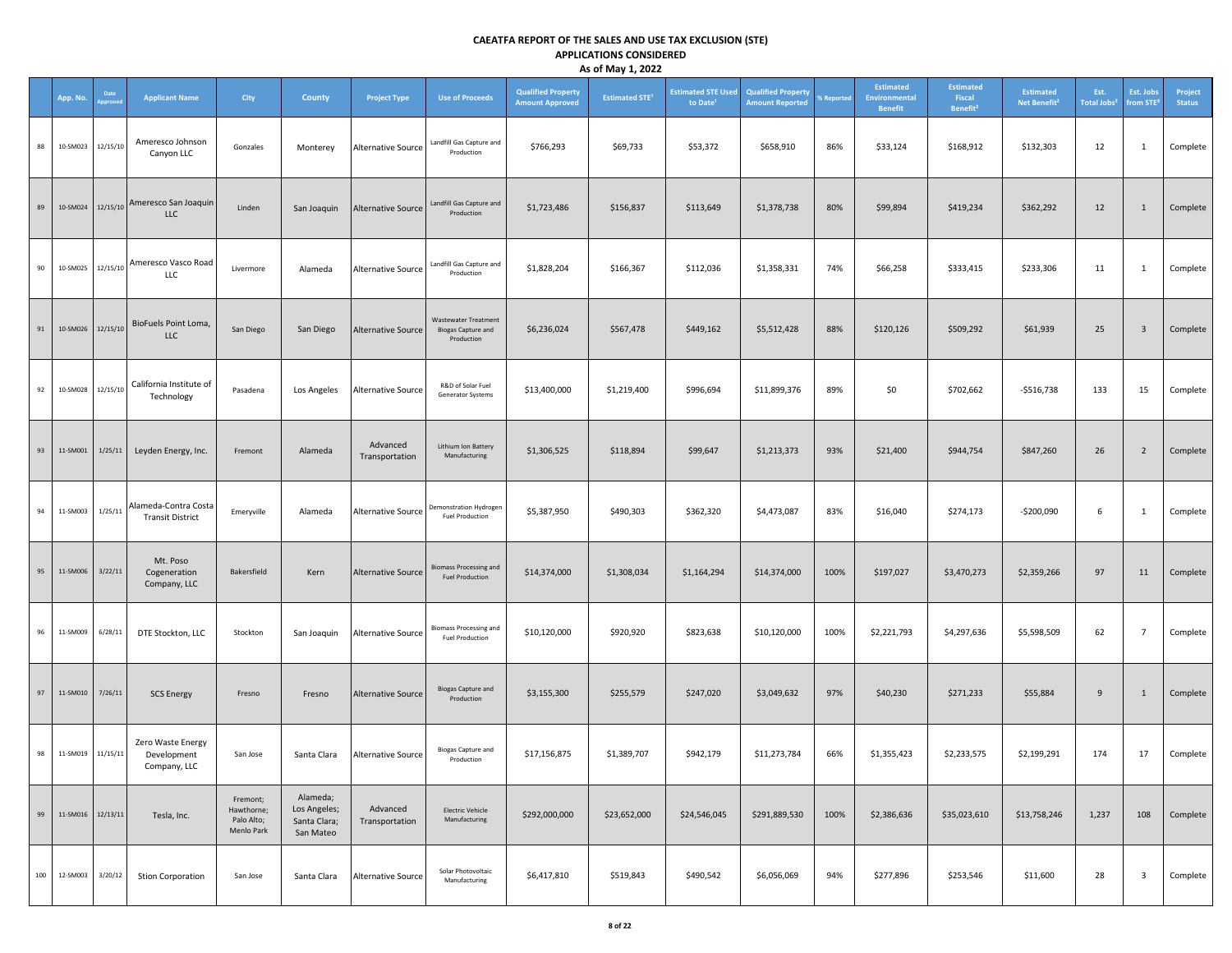|     | App. No.          | Date<br>pprove    | <b>Applicant Name</b>                            | City                                               | County                                                | <b>Project Type</b>        | <b>Use of Proceeds</b>                                                 | <b>Qualified Property</b><br><b>Amount Approved</b> | , .,<br><b>Estimated STE<sup>1</sup></b> | <b>Estimated STE Used</b><br>to Date <sup>1</sup> | <b>Qualified Property</b><br><b>Amount Reported</b> | % Reported | Estimated<br><b>Environmental</b><br><b>Benefit</b> | <b>Estimated</b><br>Fiscal<br>Benefit <sup>2</sup> | <b>Estimated</b><br>Net Benefit <sup>2</sup> | Est.<br>Total Jobs <sup>2</sup> | Est. Jobs<br>from STE <sup>2</sup> | Project<br><b>Status</b> |
|-----|-------------------|-------------------|--------------------------------------------------|----------------------------------------------------|-------------------------------------------------------|----------------------------|------------------------------------------------------------------------|-----------------------------------------------------|------------------------------------------|---------------------------------------------------|-----------------------------------------------------|------------|-----------------------------------------------------|----------------------------------------------------|----------------------------------------------|---------------------------------|------------------------------------|--------------------------|
| 88  | 10-SM023          | 12/15/10          | Ameresco Johnson<br>Canyon LLC                   | Gonzales                                           | Monterey                                              | Alternative Source         | Landfill Gas Capture and<br>Production                                 | \$766,293                                           | \$69,733                                 | \$53,372                                          | \$658,910                                           | 86%        | \$33,124                                            | \$168,912                                          | \$132,303                                    | 12                              | 1                                  | Complete                 |
| 89  |                   | 10-SM024 12/15/10 | Ameresco San Joaquin<br><b>LLC</b>               | Linden                                             | San Joaquin                                           | Alternative Source         | Landfill Gas Capture and<br>Production                                 | \$1,723,486                                         | \$156,837                                | \$113,649                                         | \$1,378,738                                         | 80%        | \$99,894                                            | \$419,234                                          | \$362,292                                    | 12                              | 1                                  | Complete                 |
| 90  | 10-SM025 12/15/10 |                   | Ameresco Vasco Road<br>LLC                       | Livermore                                          | Alameda                                               | <b>Alternative Source</b>  | Landfill Gas Capture and<br>Production                                 | \$1,828,204                                         | \$166,367                                | \$112,036                                         | \$1,358,331                                         | 74%        | \$66,258                                            | \$333,415                                          | \$233,306                                    | 11                              | $\mathbf{1}$                       | Complete                 |
| 91  | 10-SM026 12/15/10 |                   | BioFuels Point Loma,<br><b>LLC</b>               | San Diego                                          | San Diego                                             | Alternative Source         | <b>Wastewater Treatment</b><br><b>Biogas Capture and</b><br>Production | \$6,236,024                                         | \$567,478                                | \$449,162                                         | \$5,512,428                                         | 88%        | \$120,126                                           | \$509,292                                          | \$61,939                                     | 25                              | $\overline{\mathbf{3}}$            | Complete                 |
| 92  | 10-SM028          | 12/15/10          | California Institute of<br>Technology            | Pasadena                                           | Los Angeles                                           | Alternative Source         | R&D of Solar Fuel<br>Generator Systems                                 | \$13,400,000                                        | \$1,219,400                              | \$996,694                                         | \$11,899,376                                        | 89%        | \$0                                                 | \$702,662                                          | $-$516,738$                                  | 133                             | 15                                 | Complete                 |
| 93  | 11-SM001          | 1/25/11           | Leyden Energy, Inc.                              | Fremont                                            | Alameda                                               | Advanced<br>Transportation | Lithium Ion Battery<br>Manufacturing                                   | \$1,306,525                                         | \$118,894                                | \$99,647                                          | \$1,213,373                                         | 93%        | \$21,400                                            | \$944,754                                          | \$847,260                                    | 26                              | $\overline{2}$                     | Complete                 |
| 94  | 11-SM003          | 1/25/11           | Alameda-Contra Costa<br><b>Transit District</b>  | Emeryville                                         | Alameda                                               | <b>Alternative Source</b>  | Demonstration Hydrogen<br><b>Fuel Production</b>                       | \$5,387,950                                         | \$490,303                                | \$362,320                                         | \$4,473,087                                         | 83%        | \$16,040                                            | \$274,173                                          | -\$200,090                                   | 6                               | $\mathbf{1}$                       | Complete                 |
| 95  | 11-SM006          | 3/22/11           | Mt. Poso<br>Cogeneration<br>Company, LLC         | Bakersfield                                        | Kern                                                  | <b>Alternative Source</b>  | <b>Biomass Processing and</b><br><b>Fuel Production</b>                | \$14,374,000                                        | \$1,308,034                              | \$1,164,294                                       | \$14,374,000                                        | 100%       | \$197,027                                           | \$3,470,273                                        | \$2,359,266                                  | 97                              | 11                                 | Complete                 |
| 96  | 11-SM009          | 6/28/11           | DTE Stockton, LLC                                | Stockton                                           | San Joaquin                                           | <b>Alternative Source</b>  | <b>Biomass Processing and</b><br><b>Fuel Production</b>                | \$10,120,000                                        | \$920,920                                | \$823,638                                         | \$10,120,000                                        | 100%       | \$2,221,793                                         | \$4,297,636                                        | \$5,598,509                                  | 62                              | $\overline{7}$                     | Complete                 |
| 97  | 11-SM010          | 7/26/11           | <b>SCS Energy</b>                                | Fresno                                             | Fresno                                                | <b>Alternative Source</b>  | <b>Biogas Capture and</b><br>Production                                | \$3,155,300                                         | \$255,579                                | \$247,020                                         | \$3,049,632                                         | 97%        | \$40,230                                            | \$271,233                                          | \$55,884                                     | $\overline{9}$                  | $\mathbf{1}$                       | Complete                 |
| 98  | 11-SM019 11/15/11 |                   | Zero Waste Energy<br>Development<br>Company, LLC | San Jose                                           | Santa Clara                                           | Alternative Source         | <b>Biogas Capture and</b><br>Production                                | \$17,156,875                                        | \$1,389,707                              | \$942,179                                         | \$11,273,784                                        | 66%        | \$1,355,423                                         | \$2,233,575                                        | \$2,199,291                                  | 174                             | 17                                 | Complete                 |
| 99  | 11-SM016          | 12/13/11          | Tesla, Inc.                                      | Fremont;<br>Hawthorne;<br>Palo Alto;<br>Menlo Park | Alameda;<br>Los Angeles;<br>Santa Clara;<br>San Mateo | Advanced<br>Transportation | <b>Electric Vehicle</b><br>Manufacturing                               | \$292,000,000                                       | \$23,652,000                             | \$24,546,045                                      | \$291,889,530                                       | 100%       | \$2,386,636                                         | \$35,023,610                                       | \$13,758,246                                 | 1,237                           | 108                                | Complete                 |
| 100 | 12-SM003          | 3/20/12           | <b>Stion Corporation</b>                         | San Jose                                           | Santa Clara                                           | <b>Alternative Source</b>  | Solar Photovoltaic<br>Manufacturing                                    | \$6,417,810                                         | \$519,843                                | \$490,542                                         | \$6,056,069                                         | 94%        | \$277,896                                           | \$253,546                                          | \$11,600                                     | 28                              | $\overline{\mathbf{3}}$            | Complete                 |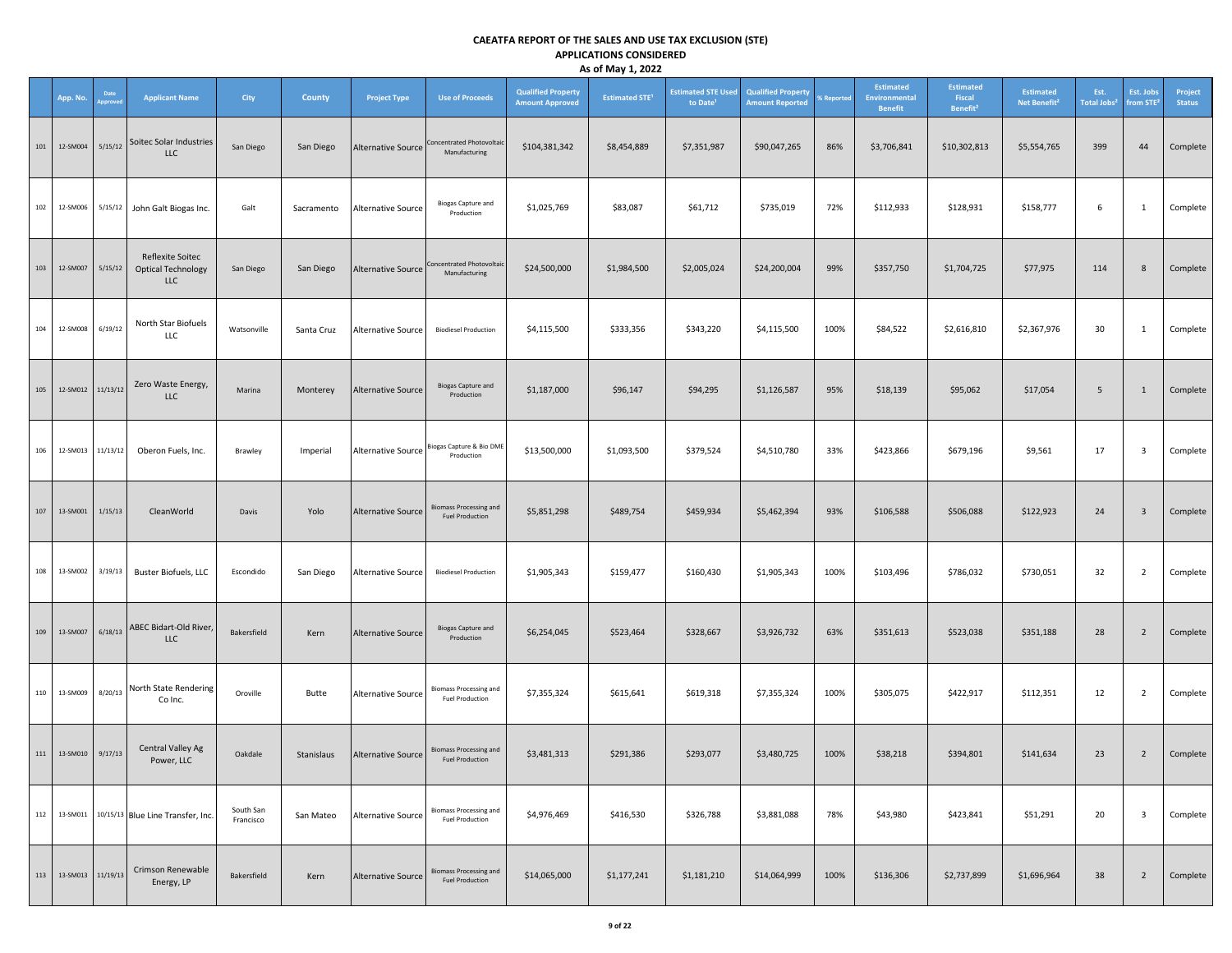|     | App. No.               | Date<br>pprove | <b>Applicant Name</b>                                       | City                   | County     | <b>Project Type</b>       | <b>Use of Proceeds</b>                                    | <b>Qualified Property</b><br><b>Amount Approved</b> | $\cdot$ $\cdot$<br><b>Estimated STE<sup>1</sup></b> | <b>Estimated STE Used</b><br>to Date <sup>1</sup> | <b>Qualified Property</b><br><b>Amount Reported</b> | <b><i><u>SReported</u></i></b> | <b>Estimated</b><br><b>Environmental</b><br><b>Benefit</b> | <b>Estimated</b><br>Fiscal<br>Benefit <sup>2</sup> | <b>Estimated</b><br>Net Benefit <sup>2</sup> | Est.<br>Total Jobs <sup>2</sup> | Est. Jobs<br>from STE <sup>2</sup> | Project<br><b>Status</b> |
|-----|------------------------|----------------|-------------------------------------------------------------|------------------------|------------|---------------------------|-----------------------------------------------------------|-----------------------------------------------------|-----------------------------------------------------|---------------------------------------------------|-----------------------------------------------------|--------------------------------|------------------------------------------------------------|----------------------------------------------------|----------------------------------------------|---------------------------------|------------------------------------|--------------------------|
| 101 | 12-SM004               | 5/15/12        | Soitec Solar Industries<br><b>LLC</b>                       | San Diego              | San Diego  | <b>Alternative Source</b> | Concentrated Photovoltaic<br>Manufacturing                | \$104,381,342                                       | \$8,454,889                                         | \$7,351,987                                       | \$90,047,265                                        | 86%                            | \$3,706,841                                                | \$10,302,813                                       | \$5,554,765                                  | 399                             | 44                                 | Complete                 |
| 102 | 12-SM006               | 5/15/12        | John Galt Biogas Inc.                                       | Galt                   | Sacramento | Alternative Source        | <b>Biogas Capture and</b><br>Production                   | \$1,025,769                                         | \$83,087                                            | \$61,712                                          | \$735,019                                           | 72%                            | \$112,933                                                  | \$128,931                                          | \$158,777                                    | 6                               | $\mathbf{1}$                       | Complete                 |
| 103 | 12-SM007               | 5/15/12        | Reflexite Soitec<br><b>Optical Technology</b><br><b>LLC</b> | San Diego              | San Diego  | Alternative Source        | Concentrated Photovoltaic<br>Manufacturing                | \$24,500,000                                        | \$1,984,500                                         | \$2,005,024                                       | \$24,200,004                                        | 99%                            | \$357,750                                                  | \$1,704,725                                        | \$77,975                                     | 114                             | 8                                  | Complete                 |
| 104 | 12-SM008               | 6/19/12        | North Star Biofuels<br>LLC                                  | Watsonville            | Santa Cruz | <b>Alternative Source</b> | <b>Biodiesel Production</b>                               | \$4,115,500                                         | \$333,356                                           | \$343,220                                         | \$4,115,500                                         | 100%                           | \$84,522                                                   | \$2,616,810                                        | \$2,367,976                                  | 30                              | $\mathbf{1}$                       | Complete                 |
| 105 | 12-SM012               | 11/13/12       | Zero Waste Energy,<br>LLC                                   | Marina                 | Monterey   | <b>Alternative Source</b> | <b>Biogas Capture and</b><br>Production                   | \$1,187,000                                         | \$96,147                                            | \$94,295                                          | \$1,126,587                                         | 95%                            | \$18,139                                                   | \$95,062                                           | \$17,054                                     | 5                               | $\mathbf{1}$                       | Complete                 |
| 106 | 12-SM013               | 11/13/12       | Oberon Fuels, Inc.                                          | Brawley                | Imperial   |                           | Alternative Source Biogas Capture & Bio DME<br>Production | \$13,500,000                                        | \$1,093,500                                         | \$379,524                                         | \$4,510,780                                         | 33%                            | \$423,866                                                  | \$679,196                                          | \$9,561                                      | 17                              | $\overline{\mathbf{3}}$            | Complete                 |
| 107 | 13-SM001               | 1/15/13        | CleanWorld                                                  | Davis                  | Yolo       | <b>Alternative Source</b> | <b>Biomass Processing and</b><br><b>Fuel Production</b>   | \$5,851,298                                         | \$489,754                                           | \$459,934                                         | \$5,462,394                                         | 93%                            | \$106,588                                                  | \$506,088                                          | \$122,923                                    | 24                              | $\overline{\mathbf{3}}$            | Complete                 |
| 108 | 13-SM002               | 3/19/13        | <b>Buster Biofuels, LLC</b>                                 | Escondido              | San Diego  | Alternative Source        | <b>Biodiesel Production</b>                               | \$1,905,343                                         | \$159,477                                           | \$160,430                                         | \$1,905,343                                         | 100%                           | \$103,496                                                  | \$786,032                                          | \$730,051                                    | 32                              | $\overline{2}$                     | Complete                 |
| 109 | 13-SM007               | 6/18/13        | ABEC Bidart-Old River,<br><b>LLC</b>                        | Bakersfield            | Kern       | <b>Alternative Source</b> | <b>Biogas Capture and</b><br>Production                   | \$6,254,045                                         | \$523,464                                           | \$328,667                                         | \$3,926,732                                         | 63%                            | \$351,613                                                  | \$523,038                                          | \$351,188                                    | 28                              | $\overline{2}$                     | Complete                 |
| 110 | 13-SM009               | 8/20/13        | North State Rendering<br>Co Inc.                            | Oroville               | Butte      | Alternative Source        | <b>Biomass Processing and</b><br><b>Fuel Production</b>   | \$7,355,324                                         | \$615,641                                           | \$619,318                                         | \$7,355,324                                         | 100%                           | \$305,075                                                  | \$422,917                                          | \$112,351                                    | 12                              | $\overline{2}$                     | Complete                 |
|     | 111  13-SM010  9/17/13 |                | Central Valley Ag<br>Power, LLC                             | Oakdale                | Stanislaus | Alternative Source        | <b>Biomass Processing and</b><br><b>Fuel Production</b>   | \$3,481,313                                         | \$291,386                                           | \$293,077                                         | \$3,480,725                                         | 100%                           | \$38,218                                                   | \$394,801                                          | \$141,634                                    | 23                              | $\overline{2}$                     | Complete                 |
| 112 |                        |                | 13-SM011 10/15/13 Blue Line Transfer, Inc.                  | South San<br>Francisco | San Mateo  | Alternative Source        | <b>Biomass Processing and</b><br><b>Fuel Production</b>   | \$4,976,469                                         | \$416,530                                           | \$326,788                                         | \$3,881,088                                         | 78%                            | \$43,980                                                   | \$423,841                                          | \$51,291                                     | 20                              | $\overline{\mathbf{3}}$            | Complete                 |
| 113 | 13-SM013               | 11/19/13       | Crimson Renewable<br>Energy, LP                             | Bakersfield            | Kern       | <b>Alternative Source</b> | <b>Biomass Processing and</b><br><b>Fuel Production</b>   | \$14,065,000                                        | \$1,177,241                                         | \$1,181,210                                       | \$14,064,999                                        | 100%                           | \$136,306                                                  | \$2,737,899                                        | \$1,696,964                                  | 38                              | $\overline{2}$                     | Complete                 |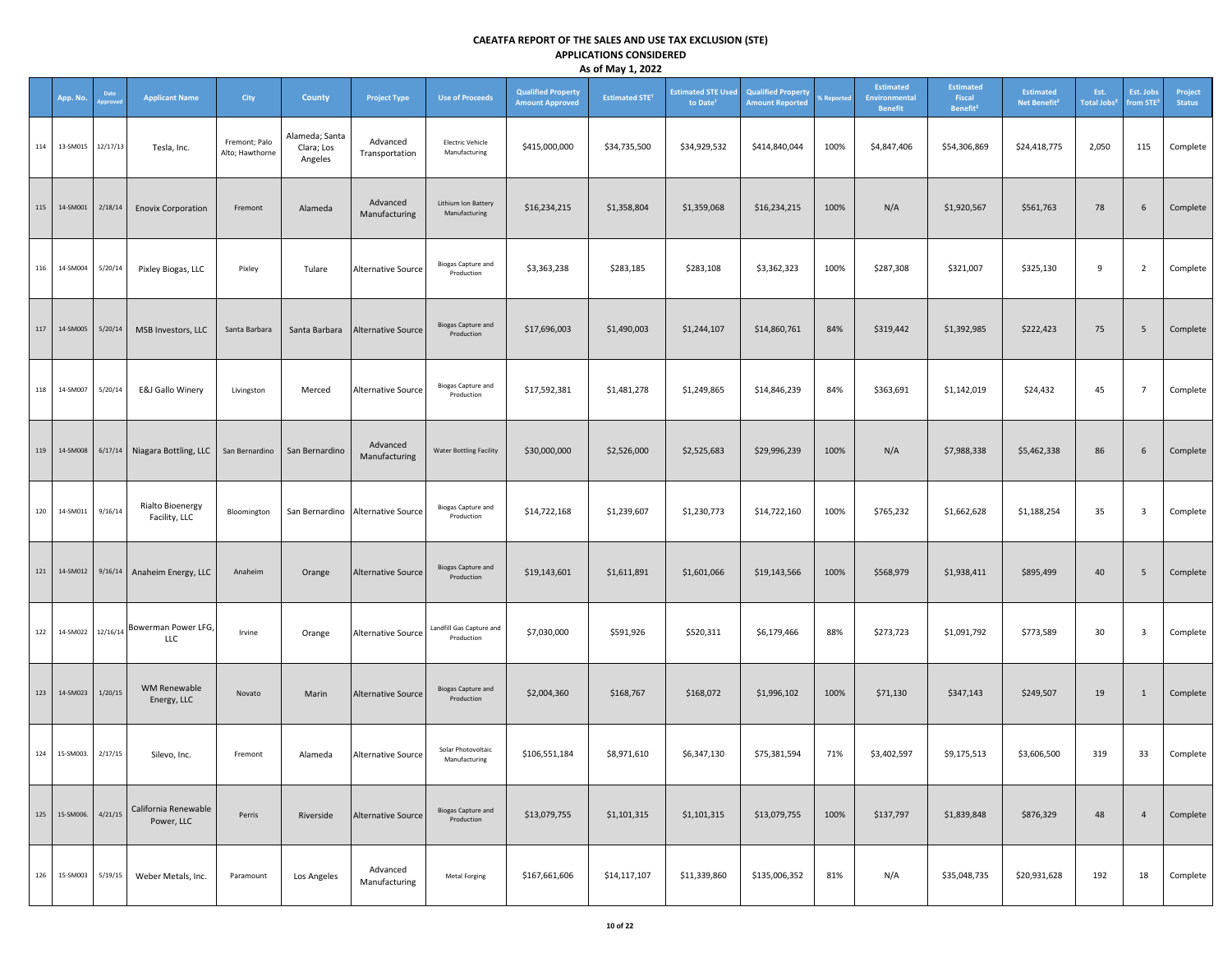|     | App. No.     | Date<br>pprover | <b>Applicant Name</b>                          | City                             | County                                  | <b>Project Type</b>               | <b>Use of Proceeds</b>                   | <b>Qualified Property</b><br><b>Amount Approved</b> | , .,<br><b>Estimated STE<sup>1</sup></b> | <b>Estimated STE Used</b><br>to Date <sup>1</sup> | <b>Qualified Property</b><br><b>Amount Reported</b> | % Reported | Estimated<br>Environmental<br><b>Benefit</b> | <b>Estimated</b><br>Fiscal<br>Benefit <sup>2</sup> | <b>Estimated</b><br>Net Benefit <sup>2</sup> | Est.<br>Total Jobs <sup>2</sup> | Est. Jobs<br>from STE <sup>2</sup> | Project<br><b>Status</b> |
|-----|--------------|-----------------|------------------------------------------------|----------------------------------|-----------------------------------------|-----------------------------------|------------------------------------------|-----------------------------------------------------|------------------------------------------|---------------------------------------------------|-----------------------------------------------------|------------|----------------------------------------------|----------------------------------------------------|----------------------------------------------|---------------------------------|------------------------------------|--------------------------|
| 114 | 13-SM015     | 12/17/13        | Tesla, Inc.                                    | Fremont; Palo<br>Alto; Hawthorne | Alameda; Santa<br>Clara; Los<br>Angeles | Advanced<br>Transportation        | <b>Electric Vehicle</b><br>Manufacturing | \$415,000,000                                       | \$34,735,500                             | \$34,929,532                                      | \$414,840,044                                       | 100%       | \$4,847,406                                  | \$54,306,869                                       | \$24,418,775                                 | 2,050                           | 115                                | Complete                 |
| 115 | 14-SM001     | 2/18/14         | <b>Enovix Corporation</b>                      | Fremont                          | Alameda                                 | Advanced<br>Manufacturing         | Lithium Ion Battery<br>Manufacturing     | \$16,234,215                                        | \$1,358,804                              | \$1,359,068                                       | \$16,234,215                                        | 100%       | N/A                                          | \$1,920,567                                        | \$561,763                                    | 78                              | 6                                  | Complete                 |
| 116 | 14-SM004     | 5/20/14         | Pixley Biogas, LLC                             | Pixley                           | Tulare                                  | Alternative Source                | <b>Biogas Capture and</b><br>Production  | \$3,363,238                                         | \$283,185                                | \$283,108                                         | \$3,362,323                                         | 100%       | \$287,308                                    | \$321,007                                          | \$325,130                                    | 9                               | $\overline{2}$                     | Complete                 |
| 117 | 14-SM005     | 5/20/14         | MSB Investors, LLC                             | Santa Barbara                    | Santa Barbara                           | Alternative Source                | <b>Biogas Capture and</b><br>Production  | \$17,696,003                                        | \$1,490,003                              | \$1,244,107                                       | \$14,860,761                                        | 84%        | \$319,442                                    | \$1,392,985                                        | \$222,423                                    | 75                              | $5\overline{5}$                    | Complete                 |
| 118 | 14-SM007     | 5/20/14         | E&J Gallo Winery                               | Livingston                       | Merced                                  | Alternative Source                | <b>Biogas Capture and</b><br>Production  | \$17,592,381                                        | \$1,481,278                              | \$1,249,865                                       | \$14,846,239                                        | 84%        | \$363,691                                    | \$1,142,019                                        | \$24,432                                     | 45                              | $\overline{7}$                     | Complete                 |
| 119 | 14-SM008     |                 | 6/17/14 Niagara Bottling, LLC   San Bernardino |                                  | San Bernardino                          | Advanced<br>Manufacturing         | <b>Water Bottling Facility</b>           | \$30,000,000                                        | \$2,526,000                              | \$2,525,683                                       | \$29,996,239                                        | 100%       | N/A                                          | \$7,988,338                                        | \$5,462,338                                  | 86                              | 6                                  | Complete                 |
| 120 | 14-SM011     | 9/16/14         | Rialto Bioenergy<br>Facility, LLC              | Bloomington                      |                                         | San Bernardino Alternative Source | <b>Biogas Capture and</b><br>Production  | \$14,722,168                                        | \$1,239,607                              | \$1,230,773                                       | \$14,722,160                                        | 100%       | \$765,232                                    | \$1,662,628                                        | \$1,188,254                                  | 35                              | $\overline{\mathbf{3}}$            | Complete                 |
|     | 121 14-SM012 |                 | 9/16/14 Anaheim Energy, LLC                    | Anaheim                          | Orange                                  | Alternative Source                | <b>Biogas Capture and</b><br>Production  | \$19,143,601                                        | \$1,611,891                              | \$1,601,066                                       | \$19,143,566                                        | 100%       | \$568,979                                    | \$1,938,411                                        | \$895,499                                    | 40                              | $5\overline{5}$                    | Complete                 |
| 122 | 14-SM022     | 12/16/14        | Bowerman Power LFG,<br>LLC                     | Irvine                           | Orange                                  | Alternative Source                | Landfill Gas Capture and<br>Production   | \$7,030,000                                         | \$591,926                                | \$520,311                                         | \$6,179,466                                         | 88%        | \$273,723                                    | \$1,091,792                                        | \$773,589                                    | 30                              | $\overline{\mathbf{3}}$            | Complete                 |
| 123 | 14-SM023     | 1/20/15         | WM Renewable<br>Energy, LLC                    | Novato                           | Marin                                   | Alternative Source                | <b>Biogas Capture and</b><br>Production  | \$2,004,360                                         | \$168,767                                | \$168,072                                         | \$1,996,102                                         | 100%       | \$71,130                                     | \$347,143                                          | \$249,507                                    | 19                              | $\mathbf{1}$                       | Complete                 |
| 124 | 15-SM003.    | 2/17/15         | Silevo, Inc.                                   | Fremont                          | Alameda                                 | Alternative Source                | Solar Photovoltaic<br>Manufacturing      | \$106,551,184                                       | \$8,971,610                              | \$6,347,130                                       | \$75,381,594                                        | 71%        | \$3,402,597                                  | \$9,175,513                                        | \$3,606,500                                  | 319                             | 33                                 | Complete                 |
| 125 | 15-SM006.    | 4/21/15         | California Renewable<br>Power, LLC             | Perris                           | Riverside                               | <b>Alternative Source</b>         | <b>Biogas Capture and</b><br>Production  | \$13,079,755                                        | \$1,101,315                              | \$1,101,315                                       | \$13,079,755                                        | 100%       | \$137,797                                    | \$1,839,848                                        | \$876,329                                    | 48                              | $\overline{4}$                     | Complete                 |
| 126 | 15-SM003     | 5/19/15         | Weber Metals, Inc.                             | Paramount                        | Los Angeles                             | Advanced<br>Manufacturing         | Metal Forging                            | \$167,661,606                                       | \$14,117,107                             | \$11,339,860                                      | \$135,006,352                                       | 81%        | N/A                                          | \$35,048,735                                       | \$20,931,628                                 | 192                             | 18                                 | Complete                 |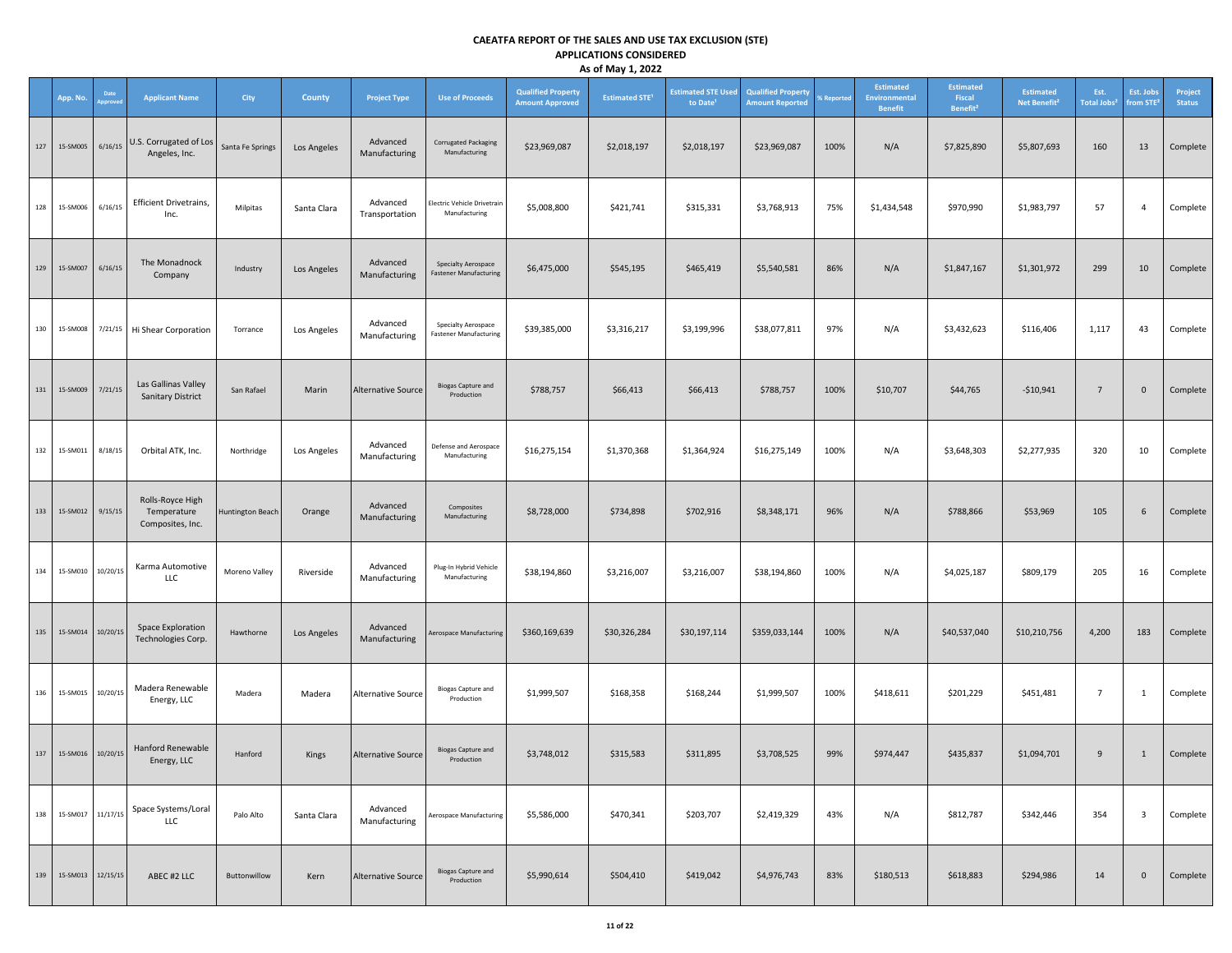|     | App. No.          | Date<br>pprove | <b>Applicant Name</b>                               | <b>City</b>      | County      | <b>Project Type</b>        | <b>Use of Proceeds</b>                                      | <b>Qualified Property</b><br><b>Amount Approved</b> | $\cdots$<br><b>Estimated STE<sup>1</sup></b> | <b>Estimated STE Used</b><br>to Date <sup>1</sup> | <b>Qualified Property</b><br><b>Amount Reported</b> | <b>6 Reported</b> | Estimated<br><b>Environmental</b><br><b>Benefit</b> | <b>Estimated</b><br>Fiscal<br>Benefit <sup>2</sup> | <b>Estimated</b><br>Net Benefit <sup>2</sup> | Est.<br>Total Jobs <sup>2</sup> | Est. Jobs<br>rom STE <sup>2</sup> | Project<br><b>Status</b> |
|-----|-------------------|----------------|-----------------------------------------------------|------------------|-------------|----------------------------|-------------------------------------------------------------|-----------------------------------------------------|----------------------------------------------|---------------------------------------------------|-----------------------------------------------------|-------------------|-----------------------------------------------------|----------------------------------------------------|----------------------------------------------|---------------------------------|-----------------------------------|--------------------------|
| 127 | 15-SM005          | 6/16/15        | U.S. Corrugated of Los<br>Angeles, Inc.             | Santa Fe Springs | Los Angeles | Advanced<br>Manufacturing  | <b>Corrugated Packaging</b><br>Manufacturing                | \$23,969,087                                        | \$2,018,197                                  | \$2,018,197                                       | \$23,969,087                                        | 100%              | N/A                                                 | \$7,825,890                                        | \$5,807,693                                  | 160                             | 13                                | Complete                 |
| 128 | 15-SM006          | 6/16/15        | Efficient Drivetrains,<br>Inc.                      | Milpitas         | Santa Clara | Advanced<br>Transportation | Electric Vehicle Drivetrain<br>Manufacturing                | \$5,008,800                                         | \$421,741                                    | \$315,331                                         | \$3,768,913                                         | 75%               | \$1,434,548                                         | \$970,990                                          | \$1,983,797                                  | 57                              | $\overline{4}$                    | Complete                 |
| 129 | 15-SM007          | 6/16/15        | The Monadnock<br>Company                            | Industry         | Los Angeles | Advanced<br>Manufacturing  | Specialty Aerospace<br><b>Fastener Manufacturing</b>        | \$6,475,000                                         | \$545,195                                    | \$465,419                                         | \$5,540,581                                         | 86%               | N/A                                                 | \$1,847,167                                        | \$1,301,972                                  | 299                             | 10                                | Complete                 |
| 130 | 15-SM008          | 7/21/15        | Hi Shear Corporation                                | Torrance         | Los Angeles | Advanced<br>Manufacturing  | <b>Specialty Aerospace</b><br><b>Fastener Manufacturing</b> | \$39,385,000                                        | \$3,316,217                                  | \$3,199,996                                       | \$38,077,811                                        | 97%               | N/A                                                 | \$3,432,623                                        | \$116,406                                    | 1,117                           | 43                                | Complete                 |
| 131 | 15-SM009          | 7/21/15        | Las Gallinas Valley<br><b>Sanitary District</b>     | San Rafael       | Marin       | <b>Alternative Source</b>  | <b>Biogas Capture and</b><br>Production                     | \$788,757                                           | \$66,413                                     | \$66,413                                          | \$788,757                                           | 100%              | \$10,707                                            | \$44,765                                           | $-$10,941$                                   | $\overline{7}$                  | $\mathbf 0$                       | Complete                 |
| 132 | 15-SM011          | 8/18/15        | Orbital ATK, Inc.                                   | Northridge       | Los Angeles | Advanced<br>Manufacturing  | Defense and Aerospace<br>Manufacturing                      | \$16,275,154                                        | \$1,370,368                                  | \$1,364,924                                       | \$16,275,149                                        | 100%              | N/A                                                 | \$3,648,303                                        | \$2,277,935                                  | 320                             | 10                                | Complete                 |
| 133 | 15-SM012          | 9/15/15        | Rolls-Royce High<br>Temperature<br>Composites, Inc. | Huntington Beach | Orange      | Advanced<br>Manufacturing  | Composites<br>Manufacturing                                 | \$8,728,000                                         | \$734,898                                    | \$702,916                                         | \$8,348,171                                         | 96%               | N/A                                                 | \$788,866                                          | \$53,969                                     | 105                             | 6                                 | Complete                 |
| 134 | 15-SM010          | 10/20/15       | Karma Automotive<br>LLC                             | Moreno Valley    | Riverside   | Advanced<br>Manufacturing  | Plug-In Hybrid Vehicle<br>Manufacturing                     | \$38,194,860                                        | \$3,216,007                                  | \$3,216,007                                       | \$38,194,860                                        | 100%              | N/A                                                 | \$4,025,187                                        | \$809,179                                    | 205                             | 16                                | Complete                 |
| 135 | 15-SM014          | 10/20/15       | Space Exploration<br>Technologies Corp.             | Hawthorne        | Los Angeles | Advanced<br>Manufacturing  | Aerospace Manufacturing                                     | \$360,169,639                                       | \$30,326,284                                 | \$30,197,114                                      | \$359,033,144                                       | 100%              | N/A                                                 | \$40,537,040                                       | \$10,210,756                                 | 4,200                           | 183                               | Complete                 |
| 136 | 15-SM015          | 10/20/15       | Madera Renewable<br>Energy, LLC                     | Madera           | Madera      | <b>Alternative Source</b>  | <b>Biogas Capture and</b><br>Production                     | \$1,999,507                                         | \$168,358                                    | \$168,244                                         | \$1,999,507                                         | 100%              | \$418,611                                           | \$201,229                                          | \$451,481                                    | $\overline{7}$                  | $\mathbf{1}$                      | Complete                 |
| 137 | 15-SM016 10/20/15 |                | Hanford Renewable<br>Energy, LLC                    | Hanford          | Kings       | <b>Alternative Source</b>  | <b>Biogas Capture and</b><br>Production                     | \$3,748,012                                         | \$315,583                                    | \$311,895                                         | \$3,708,525                                         | 99%               | \$974,447                                           | \$435,837                                          | \$1,094,701                                  | $\overline{9}$                  | 1                                 | Complete                 |
| 138 | 15-SM017 11/17/15 |                | Space Systems/Loral<br><b>LLC</b>                   | Palo Alto        | Santa Clara | Advanced<br>Manufacturing  | Aerospace Manufacturing                                     | \$5,586,000                                         | \$470,341                                    | \$203,707                                         | \$2,419,329                                         | 43%               | N/A                                                 | \$812,787                                          | \$342,446                                    | 354                             | $\overline{\mathbf{3}}$           | Complete                 |
| 139 | 15-SM013          | 12/15/15       | ABEC #2 LLC                                         | Buttonwillow     | Kern        | <b>Alternative Source</b>  | <b>Biogas Capture and</b><br>Production                     | \$5,990,614                                         | \$504,410                                    | \$419,042                                         | \$4,976,743                                         | 83%               | \$180,513                                           | \$618,883                                          | \$294,986                                    | 14                              | $\mathbf 0$                       | Complete                 |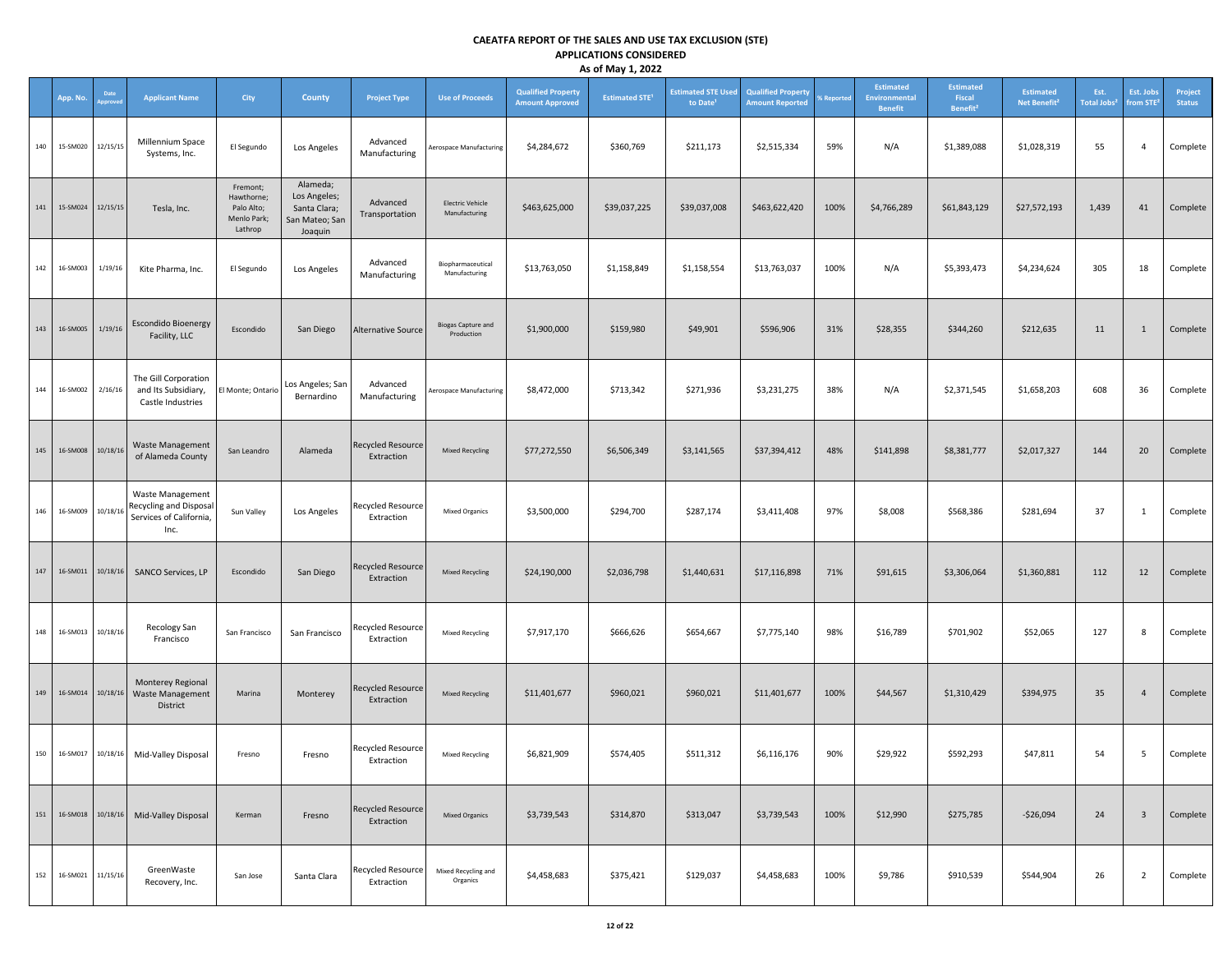|     |          |                |                                                                               |                                                                |                                                                       |                                        |                                          |                                                     | -, -, --                         |                                                   |                                                     |                   |                                                     |                                                    |                                              |                                 |                                    |                          |
|-----|----------|----------------|-------------------------------------------------------------------------------|----------------------------------------------------------------|-----------------------------------------------------------------------|----------------------------------------|------------------------------------------|-----------------------------------------------------|----------------------------------|---------------------------------------------------|-----------------------------------------------------|-------------------|-----------------------------------------------------|----------------------------------------------------|----------------------------------------------|---------------------------------|------------------------------------|--------------------------|
|     | App. No. | Date<br>pprove | <b>Applicant Name</b>                                                         | City                                                           | <b>County</b>                                                         | <b>Project Type</b>                    | <b>Use of Proceeds</b>                   | <b>Qualified Property</b><br><b>Amount Approved</b> | <b>Estimated STE<sup>1</sup></b> | <b>Estimated STE Used</b><br>to Date <sup>1</sup> | <b>Qualified Property</b><br><b>Amount Reported</b> | <b>6 Reported</b> | <b>Estimated</b><br>Environmental<br><b>Benefit</b> | <b>Estimated</b><br>Fiscal<br>Benefit <sup>2</sup> | <b>Estimated</b><br>Net Benefit <sup>2</sup> | Est.<br>Total Jobs <sup>2</sup> | Est. Jobs<br>from STE <sup>3</sup> | Project<br><b>Status</b> |
| 140 | 15-SM020 | 12/15/15       | Millennium Space<br>Systems, Inc.                                             | El Segundo                                                     | Los Angeles                                                           | Advanced<br>Manufacturing              | Aerospace Manufacturing                  | \$4,284,672                                         | \$360,769                        | \$211,173                                         | \$2,515,334                                         | 59%               | N/A                                                 | \$1,389,088                                        | \$1,028,319                                  | 55                              | $\overline{4}$                     | Complete                 |
| 141 | 15-SM024 | 12/15/15       | Tesla, Inc.                                                                   | Fremont;<br>Hawthorne;<br>Palo Alto;<br>Menlo Park;<br>Lathrop | Alameda;<br>Los Angeles;<br>Santa Clara;<br>San Mateo; San<br>Joaquin | Advanced<br>Transportation             | <b>Electric Vehicle</b><br>Manufacturing | \$463,625,000                                       | \$39,037,225                     | \$39,037,008                                      | \$463,622,420                                       | 100%              | \$4,766,289                                         | \$61,843,129                                       | \$27,572,193                                 | 1,439                           | 41                                 | Complete                 |
| 142 | 16-SM003 | 1/19/16        | Kite Pharma, Inc.                                                             | El Segundo                                                     | Los Angeles                                                           | Advanced<br>Manufacturing              | Biopharmaceutical<br>Manufacturing       | \$13,763,050                                        | \$1,158,849                      | \$1,158,554                                       | \$13,763,037                                        | 100%              | N/A                                                 | \$5,393,473                                        | \$4,234,624                                  | 305                             | 18                                 | Complete                 |
| 143 | 16-SM005 | 1/19/16        | <b>Escondido Bioenergy</b><br>Facility, LLC                                   | Escondido                                                      | San Diego                                                             | <b>Alternative Source</b>              | <b>Biogas Capture and</b><br>Production  | \$1,900,000                                         | \$159,980                        | \$49,901                                          | \$596,906                                           | 31%               | \$28,355                                            | \$344,260                                          | \$212,635                                    | 11                              | 1                                  | Complete                 |
| 144 | 16-SM002 | 2/16/16        | The Gill Corporation<br>and Its Subsidiary,<br>Castle Industries              | El Monte; Ontario                                              | Los Angeles; San<br>Bernardino                                        | Advanced<br>Manufacturing              | Aerospace Manufacturing                  | \$8,472,000                                         | \$713,342                        | \$271,936                                         | \$3,231,275                                         | 38%               | N/A                                                 | \$2,371,545                                        | \$1,658,203                                  | 608                             | 36                                 | Complete                 |
| 145 | 16-SM008 | 10/18/16       | Waste Management<br>of Alameda County                                         | San Leandro                                                    | Alameda                                                               | <b>Recycled Resource</b><br>Extraction | <b>Mixed Recycling</b>                   | \$77,272,550                                        | \$6,506,349                      | \$3,141,565                                       | \$37,394,412                                        | 48%               | \$141,898                                           | \$8,381,777                                        | \$2,017,327                                  | 144                             | 20                                 | Complete                 |
| 146 | 16-SM009 | 10/18/16       | Waste Management<br>Recycling and Disposal<br>Services of California,<br>Inc. | Sun Valley                                                     | Los Angeles                                                           | Recycled Resource<br>Extraction        | <b>Mixed Organics</b>                    | \$3,500,000                                         | \$294,700                        | \$287,174                                         | \$3,411,408                                         | 97%               | \$8,008                                             | \$568,386                                          | \$281,694                                    | 37                              | $\mathbf{1}$                       | Complete                 |
| 147 | 16-SM011 | 10/18/16       | SANCO Services, LP                                                            | Escondido                                                      | San Diego                                                             | <b>Recycled Resource</b><br>Extraction | <b>Mixed Recycling</b>                   | \$24,190,000                                        | \$2,036,798                      | \$1,440,631                                       | \$17,116,898                                        | 71%               | \$91,615                                            | \$3,306,064                                        | \$1,360,881                                  | 112                             | 12                                 | Complete                 |
| 148 | 16-SM013 | 10/18/16       | Recology San<br>Francisco                                                     | San Francisco                                                  | San Francisco                                                         | Recycled Resource<br>Extraction        | Mixed Recycling                          | \$7,917,170                                         | \$666,626                        | \$654,667                                         | \$7,775,140                                         | 98%               | \$16,789                                            | \$701,902                                          | \$52,065                                     | 127                             | 8                                  | Complete                 |
| 149 | 16-SM014 | 10/18/16       | Monterey Regional<br><b>Waste Management</b><br>District                      | Marina                                                         | Monterey                                                              | <b>Recycled Resource</b><br>Extraction | <b>Mixed Recycling</b>                   | \$11,401,677                                        | \$960,021                        | \$960,021                                         | \$11,401,677                                        | 100%              | \$44,567                                            | \$1,310,429                                        | \$394,975                                    | 35                              | $\overline{4}$                     | Complete                 |
| 150 | 16-SM017 | 10/18/16       | Mid-Valley Disposal                                                           | Fresno                                                         | Fresno                                                                | Recycled Resource<br>Extraction        | Mixed Recycling                          | \$6,821,909                                         | \$574,405                        | \$511,312                                         | \$6,116,176                                         | 90%               | \$29,922                                            | \$592,293                                          | \$47,811                                     | 54                              | 5                                  | Complete                 |
| 151 | 16-SM018 | 10/18/16       | Mid-Valley Disposal                                                           | Kerman                                                         | Fresno                                                                | <b>Recycled Resource</b><br>Extraction | <b>Mixed Organics</b>                    | \$3,739,543                                         | \$314,870                        | \$313,047                                         | \$3,739,543                                         | 100%              | \$12,990                                            | \$275,785                                          | $-526,094$                                   | 24                              | $\overline{\mathbf{3}}$            | Complete                 |
| 152 | 16-SM021 | 11/15/16       | GreenWaste<br>Recovery, Inc.                                                  | San Jose                                                       | Santa Clara                                                           | Recycled Resource<br>Extraction        | Mixed Recycling and<br>Organics          | \$4,458,683                                         | \$375,421                        | \$129,037                                         | \$4,458,683                                         | 100%              | \$9,786                                             | \$910,539                                          | \$544,904                                    | 26                              | $\overline{2}$                     | Complete                 |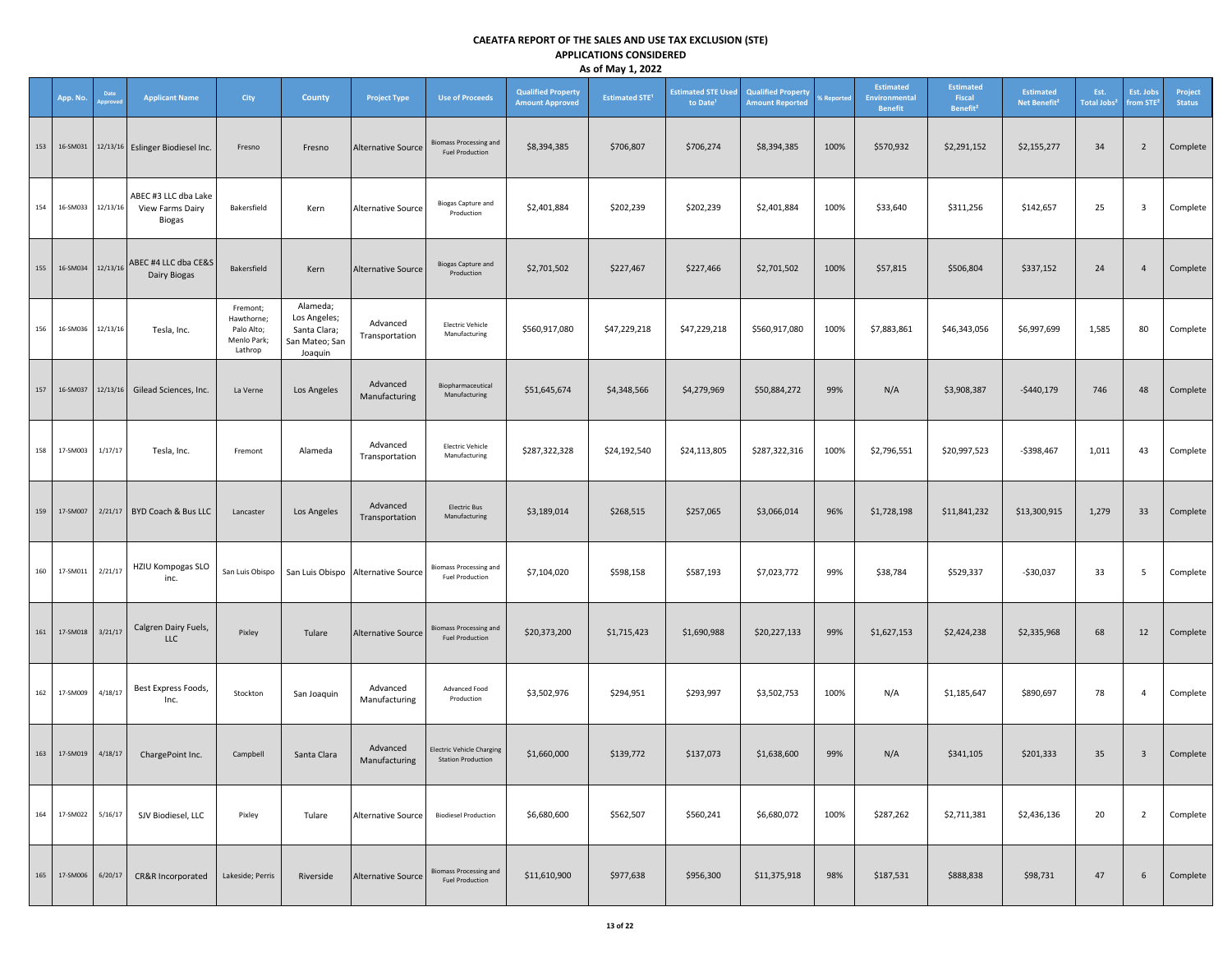|     |              |          |                                                    |                                                                |                                                                       |                                    |                                                               |                                                     | -, -, -                          |                                                   |                                                     |            |                                                     |                                                    |                                              |                                       |                          |                          |
|-----|--------------|----------|----------------------------------------------------|----------------------------------------------------------------|-----------------------------------------------------------------------|------------------------------------|---------------------------------------------------------------|-----------------------------------------------------|----------------------------------|---------------------------------------------------|-----------------------------------------------------|------------|-----------------------------------------------------|----------------------------------------------------|----------------------------------------------|---------------------------------------|--------------------------|--------------------------|
|     | App. No.     | Date     | <b>Applicant Name</b>                              | City                                                           | <b>County</b>                                                         | <b>Project Type</b>                | <b>Use of Proceeds</b>                                        | <b>Qualified Property</b><br><b>Amount Approved</b> | <b>Estimated STE<sup>1</sup></b> | <b>Estimated STE Used</b><br>to Date <sup>1</sup> | <b>Qualified Property</b><br><b>Amount Reported</b> | % Reported | Estimated<br><b>Environmental</b><br><b>Benefit</b> | <b>Estimated</b><br>Fiscal<br>Benefit <sup>2</sup> | <b>Estimated</b><br>Net Benefit <sup>2</sup> | Est.<br><b>Total Jobs<sup>2</sup></b> | Est. Jobs<br>from $STE2$ | Project<br><b>Status</b> |
| 153 | 16-SM031     |          | 12/13/16 Eslinger Biodiesel Inc.                   | Fresno                                                         | Fresno                                                                | <b>Alternative Source</b>          | <b>Biomass Processing and</b><br><b>Fuel Production</b>       | \$8,394,385                                         | \$706,807                        | \$706,274                                         | \$8,394,385                                         | 100%       | \$570,932                                           | \$2,291,152                                        | \$2,155,277                                  | 34                                    | $\overline{2}$           | Complete                 |
| 154 | 16-SM033     | 12/13/16 | ABEC #3 LLC dba Lake<br>View Farms Dairy<br>Biogas | Bakersfield                                                    | Kern                                                                  | <b>Alternative Source</b>          | <b>Biogas Capture and</b><br>Production                       | \$2,401,884                                         | \$202,239                        | \$202,239                                         | \$2,401,884                                         | 100%       | \$33,640                                            | \$311,256                                          | \$142,657                                    | 25                                    | $\overline{\mathbf{3}}$  | Complete                 |
| 155 | 16-SM034     | 12/13/16 | ABEC #4 LLC dba CE&S<br>Dairy Biogas               | Bakersfield                                                    | Kern                                                                  | <b>Alternative Source</b>          | <b>Biogas Capture and</b><br>Production                       | \$2,701,502                                         | \$227,467                        | \$227,466                                         | \$2,701,502                                         | 100%       | \$57,815                                            | \$506,804                                          | \$337,152                                    | 24                                    | $\overline{4}$           | Complete                 |
| 156 | 16-SM036     | 12/13/16 | Tesla, Inc.                                        | Fremont;<br>Hawthorne;<br>Palo Alto;<br>Menlo Park;<br>Lathrop | Alameda;<br>Los Angeles;<br>Santa Clara;<br>San Mateo; San<br>Joaquin | Advanced<br>Transportation         | Electric Vehicle<br>Manufacturing                             | \$560,917,080                                       | \$47,229,218                     | \$47,229,218                                      | \$560,917,080                                       | 100%       | \$7,883,861                                         | \$46,343,056                                       | \$6,997,699                                  | 1,585                                 | 80                       | Complete                 |
| 157 | 16-SM037     | 12/13/16 | Gilead Sciences, Inc.                              | La Verne                                                       | Los Angeles                                                           | Advanced<br>Manufacturing          | Biopharmaceutical<br>Manufacturing                            | \$51,645,674                                        | \$4,348,566                      | \$4,279,969                                       | \$50,884,272                                        | 99%        | N/A                                                 | \$3,908,387                                        | $-$440,179$                                  | 746                                   | 48                       | Complete                 |
| 158 | 17-SM003     | 1/17/17  | Tesla, Inc.                                        | Fremont                                                        | Alameda                                                               | Advanced<br>Transportation         | <b>Electric Vehicle</b><br>Manufacturing                      | \$287,322,328                                       | \$24,192,540                     | \$24,113,805                                      | \$287,322,316                                       | 100%       | \$2,796,551                                         | \$20,997,523                                       | -\$398,467                                   | 1,011                                 | 43                       | Complete                 |
| 159 | 17-SM007     |          | 2/21/17 BYD Coach & Bus LLC                        | Lancaster                                                      | Los Angeles                                                           | Advanced<br>Transportation         | <b>Electric Bus</b><br>Manufacturing                          | \$3,189,014                                         | \$268,515                        | \$257,065                                         | \$3,066,014                                         | 96%        | \$1,728,198                                         | \$11,841,232                                       | \$13,300,915                                 | 1,279                                 | 33                       | Complete                 |
| 160 | 17-SM011     | 2/21/17  | HZIU Kompogas SLO<br>inc.                          | San Luis Obispo                                                |                                                                       | San Luis Obispo Alternative Source | <b>Biomass Processing and</b><br><b>Fuel Production</b>       | \$7,104,020                                         | \$598,158                        | \$587,193                                         | \$7,023,772                                         | 99%        | \$38,784                                            | \$529,337                                          | $-$30,037$                                   | 33                                    | $5\overline{5}$          | Complete                 |
| 161 | 17-SM018     | 3/21/17  | Calgren Dairy Fuels,<br><b>LLC</b>                 | Pixley                                                         | Tulare                                                                | <b>Alternative Source</b>          | <b>Biomass Processing and</b><br><b>Fuel Production</b>       | \$20,373,200                                        | \$1,715,423                      | \$1,690,988                                       | \$20,227,133                                        | 99%        | \$1,627,153                                         | \$2,424,238                                        | \$2,335,968                                  | 68                                    | 12                       | Complete                 |
| 162 | 17-SM009     | 4/18/17  | Best Express Foods,<br>Inc.                        | Stockton                                                       | San Joaquin                                                           | Advanced<br>Manufacturing          | Advanced Food<br>Production                                   | \$3,502,976                                         | \$294,951                        | \$293,997                                         | \$3,502,753                                         | 100%       | N/A                                                 | \$1,185,647                                        | \$890,697                                    | 78                                    | $\overline{4}$           | Complete                 |
|     | 163 17-SM019 | 4/18/17  | ChargePoint Inc.                                   | Campbell                                                       | Santa Clara                                                           | Advanced<br>Manufacturing          | <b>Electric Vehicle Charging</b><br><b>Station Production</b> | \$1,660,000                                         | \$139,772                        | \$137,073                                         | \$1,638,600                                         | 99%        | N/A                                                 | \$341,105                                          | \$201,333                                    | 35                                    | $\overline{\mathbf{3}}$  | Complete                 |
| 164 | 17-SM022     | 5/16/17  | SJV Biodiesel, LLC                                 | Pixley                                                         | Tulare                                                                | <b>Alternative Source</b>          | <b>Biodiesel Production</b>                                   | \$6,680,600                                         | \$562,507                        | \$560,241                                         | \$6,680,072                                         | 100%       | \$287,262                                           | \$2,711,381                                        | \$2,436,136                                  | 20                                    | $\overline{2}$           | Complete                 |
| 165 | 17-SM006     | 6/20/17  | CR&R Incorporated                                  | Lakeside; Perris                                               | Riverside                                                             | <b>Alternative Source</b>          | <b>Biomass Processing and</b><br><b>Fuel Production</b>       | \$11,610,900                                        | \$977,638                        | \$956,300                                         | \$11,375,918                                        | 98%        | \$187,531                                           | \$888,838                                          | \$98,731                                     | 47                                    | 6                        | Complete                 |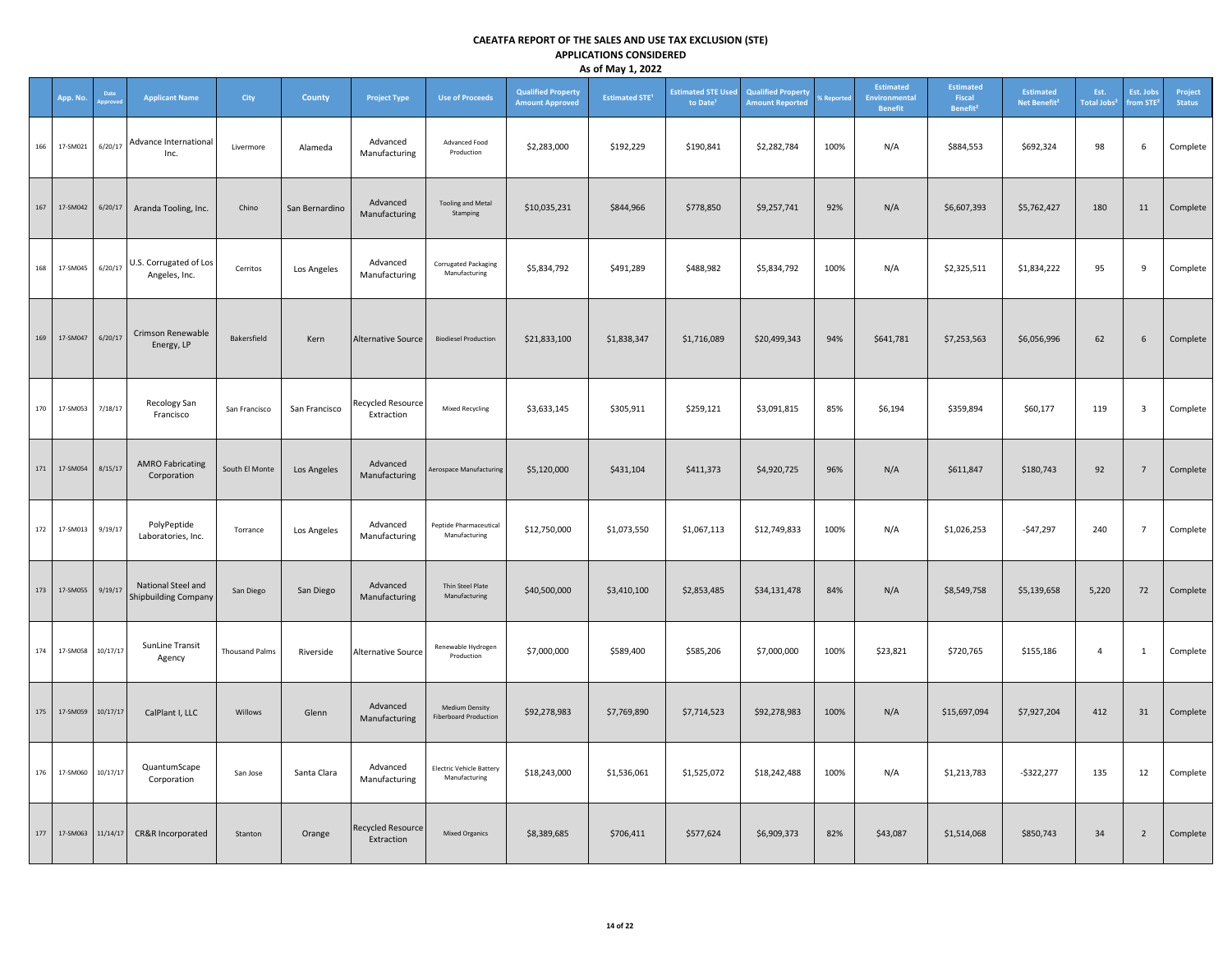|     | App. No.     | Date     | <b>Applicant Name</b>                             | City                  | County         | <b>Project Type</b>                    | <b>Use of Proceeds</b>                           | <b>Qualified Property</b><br><b>Amount Approved</b> | <b>Estimated STE<sup>1</sup></b> | <b>Estimated STE Used</b><br>to Date <sup>1</sup> | <b>Qualified Property</b><br><b>Amount Reported</b> | Reporte | <b>Estimated</b><br>Environmental<br><b>Benefit</b> | <b>Estimated</b><br>Fiscal<br>Benefit <sup>2</sup> | <b>Estimated</b><br>Net Benefit <sup>2</sup> | Est.<br><b>Total Jobs</b> | Est. Jobs<br>from STE <sup>2</sup> | Project<br><b>Status</b> |
|-----|--------------|----------|---------------------------------------------------|-----------------------|----------------|----------------------------------------|--------------------------------------------------|-----------------------------------------------------|----------------------------------|---------------------------------------------------|-----------------------------------------------------|---------|-----------------------------------------------------|----------------------------------------------------|----------------------------------------------|---------------------------|------------------------------------|--------------------------|
| 166 | 17-SM021     | 6/20/17  | Advance International<br>Inc.                     | Livermore             | Alameda        | Advanced<br>Manufacturing              | Advanced Food<br>Production                      | \$2,283,000                                         | \$192,229                        | \$190,841                                         | \$2,282,784                                         | 100%    | N/A                                                 | \$884,553                                          | \$692,324                                    | 98                        | 6                                  | Complete                 |
| 167 | 17-SM042     | 6/20/17  | Aranda Tooling, Inc.                              | Chino                 | San Bernardino | Advanced<br>Manufacturing              | <b>Tooling and Metal</b><br>Stamping             | \$10,035,231                                        | \$844,966                        | \$778,850                                         | \$9,257,741                                         | 92%     | N/A                                                 | \$6,607,393                                        | \$5,762,427                                  | 180                       | 11                                 | Complete                 |
| 168 | 17-SM045     | 6/20/17  | U.S. Corrugated of Los<br>Angeles, Inc.           | Cerritos              | Los Angeles    | Advanced<br>Manufacturing              | Corrugated Packaging<br>Manufacturing            | \$5,834,792                                         | \$491,289                        | \$488,982                                         | \$5,834,792                                         | 100%    | N/A                                                 | \$2,325,511                                        | \$1,834,222                                  | 95                        | 9                                  | Complete                 |
| 169 | 17-SM047     | 6/20/17  | Crimson Renewable<br>Energy, LP                   | Bakersfield           | Kern           | <b>Alternative Source</b>              | <b>Biodiesel Production</b>                      | \$21,833,100                                        | \$1,838,347                      | \$1,716,089                                       | \$20,499,343                                        | 94%     | \$641,781                                           | \$7,253,563                                        | \$6,056,996                                  | 62                        | 6                                  | Complete                 |
| 170 | 17-SM053     | 7/18/17  | Recology San<br>Francisco                         | San Francisco         | San Francisco  | <b>Recycled Resource</b><br>Extraction | <b>Mixed Recycling</b>                           | \$3,633,145                                         | \$305,911                        | \$259,121                                         | \$3,091,815                                         | 85%     | \$6,194                                             | \$359,894                                          | \$60,177                                     | 119                       | $\overline{\mathbf{3}}$            | Complete                 |
| 171 | 17-SM054     | 8/15/17  | <b>AMRO Fabricating</b><br>Corporation            | South El Monte        | Los Angeles    | Advanced<br>Manufacturing              | Aerospace Manufacturing                          | \$5,120,000                                         | \$431,104                        | \$411,373                                         | \$4,920,725                                         | 96%     | N/A                                                 | \$611,847                                          | \$180,743                                    | 92                        | $7\overline{ }$                    | Complete                 |
| 172 | 17-SM013     | 9/19/17  | PolyPeptide<br>Laboratories, Inc.                 | Torrance              | Los Angeles    | Advanced<br>Manufacturing              | Peptide Pharmaceutical<br>Manufacturing          | \$12,750,000                                        | \$1,073,550                      | \$1,067,113                                       | \$12,749,833                                        | 100%    | N/A                                                 | \$1,026,253                                        | $-547,297$                                   | 240                       | $7\overline{ }$                    | Complete                 |
| 173 | 17-SM055     | 9/19/17  | National Steel and<br><b>Shipbuilding Company</b> | San Diego             | San Diego      | Advanced<br>Manufacturing              | Thin Steel Plate<br>Manufacturing                | \$40,500,000                                        | \$3,410,100                      | \$2,853,485                                       | \$34,131,478                                        | 84%     | N/A                                                 | \$8,549,758                                        | \$5,139,658                                  | 5,220                     | 72                                 | Complete                 |
| 174 | 17-SM058     | 10/17/17 | SunLine Transit<br>Agency                         | <b>Thousand Palms</b> | Riverside      | <b>Alternative Source</b>              | Renewable Hydrogen<br>Production                 | \$7,000,000                                         | \$589,400                        | \$585,206                                         | \$7,000,000                                         | 100%    | \$23,821                                            | \$720,765                                          | \$155,186                                    | $\overline{4}$            | $\mathbf{1}$                       | Complete                 |
| 175 | 17-SM059     | 10/17/17 | CalPlant I, LLC                                   | Willows               | Glenn          | Advanced<br>Manufacturing              | Medium Density<br><b>Fiberboard Production</b>   | \$92,278,983                                        | \$7,769,890                      | \$7,714,523                                       | \$92,278,983                                        | 100%    | N/A                                                 | \$15,697,094                                       | \$7,927,204                                  | 412                       | 31                                 | Complete                 |
| 176 | 17-SM060     | 10/17/17 | QuantumScape<br>Corporation                       | San Jose              | Santa Clara    | Advanced<br>Manufacturing              | <b>Electric Vehicle Battery</b><br>Manufacturing | \$18,243,000                                        | \$1,536,061                      | \$1,525,072                                       | \$18,242,488                                        | 100%    | N/A                                                 | \$1,213,783                                        | $-$322,277$                                  | 135                       | 12                                 | Complete                 |
|     | 177 17-SM063 | 11/14/17 | CR&R Incorporated                                 | Stanton               | Orange         | <b>Recycled Resource</b><br>Extraction | <b>Mixed Organics</b>                            | \$8,389,685                                         | \$706,411                        | \$577,624                                         | \$6,909,373                                         | 82%     | \$43,087                                            | \$1,514,068                                        | \$850,743                                    | 34                        | $\overline{2}$                     | Complete                 |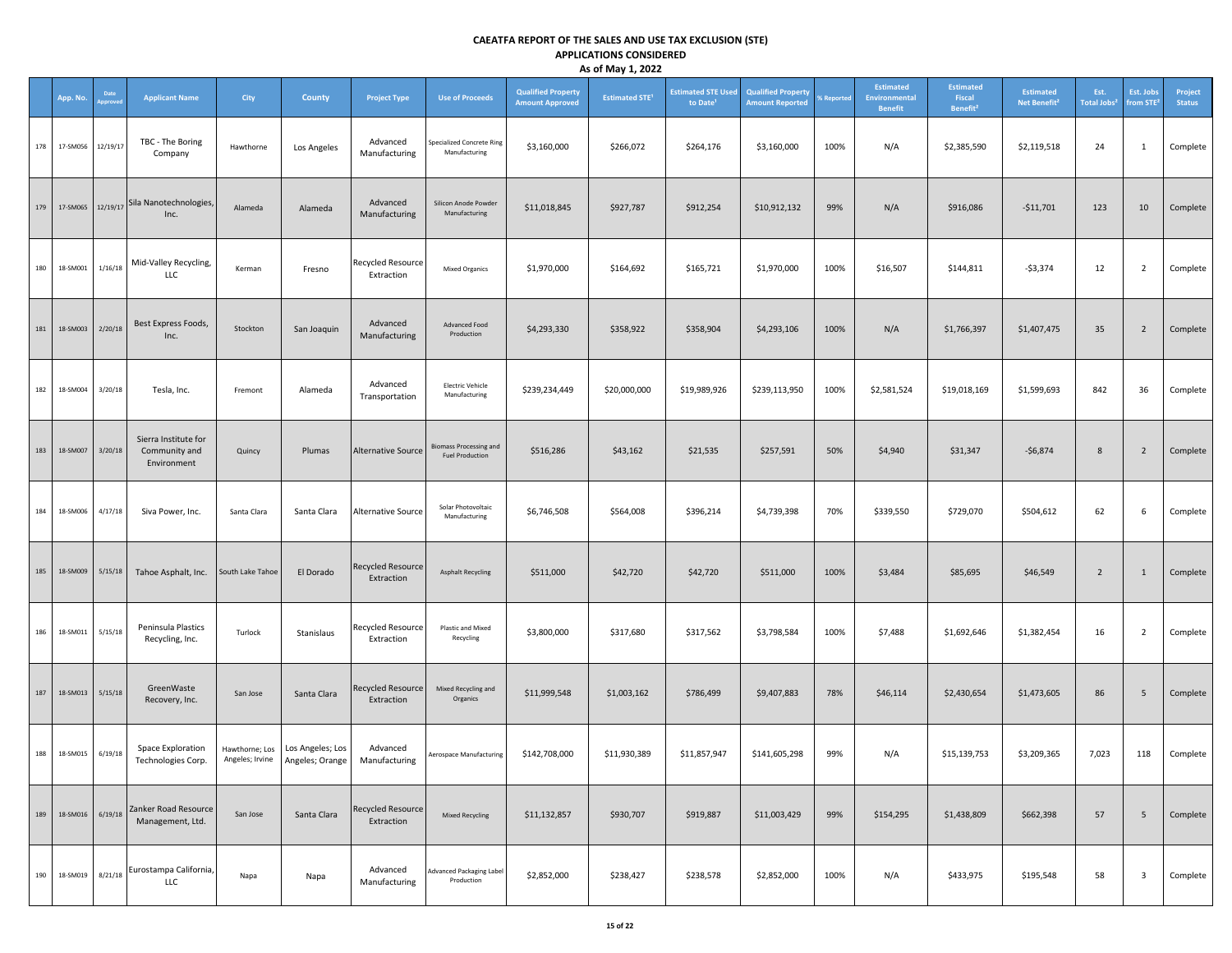|     |                   |                |                                                      |                                   |                                     |                                        |                                                         |                                                     | -, -, --                         |                                                   |                                                     |            |                                              |                                                    |                                              |                                       |                                    |                          |
|-----|-------------------|----------------|------------------------------------------------------|-----------------------------------|-------------------------------------|----------------------------------------|---------------------------------------------------------|-----------------------------------------------------|----------------------------------|---------------------------------------------------|-----------------------------------------------------|------------|----------------------------------------------|----------------------------------------------------|----------------------------------------------|---------------------------------------|------------------------------------|--------------------------|
|     | App. No.          | Date<br>pprove | <b>Applicant Name</b>                                | City                              | County                              | <b>Project Type</b>                    | <b>Use of Proceeds</b>                                  | <b>Qualified Property</b><br><b>Amount Approved</b> | <b>Estimated STE<sup>1</sup></b> | <b>Estimated STE Used</b><br>to Date <sup>1</sup> | <b>Qualified Property</b><br><b>Amount Reported</b> | % Reported | Estimated<br>Environmental<br><b>Benefit</b> | <b>Estimated</b><br>Fiscal<br>Benefit <sup>2</sup> | <b>Estimated</b><br>Net Benefit <sup>2</sup> | Est.<br><b>Total Jobs<sup>2</sup></b> | Est. Jobs<br>from STE <sup>3</sup> | Project<br><b>Status</b> |
| 178 | 17-SM056          | 12/19/17       | TBC - The Boring<br>Company                          | Hawthorne                         | Los Angeles                         | Advanced<br>Manufacturing              | Specialized Concrete Ring<br>Manufacturing              | \$3,160,000                                         | \$266,072                        | \$264,176                                         | \$3,160,000                                         | 100%       | N/A                                          | \$2,385,590                                        | \$2,119,518                                  | 24                                    | $\mathbf{1}$                       | Complete                 |
| 179 | 17-SM065 12/19/17 |                | Sila Nanotechnologies,<br>Inc.                       | Alameda                           | Alameda                             | Advanced<br>Manufacturing              | Silicon Anode Powder<br>Manufacturing                   | \$11,018,845                                        | \$927,787                        | \$912,254                                         | \$10,912,132                                        | 99%        | N/A                                          | \$916,086                                          | $-$11,701$                                   | 123                                   | 10                                 | Complete                 |
| 180 | 18-SM001          | 1/16/18        | Mid-Valley Recycling,<br>LLC                         | Kerman                            | Fresno                              | <b>Recycled Resource</b><br>Extraction | <b>Mixed Organics</b>                                   | \$1,970,000                                         | \$164,692                        | \$165,721                                         | \$1,970,000                                         | 100%       | \$16,507                                     | \$144,811                                          | $-53,374$                                    | 12                                    | $\overline{2}$                     | Complete                 |
| 181 | 18-SM003          | 2/20/18        | Best Express Foods,<br>Inc.                          | Stockton                          | San Joaquin                         | Advanced<br>Manufacturing              | Advanced Food<br>Production                             | \$4,293,330                                         | \$358,922                        | \$358,904                                         | \$4,293,106                                         | 100%       | N/A                                          | \$1,766,397                                        | \$1,407,475                                  | 35                                    | $\overline{2}$                     | Complete                 |
| 182 | 18-SM004          | 3/20/18        | Tesla, Inc.                                          | Fremont                           | Alameda                             | Advanced<br>Transportation             | <b>Electric Vehicle</b><br>Manufacturing                | \$239,234,449                                       | \$20,000,000                     | \$19,989,926                                      | \$239,113,950                                       | 100%       | \$2,581,524                                  | \$19,018,169                                       | \$1,599,693                                  | 842                                   | 36                                 | Complete                 |
| 183 | 18-SM007          | 3/20/18        | Sierra Institute for<br>Community and<br>Environment | Quincy                            | Plumas                              | <b>Alternative Source</b>              | <b>Biomass Processing and</b><br><b>Fuel Production</b> | \$516,286                                           | \$43,162                         | \$21,535                                          | \$257,591                                           | 50%        | \$4,940                                      | \$31,347                                           | $-$6,874$                                    | 8                                     | $\overline{2}$                     | Complete                 |
| 184 | 18-SM006          | 4/17/18        | Siva Power, Inc.                                     | Santa Clara                       | Santa Clara                         | Alternative Source                     | Solar Photovoltaic<br>Manufacturing                     | \$6,746,508                                         | \$564,008                        | \$396,214                                         | \$4,739,398                                         | 70%        | \$339,550                                    | \$729,070                                          | \$504,612                                    | 62                                    | 6                                  | Complete                 |
| 185 | 18-SM009          | 5/15/18        | Tahoe Asphalt, Inc.                                  | South Lake Tahoe                  | El Dorado                           | <b>Recycled Resource</b><br>Extraction | <b>Asphalt Recycling</b>                                | \$511,000                                           | \$42,720                         | \$42,720                                          | \$511,000                                           | 100%       | \$3,484                                      | \$85,695                                           | \$46,549                                     | $\overline{2}$                        | $\mathbf{1}$                       | Complete                 |
| 186 | 18-SM011          | 5/15/18        | Peninsula Plastics<br>Recycling, Inc.                | Turlock                           | Stanislaus                          | Recycled Resource<br>Extraction        | Plastic and Mixed<br>Recycling                          | \$3,800,000                                         | \$317,680                        | \$317,562                                         | \$3,798,584                                         | 100%       | \$7,488                                      | \$1,692,646                                        | \$1,382,454                                  | 16                                    | $\overline{2}$                     | Complete                 |
| 187 | 18-SM013          | 5/15/18        | GreenWaste<br>Recovery, Inc.                         | San Jose                          | Santa Clara                         | <b>Recycled Resource</b><br>Extraction | Mixed Recycling and<br>Organics                         | \$11,999,548                                        | \$1,003,162                      | \$786,499                                         | \$9,407,883                                         | 78%        | \$46,114                                     | \$2,430,654                                        | \$1,473,605                                  | 86                                    | 5                                  | Complete                 |
| 188 | 18-SM015          | 6/19/18        | Space Exploration<br>Technologies Corp.              | Hawthorne; Los<br>Angeles; Irvine | Los Angeles; Los<br>Angeles; Orange | Advanced<br>Manufacturing              | Aerospace Manufacturing                                 | \$142,708,000                                       | \$11,930,389                     | \$11,857,947                                      | \$141,605,298                                       | 99%        | N/A                                          | \$15,139,753                                       | \$3,209,365                                  | 7,023                                 | 118                                | Complete                 |
| 189 | 18-SM016          | 6/19/18        | Zanker Road Resource<br>Management, Ltd.             | San Jose                          | Santa Clara                         | <b>Recycled Resource</b><br>Extraction | Mixed Recycling                                         | \$11,132,857                                        | \$930,707                        | \$919,887                                         | \$11,003,429                                        | 99%        | \$154,295                                    | \$1,438,809                                        | \$662,398                                    | 57                                    | 5                                  | Complete                 |
| 190 | 18-SM019          | 8/21/18        | Eurostampa California,<br>LLC                        | Napa                              | Napa                                | Advanced<br>Manufacturing              | Advanced Packaging Label<br>Production                  | \$2,852,000                                         | \$238,427                        | \$238,578                                         | \$2,852,000                                         | 100%       | N/A                                          | \$433,975                                          | \$195,548                                    | 58                                    | $\overline{\mathbf{3}}$            | Complete                 |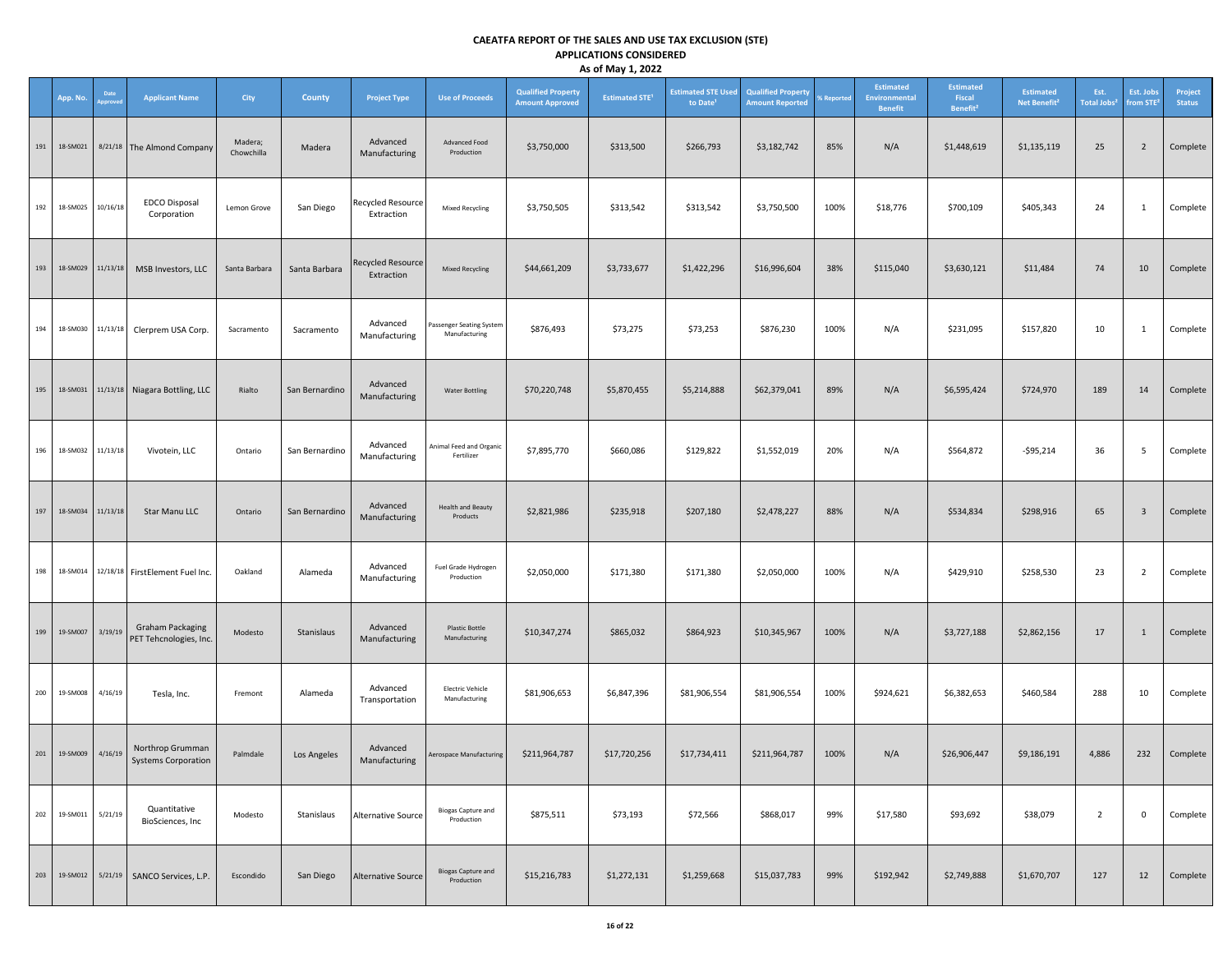|     |                        |               |                                                   |                       |                |                                        |                                           |                                                     | -- ---- <i>1 --</i> 1            |                                                   |                                                     |            |                                       |                                                    |                                              |                                       |                                    |                          |
|-----|------------------------|---------------|---------------------------------------------------|-----------------------|----------------|----------------------------------------|-------------------------------------------|-----------------------------------------------------|----------------------------------|---------------------------------------------------|-----------------------------------------------------|------------|---------------------------------------|----------------------------------------------------|----------------------------------------------|---------------------------------------|------------------------------------|--------------------------|
|     | App. No.               | Date<br>prove | <b>Applicant Name</b>                             | City                  | County         | <b>Project Type</b>                    | <b>Use of Proceeds</b>                    | <b>Qualified Property</b><br><b>Amount Approved</b> | <b>Estimated STE<sup>1</sup></b> | <b>Estimated STE Used</b><br>to Date <sup>1</sup> | <b>Qualified Property</b><br><b>Amount Reported</b> | % Reported | Estimated<br>Environmental<br>Benefit | <b>Estimated</b><br>Fiscal<br>Benefit <sup>2</sup> | <b>Estimated</b><br>Net Benefit <sup>2</sup> | Est.<br><b>Total Jobs<sup>2</sup></b> | Est. Jobs<br>from STE <sup>2</sup> | Project<br><b>Status</b> |
| 191 | 18-SM021               |               | 8/21/18 The Almond Company                        | Madera;<br>Chowchilla | Madera         | Advanced<br>Manufacturing              | Advanced Food<br>Production               | \$3,750,000                                         | \$313,500                        | \$266,793                                         | \$3,182,742                                         | 85%        | N/A                                   | \$1,448,619                                        | \$1,135,119                                  | 25                                    | $\overline{2}$                     | Complete                 |
| 192 | 18-SM025               | 10/16/18      | <b>EDCO Disposal</b><br>Corporation               | Lemon Grove           | San Diego      | <b>Recycled Resource</b><br>Extraction | Mixed Recycling                           | \$3,750,505                                         | \$313,542                        | \$313,542                                         | \$3,750,500                                         | 100%       | \$18,776                              | \$700,109                                          | \$405,343                                    | 24                                    | $\mathbf{1}$                       | Complete                 |
| 193 | 18-SM029               | 11/13/18      | MSB Investors, LLC                                | Santa Barbara         | Santa Barbara  | <b>Recycled Resource</b><br>Extraction | Mixed Recycling                           | \$44,661,209                                        | \$3,733,677                      | \$1,422,296                                       | \$16,996,604                                        | 38%        | \$115,040                             | \$3,630,121                                        | \$11,484                                     | 74                                    | 10                                 | Complete                 |
| 194 | 18-SM030               |               | 11/13/18 Clerprem USA Corp.                       | Sacramento            | Sacramento     | Advanced<br>Manufacturing              | Passenger Seating System<br>Manufacturing | \$876,493                                           | \$73,275                         | \$73,253                                          | \$876,230                                           | 100%       | N/A                                   | \$231,095                                          | \$157,820                                    | 10                                    | $\mathbf{1}$                       | Complete                 |
| 195 | 18-SM031               |               | 11/13/18 Niagara Bottling, LLC                    | Rialto                | San Bernardino | Advanced<br>Manufacturing              | <b>Water Bottling</b>                     | \$70,220,748                                        | \$5,870,455                      | \$5,214,888                                       | \$62,379,041                                        | 89%        | N/A                                   | \$6,595,424                                        | \$724,970                                    | 189                                   | 14                                 | Complete                 |
| 196 | 18-SM032               | 11/13/18      | Vivotein, LLC                                     | Ontario               | San Bernardino | Advanced<br>Manufacturing              | Animal Feed and Organic<br>Fertilizer     | \$7,895,770                                         | \$660,086                        | \$129,822                                         | \$1,552,019                                         | 20%        | N/A                                   | \$564,872                                          | $-595,214$                                   | 36                                    | 5 <sub>1</sub>                     | Complete                 |
| 197 | 18-SM034               | 11/13/18      | Star Manu LLC                                     | Ontario               | San Bernardino | Advanced<br>Manufacturing              | <b>Health and Beauty</b><br>Products      | \$2,821,986                                         | \$235,918                        | \$207,180                                         | \$2,478,227                                         | 88%        | N/A                                   | \$534,834                                          | \$298,916                                    | 65                                    | $\overline{\mathbf{3}}$            | Complete                 |
| 198 | 18-SM014               |               | 12/18/18 FirstElement Fuel Inc.                   | Oakland               | Alameda        | Advanced<br>Manufacturing              | Fuel Grade Hydrogen<br>Production         | \$2,050,000                                         | \$171,380                        | \$171,380                                         | \$2,050,000                                         | 100%       | N/A                                   | \$429,910                                          | \$258,530                                    | 23                                    | $\overline{2}$                     | Complete                 |
| 199 | 19-SM007               | 3/19/19       | <b>Graham Packaging</b><br>PET Tehcnologies, Inc. | Modesto               | Stanislaus     | Advanced<br>Manufacturing              | <b>Plastic Bottle</b><br>Manufacturing    | \$10,347,274                                        | \$865,032                        | \$864,923                                         | \$10,345,967                                        | 100%       | N/A                                   | \$3,727,188                                        | \$2,862,156                                  | 17                                    | 1                                  | Complete                 |
| 200 | 19-SM008               | 4/16/19       | Tesla, Inc.                                       | Fremont               | Alameda        | Advanced<br>Transportation             | <b>Electric Vehicle</b><br>Manufacturing  | \$81,906,653                                        | \$6,847,396                      | \$81,906,554                                      | \$81,906,554                                        | 100%       | \$924,621                             | \$6,382,653                                        | \$460,584                                    | 288                                   | 10                                 | Complete                 |
|     | 201  19-SM009  4/16/19 |               | Northrop Grumman<br><b>Systems Corporation</b>    | Palmdale              | Los Angeles    | Advanced<br>Manufacturing              | Aerospace Manufacturing                   | \$211,964,787                                       | \$17,720,256                     | \$17,734,411                                      | \$211,964,787                                       | 100%       | N/A                                   | \$26,906,447                                       | \$9,186,191                                  | 4,886                                 | 232                                | Complete                 |
| 202 | 19-SM011               | 5/21/19       | Quantitative<br>BioSciences, Inc                  | Modesto               | Stanislaus     | <b>Alternative Source</b>              | <b>Biogas Capture and</b><br>Production   | \$875,511                                           | \$73,193                         | \$72,566                                          | \$868,017                                           | 99%        | \$17,580                              | \$93,692                                           | \$38,079                                     | $\overline{2}$                        | 0                                  | Complete                 |
| 203 | 19-SM012               | 5/21/19       | SANCO Services, L.P.                              | Escondido             | San Diego      | <b>Alternative Source</b>              | <b>Biogas Capture and</b><br>Production   | \$15,216,783                                        | \$1,272,131                      | \$1,259,668                                       | \$15,037,783                                        | 99%        | \$192,942                             | \$2,749,888                                        | \$1,670,707                                  | 127                                   | 12                                 | Complete                 |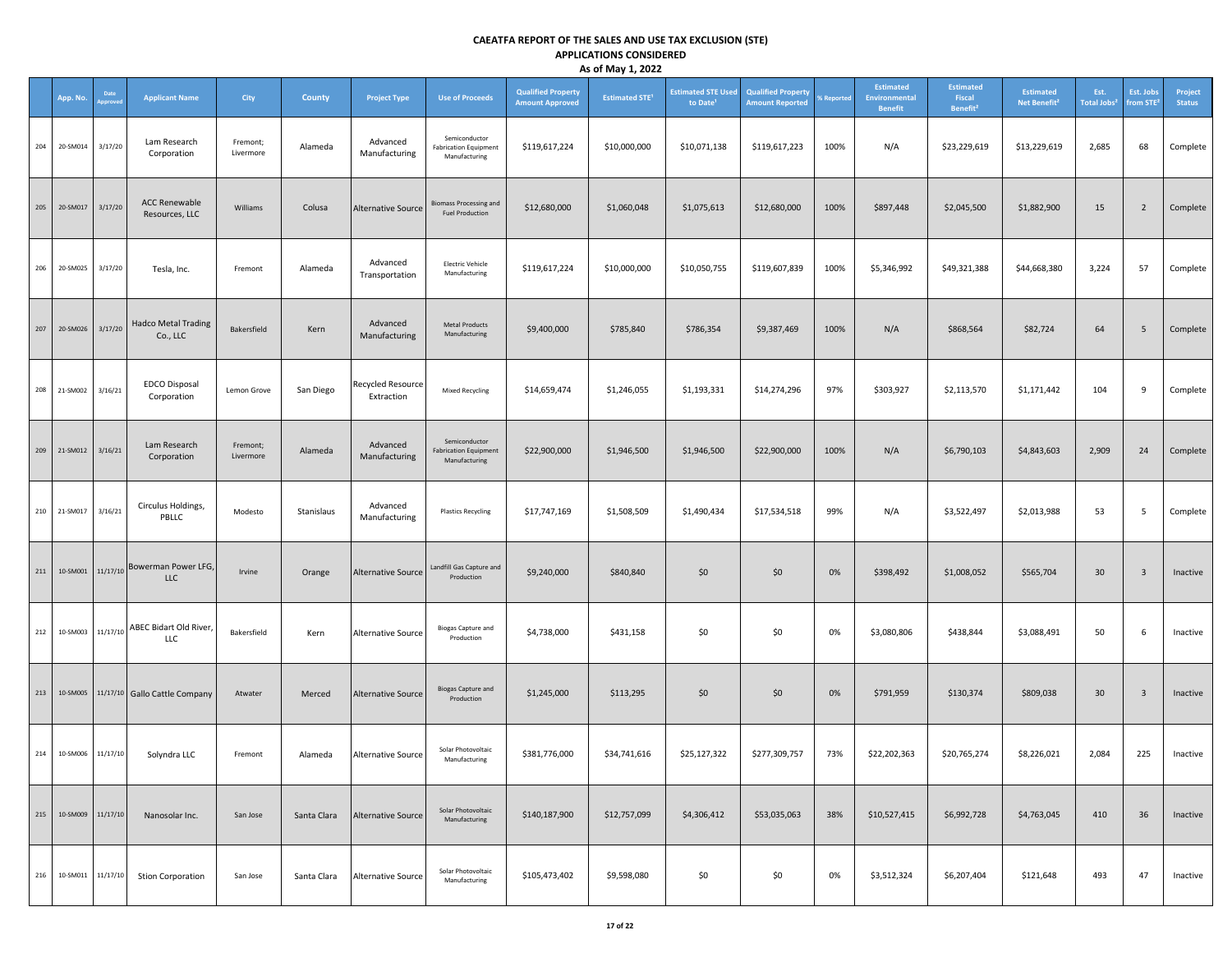|     |                      |          |                                                  |                       |               |                                 |                                                                |                                                     | , .,                             |                                                   |                                                     |                   |                                                     |                                                    |                                              |                                       |                                    |                          |
|-----|----------------------|----------|--------------------------------------------------|-----------------------|---------------|---------------------------------|----------------------------------------------------------------|-----------------------------------------------------|----------------------------------|---------------------------------------------------|-----------------------------------------------------|-------------------|-----------------------------------------------------|----------------------------------------------------|----------------------------------------------|---------------------------------------|------------------------------------|--------------------------|
|     | App. No.             | Date     | <b>Applicant Name</b>                            | City                  | <b>County</b> | <b>Project Type</b>             | <b>Use of Proceeds</b>                                         | <b>Qualified Property</b><br><b>Amount Approved</b> | <b>Estimated STE<sup>1</sup></b> | <b>Estimated STE Used</b><br>to Date <sup>1</sup> | <b>Qualified Property</b><br><b>Amount Reported</b> | <b>6 Reported</b> | Estimated<br><b>Environmental</b><br><b>Benefit</b> | <b>Estimated</b><br>Fiscal<br>Benefit <sup>2</sup> | <b>Estimated</b><br>Net Benefit <sup>2</sup> | Est.<br><b>Total Jobs<sup>2</sup></b> | Est. Jobs<br>from STE <sup>2</sup> | Project<br><b>Status</b> |
| 204 | 20-SM014             | 3/17/20  | Lam Research<br>Corporation                      | Fremont;<br>Livermore | Alameda       | Advanced<br>Manufacturing       | Semiconductor<br><b>Fabrication Equipment</b><br>Manufacturing | \$119,617,224                                       | \$10,000,000                     | \$10,071,138                                      | \$119,617,223                                       | 100%              | N/A                                                 | \$23,229,619                                       | \$13,229,619                                 | 2,685                                 | 68                                 | Complete                 |
| 205 | 20-SM017             | 3/17/20  | <b>ACC Renewable</b><br>Resources, LLC           | Williams              | Colusa        | <b>Alternative Source</b>       | <b>Biomass Processing and</b><br><b>Fuel Production</b>        | \$12,680,000                                        | \$1,060,048                      | \$1,075,613                                       | \$12,680,000                                        | 100%              | \$897,448                                           | \$2,045,500                                        | \$1,882,900                                  | 15                                    | $\overline{2}$                     | Complete                 |
| 206 | 20-SM025             | 3/17/20  | Tesla, Inc.                                      | Fremont               | Alameda       | Advanced<br>Transportation      | <b>Electric Vehicle</b><br>Manufacturing                       | \$119,617,224                                       | \$10,000,000                     | \$10,050,755                                      | \$119,607,839                                       | 100%              | \$5,346,992                                         | \$49,321,388                                       | \$44,668,380                                 | 3,224                                 | 57                                 | Complete                 |
|     | 207 20-SM026         | 3/17/20  | <b>Hadco Metal Trading</b><br>Co., LLC           | Bakersfield           | Kern          | Advanced<br>Manufacturing       | <b>Metal Products</b><br>Manufacturing                         | \$9,400,000                                         | \$785,840                        | \$786,354                                         | \$9,387,469                                         | 100%              | N/A                                                 | \$868,564                                          | \$82,724                                     | 64                                    | $5\phantom{.0}$                    | Complete                 |
| 208 | 21-SM002             | 3/16/21  | EDCO Disposal<br>Corporation                     | Lemon Grove           | San Diego     | Recycled Resource<br>Extraction | Mixed Recycling                                                | \$14,659,474                                        | \$1,246,055                      | \$1,193,331                                       | \$14,274,296                                        | 97%               | \$303,927                                           | \$2,113,570                                        | \$1,171,442                                  | 104                                   | 9                                  | Complete                 |
| 209 | 21-SM012             | 3/16/21  | Lam Research<br>Corporation                      | Fremont;<br>Livermore | Alameda       | Advanced<br>Manufacturing       | Semiconductor<br><b>Fabrication Equipment</b><br>Manufacturing | \$22,900,000                                        | \$1,946,500                      | \$1,946,500                                       | \$22,900,000                                        | 100%              | N/A                                                 | \$6,790,103                                        | \$4,843,603                                  | 2,909                                 | 24                                 | Complete                 |
|     | 210 21-SM017 3/16/21 |          | Circulus Holdings,<br>PBLLC                      | Modesto               | Stanislaus    | Advanced<br>Manufacturing       | <b>Plastics Recycling</b>                                      | \$17,747,169                                        | \$1,508,509                      | \$1,490,434                                       | \$17,534,518                                        | 99%               | N/A                                                 | \$3,522,497                                        | \$2,013,988                                  | 53                                    | 5                                  | Complete                 |
|     |                      |          | 211 10-SM001 11/17/10 Bowerman Power LFG,<br>LLC | Irvine                | Orange        | Alternative Source              | Landfill Gas Capture and<br>Production                         | \$9,240,000                                         | \$840,840                        | \$0                                               | \$0                                                 | 0%                | \$398,492                                           | \$1,008,052                                        | \$565,704                                    | 30                                    | $\overline{\mathbf{3}}$            | Inactive                 |
| 212 | 10-SM003 11/17/10    |          | ABEC Bidart Old River,<br>LLC                    | Bakersfield           | Kern          | Alternative Source              | <b>Biogas Capture and</b><br>Production                        | \$4,738,000                                         | \$431,158                        | \$0                                               | \$0                                                 | 0%                | \$3,080,806                                         | \$438,844                                          | \$3,088,491                                  | 50                                    | 6                                  | Inactive                 |
| 213 | 10-SM005             |          | 11/17/10 Gallo Cattle Company                    | Atwater               | Merced        | Alternative Source              | <b>Biogas Capture and</b><br>Production                        | \$1,245,000                                         | \$113,295                        | \$0                                               | \$0                                                 | 0%                | \$791,959                                           | \$130,374                                          | \$809,038                                    | 30                                    | $\overline{\mathbf{3}}$            | Inactive                 |
| 214 | 10-SM006 11/17/10    |          | Solyndra LLC                                     | Fremont               | Alameda       | Alternative Source              | Solar Photovoltaic<br>Manufacturing                            | \$381,776,000                                       | \$34,741,616                     | \$25,127,322                                      | \$277,309,757                                       | 73%               | \$22,202,363                                        | \$20,765,274                                       | \$8,226,021                                  | 2,084                                 | 225                                | Inactive                 |
| 215 | 10-SM009             | 11/17/10 | Nanosolar Inc.                                   | San Jose              | Santa Clara   | <b>Alternative Source</b>       | Solar Photovoltaic<br>Manufacturing                            | \$140,187,900                                       | \$12,757,099                     | \$4,306,412                                       | \$53,035,063                                        | 38%               | \$10,527,415                                        | \$6,992,728                                        | \$4,763,045                                  | 410                                   | 36                                 | Inactive                 |
| 216 | 10-SM011             | 11/17/10 | <b>Stion Corporation</b>                         | San Jose              | Santa Clara   | <b>Alternative Source</b>       | Solar Photovoltaic<br>Manufacturing                            | \$105,473,402                                       | \$9,598,080                      | \$0                                               | \$0                                                 | 0%                | \$3,512,324                                         | \$6,207,404                                        | \$121,648                                    | 493                                   | 47                                 | Inactive                 |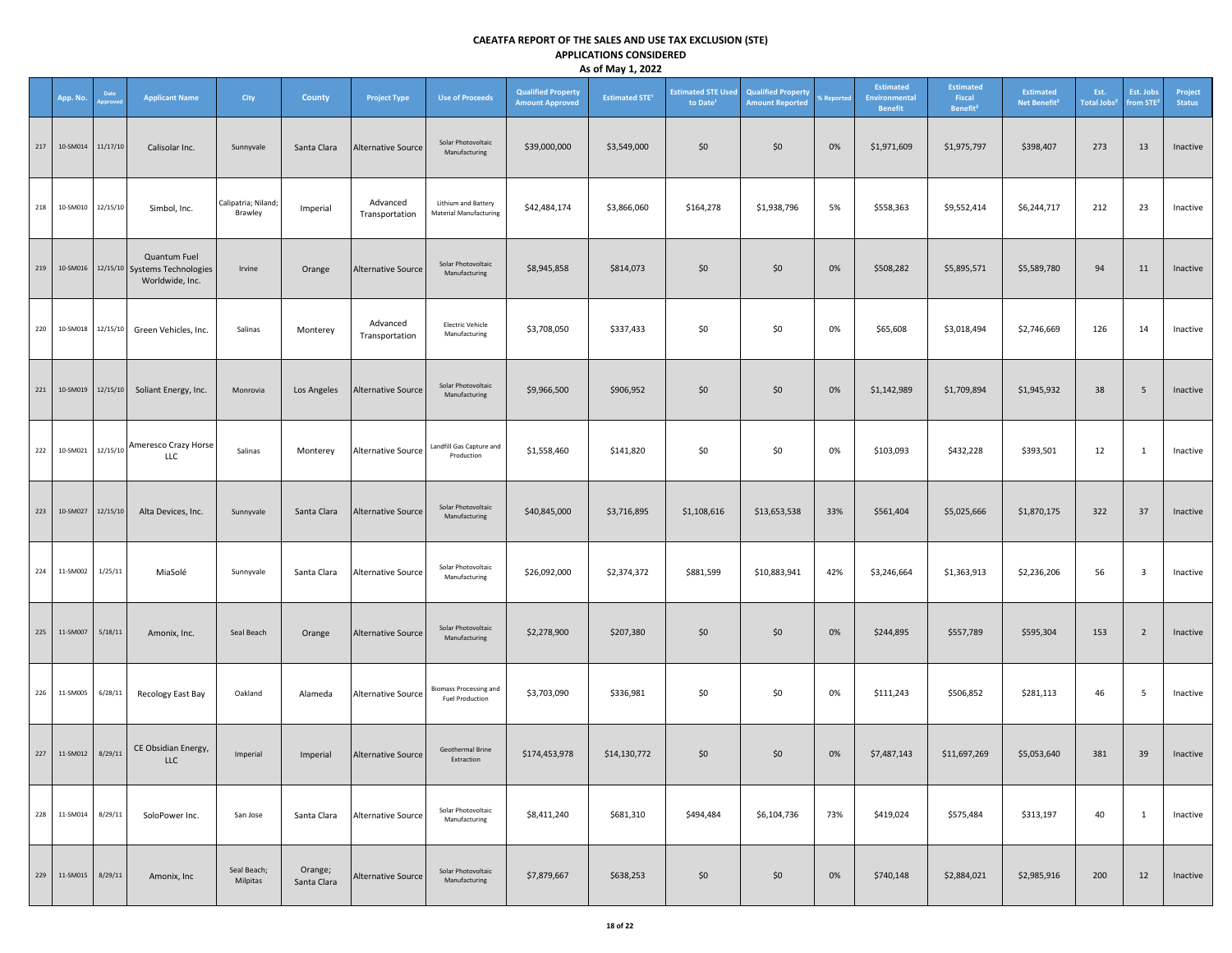|     | App. No.             | Date<br>pprove | <b>Applicant Name</b>                                                     | City                           | County                 | <b>Project Type</b>        | <b>Use of Proceeds</b>                                  | <b>Qualified Property</b><br><b>Amount Approved</b> | <b>Estimated STE<sup>1</sup></b> | <b>Estimated STE Used</b><br>to Date <sup>1</sup> | <b>Qualified Property</b><br><b>Amount Reported</b> | % Reported | Estimated<br>Environmental<br><b>Benefit</b> | <b>Estimated</b><br>Fiscal<br>Benefit <sup>2</sup> | <b>Estimated</b><br>Net Benefit <sup>2</sup> | Est.<br>Total Jobs <sup>2</sup> | Est. Jobs<br>from STE <sup>2</sup> | Project<br><b>Status</b> |
|-----|----------------------|----------------|---------------------------------------------------------------------------|--------------------------------|------------------------|----------------------------|---------------------------------------------------------|-----------------------------------------------------|----------------------------------|---------------------------------------------------|-----------------------------------------------------|------------|----------------------------------------------|----------------------------------------------------|----------------------------------------------|---------------------------------|------------------------------------|--------------------------|
| 217 | 10-SM014             | 11/17/10       | Calisolar Inc.                                                            | Sunnyvale                      | Santa Clara            | Alternative Source         | Solar Photovoltaic<br>Manufacturing                     | \$39,000,000                                        | \$3,549,000                      | \$0                                               | \$0                                                 | 0%         | \$1,971,609                                  | \$1,975,797                                        | \$398,407                                    | 273                             | 13                                 | Inactive                 |
| 218 | 10-SM010             | 12/15/10       | Simbol, Inc.                                                              | Calipatria; Niland;<br>Brawley | Imperial               | Advanced<br>Transportation | Lithium and Battery<br>Material Manufacturing           | \$42,484,174                                        | \$3,866,060                      | \$164,278                                         | \$1,938,796                                         | 5%         | \$558,363                                    | \$9,552,414                                        | \$6,244,717                                  | 212                             | 23                                 | Inactive                 |
| 219 |                      |                | Quantum Fuel<br>10-SM016 12/15/10 Systems Technologies<br>Worldwide, Inc. | Irvine                         | Orange                 | <b>Alternative Source</b>  | Solar Photovoltaic<br>Manufacturing                     | \$8,945,858                                         | \$814,073                        | \$0                                               | \$0                                                 | 0%         | \$508,282                                    | \$5,895,571                                        | \$5,589,780                                  | 94                              | 11                                 | Inactive                 |
|     | 220 10-SM018         |                | 12/15/10 Green Vehicles, Inc.                                             | Salinas                        | Monterey               | Advanced<br>Transportation | <b>Electric Vehicle</b><br>Manufacturing                | \$3,708,050                                         | \$337,433                        | \$0                                               | \$0                                                 | 0%         | \$65,608                                     | \$3,018,494                                        | \$2,746,669                                  | 126                             | 14                                 | Inactive                 |
|     |                      |                | 221 10-SM019 12/15/10 Soliant Energy, Inc.                                | Monrovia                       | Los Angeles            | Alternative Source         | Solar Photovoltaic<br>Manufacturing                     | \$9,966,500                                         | \$906,952                        | \$0                                               | \$0                                                 | 0%         | \$1,142,989                                  | \$1,709,894                                        | \$1,945,932                                  | 38                              | 5                                  | Inactive                 |
|     |                      |                | 222 10-SM021 22/15/10 Ameresco Crazy Horse<br>LLC                         | Salinas                        | Monterey               | Alternative Source         | Landfill Gas Capture and<br>Production                  | \$1,558,460                                         | \$141,820                        | \$0                                               | \$0                                                 | 0%         | \$103,093                                    | \$432,228                                          | \$393,501                                    | 12                              | $\mathbf{1}$                       | Inactive                 |
| 223 | 10-SM027             | 12/15/10       | Alta Devices, Inc.                                                        | Sunnyvale                      | Santa Clara            | Alternative Source         | Solar Photovoltaic<br>Manufacturing                     | \$40,845,000                                        | \$3,716,895                      | \$1,108,616                                       | \$13,653,538                                        | 33%        | \$561,404                                    | \$5,025,666                                        | \$1,870,175                                  | 322                             | 37                                 | Inactive                 |
|     | 224 11-SM002         | 1/25/11        | MiaSolé                                                                   | Sunnyvale                      | Santa Clara            | Alternative Source         | Solar Photovoltaic<br>Manufacturing                     | \$26,092,000                                        | \$2,374,372                      | \$881,599                                         | \$10,883,941                                        | 42%        | \$3,246,664                                  | \$1,363,913                                        | \$2,236,206                                  | 56                              | $\overline{\mathbf{3}}$            | Inactive                 |
| 225 | 11-SM007             | 5/18/11        | Amonix, Inc.                                                              | Seal Beach                     | Orange                 | Alternative Source         | Solar Photovoltaic<br>Manufacturing                     | \$2,278,900                                         | \$207,380                        | \$0                                               | \$0                                                 | 0%         | \$244,895                                    | \$557,789                                          | \$595,304                                    | 153                             | $\overline{2}$                     | Inactive                 |
| 226 | 11-SM005             | 6/28/11        | Recology East Bay                                                         | Oakland                        | Alameda                | Alternative Source         | <b>Biomass Processing and</b><br><b>Fuel Production</b> | \$3,703,090                                         | \$336,981                        | \$0                                               | \$0                                                 | 0%         | \$111,243                                    | \$506,852                                          | \$281,113                                    | 46                              | 5                                  | Inactive                 |
|     | 227 11-SM012 8/29/11 |                | CE Obsidian Energy,<br><b>LLC</b>                                         | Imperial                       | Imperial               | Alternative Source         | Geothermal Brine<br>Extraction                          | \$174,453,978                                       | \$14,130,772                     | \$0                                               | \$0                                                 | 0%         | \$7,487,143                                  | \$11,697,269                                       | \$5,053,640                                  | 381                             | 39                                 | Inactive                 |
| 228 | 11-SM014             | 8/29/11        | SoloPower Inc.                                                            | San Jose                       | Santa Clara            | <b>Alternative Source</b>  | Solar Photovoltaic<br>Manufacturing                     | \$8,411,240                                         | \$681,310                        | \$494,484                                         | \$6,104,736                                         | 73%        | \$419,024                                    | \$575,484                                          | \$313,197                                    | 40                              | $\mathbf{1}$                       | Inactive                 |
| 229 | 11-SM015             | 8/29/11        | Amonix, Inc                                                               | Seal Beach;<br>Milpitas        | Orange;<br>Santa Clara | Alternative Source         | Solar Photovoltaic<br>Manufacturing                     | \$7,879,667                                         | \$638,253                        | \$0                                               | \$0                                                 | 0%         | \$740,148                                    | \$2,884,021                                        | \$2,985,916                                  | 200                             | 12                                 | Inactive                 |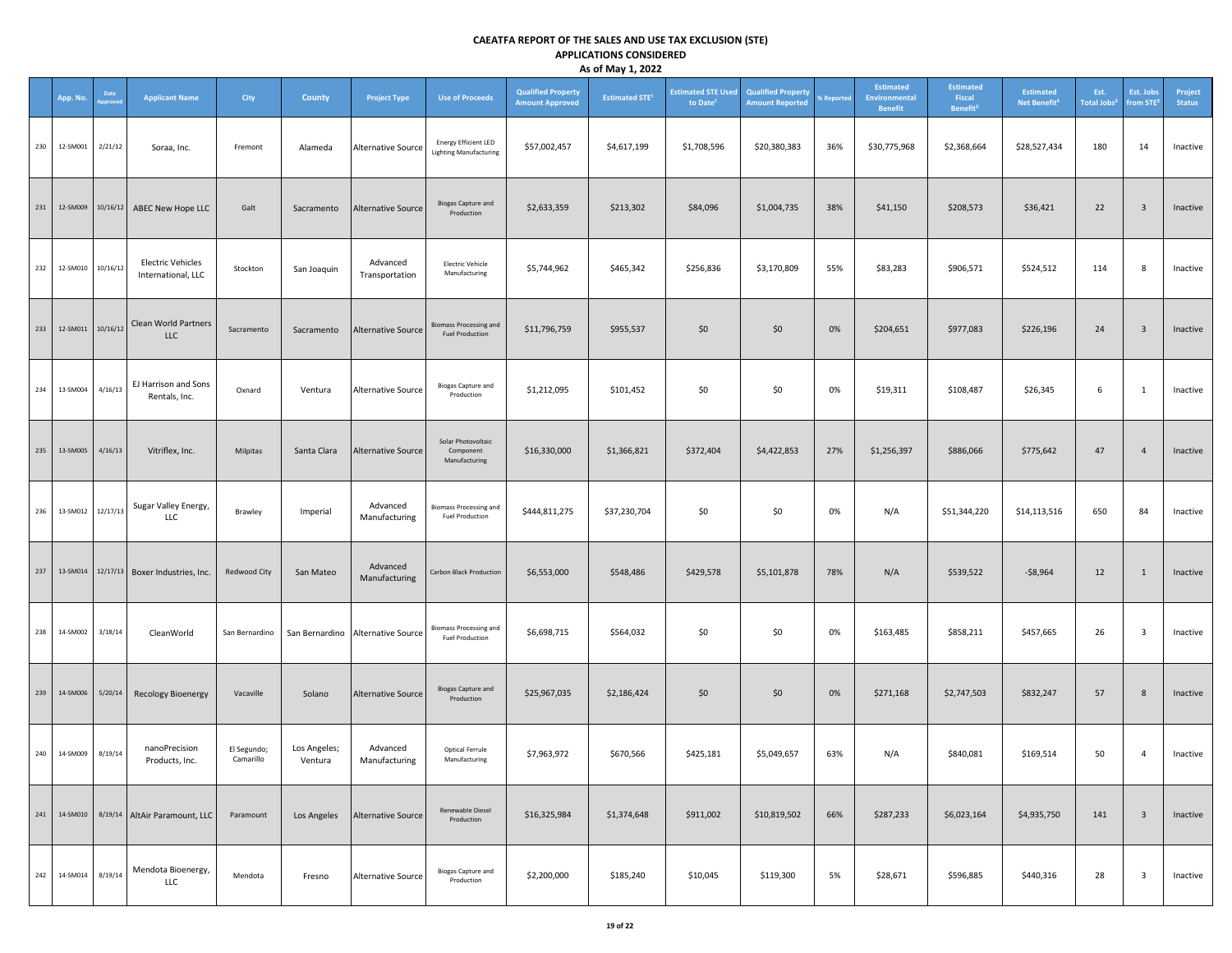|     | App. No.              | Date    | <b>Applicant Name</b>                          | City                     | County                  | <b>Project Type</b>               | <b>Use of Proceeds</b>                                       | <b>Qualified Property</b><br><b>Amount Approved</b> | <b>Estimated STE<sup>1</sup></b> | <b>Estimated STE Used</b><br>to Date <sup>1</sup> | <b>Qualified Property</b><br><b>Amount Reported</b> | % Reported | Estimated<br>Environmental<br>Benefit | <b>Estimated</b><br>Fiscal<br>Benefit <sup>2</sup> | <b>Estimated</b><br>Net Benefit <sup>2</sup> | Est.<br><b>Total Jobs<sup>2</sup></b> | Est. Jobs<br>from STE   | Project<br><b>Status</b> |
|-----|-----------------------|---------|------------------------------------------------|--------------------------|-------------------------|-----------------------------------|--------------------------------------------------------------|-----------------------------------------------------|----------------------------------|---------------------------------------------------|-----------------------------------------------------|------------|---------------------------------------|----------------------------------------------------|----------------------------------------------|---------------------------------------|-------------------------|--------------------------|
| 230 | 12-SM001              | 2/21/12 | Soraa, Inc.                                    | Fremont                  | Alameda                 | <b>Alternative Source</b>         | <b>Energy Efficient LED</b><br><b>Lighting Manufacturing</b> | \$57,002,457                                        | \$4,617,199                      | \$1,708,596                                       | \$20,380,383                                        | 36%        | \$30,775,968                          | \$2,368,664                                        | \$28,527,434                                 | 180                                   | 14                      | Inactive                 |
| 231 | 12-SM009              |         | 10/16/12 ABEC New Hope LLC                     | Galt                     | Sacramento              | Alternative Source                | <b>Biogas Capture and</b><br>Production                      | \$2,633,359                                         | \$213,302                        | \$84,096                                          | \$1,004,735                                         | 38%        | \$41,150                              | \$208,573                                          | \$36,421                                     | 22                                    | $\overline{\mathbf{3}}$ | Inactive                 |
|     | 232 12-SM010 10/16/12 |         | <b>Electric Vehicles</b><br>International, LLC | Stockton                 | San Joaquin             | Advanced<br>Transportation        | <b>Electric Vehicle</b><br>Manufacturing                     | \$5,744,962                                         | \$465,342                        | \$256,836                                         | \$3,170,809                                         | 55%        | \$83,283                              | \$906,571                                          | \$524,512                                    | 114                                   | 8                       | Inactive                 |
|     | 233 12-SM011 10/16/12 |         | Clean World Partners<br><b>LLC</b>             | Sacramento               | Sacramento              | Alternative Source                | <b>Biomass Processing and</b><br><b>Fuel Production</b>      | \$11,796,759                                        | \$955,537                        | \$0                                               | \$0                                                 | 0%         | \$204,651                             | \$977,083                                          | \$226,196                                    | 24                                    | $\overline{\mathbf{3}}$ | Inactive                 |
| 234 | 13-SM004              | 4/16/13 | EJ Harrison and Sons<br>Rentals, Inc.          | Oxnard                   | Ventura                 | <b>Alternative Source</b>         | <b>Biogas Capture and</b><br>Production                      | \$1,212,095                                         | \$101,452                        | \$0                                               | \$0                                                 | 0%         | \$19,311                              | \$108,487                                          | \$26,345                                     | 6                                     | $\mathbf{1}$            | Inactive                 |
| 235 | 13-SM005              | 4/16/13 | Vitriflex, Inc.                                | Milpitas                 | Santa Clara             | <b>Alternative Source</b>         | Solar Photovoltaic<br>Component<br>Manufacturing             | \$16,330,000                                        | \$1,366,821                      | \$372,404                                         | \$4,422,853                                         | 27%        | \$1,256,397                           | \$886,066                                          | \$775,642                                    | 47                                    | $\overline{4}$          | Inactive                 |
|     | 236 13-SM012 12/17/13 |         | Sugar Valley Energy,<br>LLC                    | Brawley                  | Imperial                | Advanced<br>Manufacturing         | <b>Biomass Processing and</b><br><b>Fuel Production</b>      | \$444,811,275                                       | \$37,230,704                     | \$0                                               | \$0                                                 | 0%         | N/A                                   | \$51,344,220                                       | \$14,113,516                                 | 650                                   | 84                      | Inactive                 |
| 237 | 13-SM014              |         | 12/17/13 Boxer Industries, Inc.                | Redwood City             | San Mateo               | Advanced<br>Manufacturing         | <b>Carbon Black Production</b>                               | \$6,553,000                                         | \$548,486                        | \$429,578                                         | \$5,101,878                                         | 78%        | N/A                                   | \$539,522                                          | $-58,964$                                    | 12                                    | $\mathbf{1}$            | Inactive                 |
| 238 | 14-SM002              | 3/18/14 | CleanWorld                                     | San Bernardino           |                         | San Bernardino Alternative Source | <b>Biomass Processing and</b><br><b>Fuel Production</b>      | \$6,698,715                                         | \$564,032                        | \$0                                               | \$0                                                 | 0%         | \$163,485                             | \$858,211                                          | \$457,665                                    | 26                                    | $\overline{\mathbf{3}}$ | Inactive                 |
| 239 | 14-SM006              | 5/20/14 | <b>Recology Bioenergy</b>                      | Vacaville                | Solano                  | <b>Alternative Source</b>         | <b>Biogas Capture and</b><br>Production                      | \$25,967,035                                        | \$2,186,424                      | \$0                                               | \$0                                                 | 0%         | \$271,168                             | \$2,747,503                                        | \$832,247                                    | 57                                    | 8                       | Inactive                 |
| 240 | 14-SM009 8/19/14      |         | nanoPrecision<br>Products, Inc.                | El Segundo;<br>Camarillo | Los Angeles;<br>Ventura | Advanced<br>Manufacturing         | Optical Ferrule<br>Manufacturing                             | \$7,963,972                                         | \$670,566                        | \$425,181                                         | \$5,049,657                                         | 63%        | N/A                                   | \$840,081                                          | \$169,514                                    | 50                                    | $\overline{4}$          | Inactive                 |
| 241 | 14-SM010              |         | 8/19/14 AltAir Paramount, LLC                  | Paramount                | Los Angeles             | Alternative Source                | Renewable Diesel<br>Production                               | \$16,325,984                                        | \$1,374,648                      | \$911,002                                         | \$10,819,502                                        | 66%        | \$287,233                             | \$6,023,164                                        | \$4,935,750                                  | 141                                   | $\overline{\mathbf{3}}$ | Inactive                 |
| 242 | 14-SM014              | 8/19/14 | Mendota Bioenergy,<br>LLC                      | Mendota                  | Fresno                  | <b>Alternative Source</b>         | <b>Biogas Capture and</b><br>Production                      | \$2,200,000                                         | \$185,240                        | \$10,045                                          | \$119,300                                           | 5%         | \$28,671                              | \$596,885                                          | \$440,316                                    | 28                                    | $\overline{\mathbf{3}}$ | Inactive                 |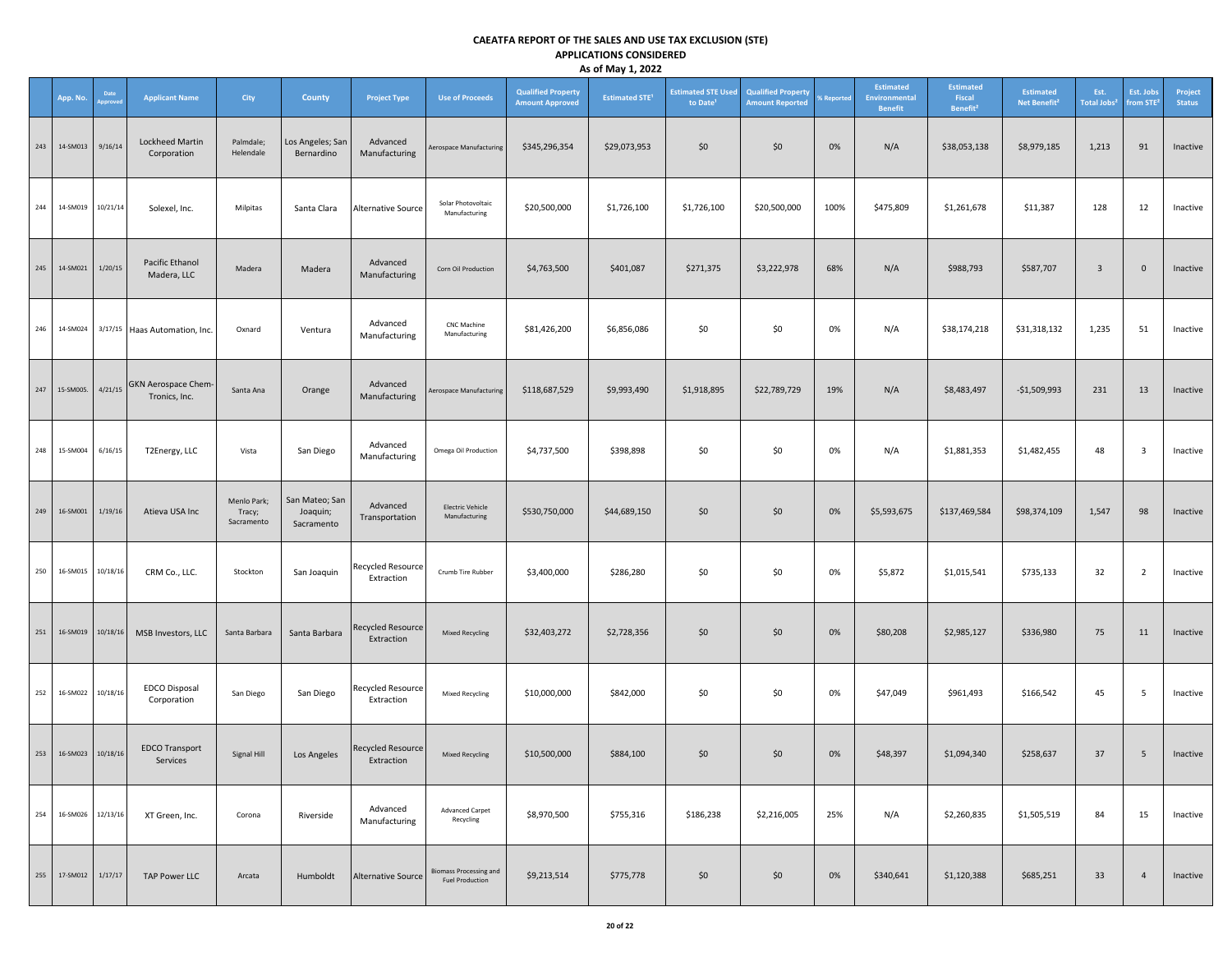|     | App. No.              | Date<br>pprove | <b>Applicant Name</b>                        | City                                | County                                   | <b>Project Type</b>                    | <b>Use of Proceeds</b>                                  | <b>Qualified Property</b><br><b>Amount Approved</b> | <b>Estimated STE<sup>1</sup></b> | <b>Estimated STE Used</b><br>to Date <sup>1</sup> | <b>Qualified Property</b><br><b>Amount Reported</b> | % Reported | Estimated<br>Environmental<br>Benefit | <b>Estimated</b><br>Fiscal<br>Benefit <sup>2</sup> | <b>Estimated</b><br>Net Benefit <sup>2</sup> | Est.<br><b>Total Jobs<sup>2</sup></b> | Est. Jobs<br>from STE <sup>2</sup> | Project<br><b>Status</b> |
|-----|-----------------------|----------------|----------------------------------------------|-------------------------------------|------------------------------------------|----------------------------------------|---------------------------------------------------------|-----------------------------------------------------|----------------------------------|---------------------------------------------------|-----------------------------------------------------|------------|---------------------------------------|----------------------------------------------------|----------------------------------------------|---------------------------------------|------------------------------------|--------------------------|
| 243 | 14-SM013              | 9/16/14        | Lockheed Martin<br>Corporation               | Palmdale;<br>Helendale              | Los Angeles; San<br>Bernardino           | Advanced<br>Manufacturing              | Aerospace Manufacturing                                 | \$345,296,354                                       | \$29,073,953                     | \$0                                               | \$0                                                 | 0%         | N/A                                   | \$38,053,138                                       | \$8,979,185                                  | 1,213                                 | 91                                 | Inactive                 |
| 244 | 14-SM019              | 10/21/14       | Solexel, Inc.                                | Milpitas                            | Santa Clara                              | Alternative Source                     | Solar Photovoltaic<br>Manufacturing                     | \$20,500,000                                        | \$1,726,100                      | \$1,726,100                                       | \$20,500,000                                        | 100%       | \$475,809                             | \$1,261,678                                        | \$11,387                                     | 128                                   | 12                                 | Inactive                 |
| 245 | 14-SM021 1/20/15      |                | Pacific Ethanol<br>Madera, LLC               | Madera                              | Madera                                   | Advanced<br>Manufacturing              | Corn Oil Production                                     | \$4,763,500                                         | \$401,087                        | \$271,375                                         | \$3,222,978                                         | 68%        | N/A                                   | \$988,793                                          | \$587,707                                    | $\overline{\mathbf{3}}$               | $\mathbf{0}$                       | Inactive                 |
|     | 246 14-SM024          |                | 3/17/15 Haas Automation, Inc.                | Oxnard                              | Ventura                                  | Advanced<br>Manufacturing              | CNC Machine<br>Manufacturing                            | \$81,426,200                                        | \$6,856,086                      | \$0                                               | \$0                                                 | 0%         | N/A                                   | \$38,174,218                                       | \$31,318,132                                 | 1,235                                 | 51                                 | Inactive                 |
|     | 247 15-SM005.         |                | 4/21/15 GKN Aerospace Chem-<br>Tronics, Inc. | Santa Ana                           | Orange                                   | Advanced<br>Manufacturing              | Aerospace Manufacturing                                 | \$118,687,529                                       | \$9,993,490                      | \$1,918,895                                       | \$22,789,729                                        | 19%        | N/A                                   | \$8,483,497                                        | $-$1,509,993$                                | 231                                   | 13                                 | Inactive                 |
| 248 | 15-SM004              | 6/16/15        | T2Energy, LLC                                | Vista                               | San Diego                                | Advanced<br>Manufacturing              | Omega Oil Production                                    | \$4,737,500                                         | \$398,898                        | \$0                                               | \$0                                                 | 0%         | N/A                                   | \$1,881,353                                        | \$1,482,455                                  | 48                                    | $\overline{\mathbf{3}}$            | Inactive                 |
| 249 | 16-SM001              | 1/19/16        | Atieva USA Inc                               | Menlo Park;<br>Tracy;<br>Sacramento | San Mateo; San<br>Joaquin;<br>Sacramento | Advanced<br>Transportation             | <b>Electric Vehicle</b><br>Manufacturing                | \$530,750,000                                       | \$44,689,150                     | \$0                                               | \$0                                                 | 0%         | \$5,593,675                           | \$137,469,584                                      | \$98,374,109                                 | 1,547                                 | 98                                 | Inactive                 |
| 250 | 16-SM015              | 10/18/16       | CRM Co., LLC.                                | Stockton                            | San Joaquin                              | <b>Recycled Resource</b><br>Extraction | Crumb Tire Rubber                                       | \$3,400,000                                         | \$286,280                        | \$0                                               | \$0                                                 | 0%         | \$5,872                               | \$1,015,541                                        | \$735,133                                    | 32                                    | $\overline{2}$                     | Inactive                 |
| 251 | 16-SM019              | 10/18/16       | MSB Investors, LLC                           | Santa Barbara                       | Santa Barbara                            | <b>Recycled Resource</b><br>Extraction | <b>Mixed Recycling</b>                                  | \$32,403,272                                        | \$2,728,356                      | \$0                                               | \$0\$                                               | 0%         | \$80,208                              | \$2,985,127                                        | \$336,980                                    | 75                                    | 11                                 | Inactive                 |
|     | 252 16-SM022          | 10/18/16       | <b>EDCO Disposal</b><br>Corporation          | San Diego                           | San Diego                                | Recycled Resource<br>Extraction        | <b>Mixed Recycling</b>                                  | \$10,000,000                                        | \$842,000                        | \$0                                               | \$0                                                 | 0%         | \$47,049                              | \$961,493                                          | \$166,542                                    | 45                                    | 5 <sub>1</sub>                     | Inactive                 |
|     | 253 16-SM023 10/18/16 |                | <b>EDCO Transport</b><br>Services            | Signal Hill                         | Los Angeles                              | Recycled Resource<br>Extraction        | <b>Mixed Recycling</b>                                  | \$10,500,000                                        | \$884,100                        | \$0                                               | \$0                                                 | 0%         | \$48,397                              | \$1,094,340                                        | \$258,637                                    | 37                                    | 5 <sub>5</sub>                     | Inactive                 |
| 254 | 16-SM026              | 12/13/16       | XT Green, Inc.                               | Corona                              | Riverside                                | Advanced<br>Manufacturing              | <b>Advanced Carpet</b><br>Recycling                     | \$8,970,500                                         | \$755,316                        | \$186,238                                         | \$2,216,005                                         | 25%        | N/A                                   | \$2,260,835                                        | \$1,505,519                                  | 84                                    | 15                                 | Inactive                 |
| 255 | 17-SM012              | 1/17/17        | <b>TAP Power LLC</b>                         | Arcata                              | Humboldt                                 | <b>Alternative Source</b>              | <b>Biomass Processing and</b><br><b>Fuel Production</b> | \$9,213,514                                         | \$775,778                        | \$0                                               | \$0                                                 | 0%         | \$340,641                             | \$1,120,388                                        | \$685,251                                    | 33                                    | 4                                  | Inactive                 |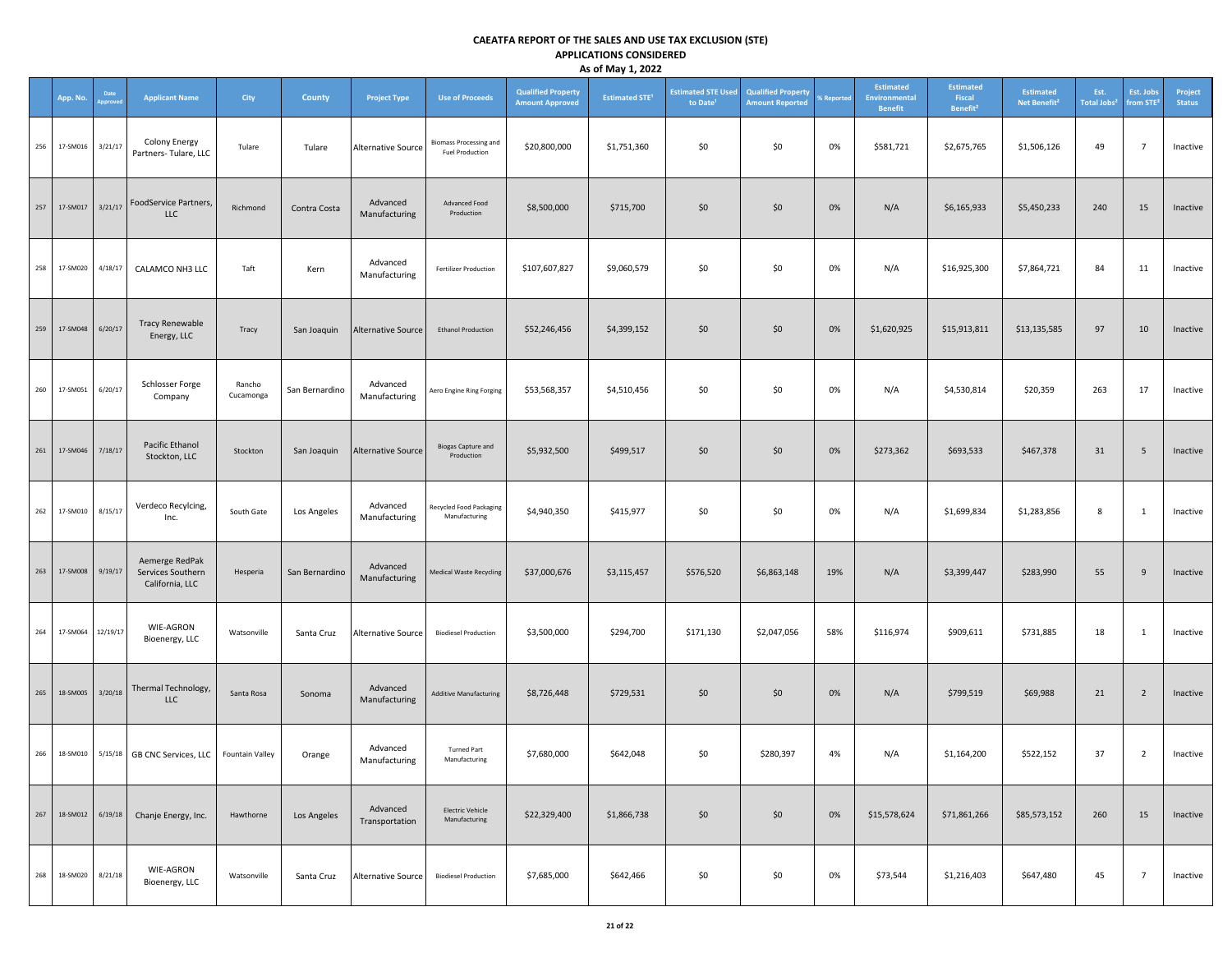|     |          |                |                                                        |                     |                |                            |                                                         |                                                     | -,                               |                                                   |                                                     |            |                                              |                                                    |                                              |                                       |                                    |                          |
|-----|----------|----------------|--------------------------------------------------------|---------------------|----------------|----------------------------|---------------------------------------------------------|-----------------------------------------------------|----------------------------------|---------------------------------------------------|-----------------------------------------------------|------------|----------------------------------------------|----------------------------------------------------|----------------------------------------------|---------------------------------------|------------------------------------|--------------------------|
|     | App. No. | Date<br>pprove | <b>Applicant Name</b>                                  | City                | County         | <b>Project Type</b>        | <b>Use of Proceeds</b>                                  | <b>Qualified Property</b><br><b>Amount Approved</b> | <b>Estimated STE<sup>1</sup></b> | <b>Estimated STE Used</b><br>to Date <sup>1</sup> | <b>Qualified Property</b><br><b>Amount Reported</b> | % Reported | Estimated<br>Environmental<br><b>Benefit</b> | <b>Estimated</b><br>Fiscal<br>Benefit <sup>2</sup> | <b>Estimated</b><br>Net Benefit <sup>2</sup> | Est.<br><b>Total Jobs<sup>2</sup></b> | Est. Jobs<br>from STE <sup>2</sup> | Project<br><b>Status</b> |
| 256 | 17-SM016 | 3/21/17        | Colony Energy<br>Partners-Tulare, LLC                  | Tulare              | Tulare         | <b>Alternative Source</b>  | <b>Biomass Processing and</b><br><b>Fuel Production</b> | \$20,800,000                                        | \$1,751,360                      | \$0                                               | \$0                                                 | 0%         | \$581,721                                    | \$2,675,765                                        | \$1,506,126                                  | 49                                    | $\overline{7}$                     | Inactive                 |
| 257 | 17-SM017 | 3/21/17        | FoodService Partners,<br>LLC                           | Richmond            | Contra Costa   | Advanced<br>Manufacturing  | Advanced Food<br>Production                             | \$8,500,000                                         | \$715,700                        | \$0                                               | \$0                                                 | 0%         | N/A                                          | \$6,165,933                                        | \$5,450,233                                  | 240                                   | 15                                 | Inactive                 |
| 258 | 17-SM020 | 4/18/17        | CALAMCO NH3 LLC                                        | Taft                | Kern           | Advanced<br>Manufacturing  | <b>Fertilizer Production</b>                            | \$107,607,827                                       | \$9,060,579                      | \$0                                               | \$0                                                 | 0%         | N/A                                          | \$16,925,300                                       | \$7,864,721                                  | 84                                    | 11                                 | Inactive                 |
| 259 | 17-SM048 | 6/20/17        | <b>Tracy Renewable</b><br>Energy, LLC                  | Tracy               | San Joaquin    | <b>Alternative Source</b>  | <b>Ethanol Production</b>                               | \$52,246,456                                        | \$4,399,152                      | \$0                                               | \$0                                                 | 0%         | \$1,620,925                                  | \$15,913,811                                       | \$13,135,585                                 | 97                                    | 10                                 | Inactive                 |
| 260 | 17-SM051 | 6/20/17        | Schlosser Forge<br>Company                             | Rancho<br>Cucamonga | San Bernardino | Advanced<br>Manufacturing  | Aero Engine Ring Forging                                | \$53,568,357                                        | \$4,510,456                      | \$0                                               | \$0                                                 | 0%         | N/A                                          | \$4,530,814                                        | \$20,359                                     | 263                                   | 17                                 | Inactive                 |
| 261 | 17-SM046 | 7/18/17        | Pacific Ethanol<br>Stockton, LLC                       | Stockton            | San Joaquin    | <b>Alternative Source</b>  | <b>Biogas Capture and</b><br>Production                 | \$5,932,500                                         | \$499,517                        | \$0                                               | \$0                                                 | 0%         | \$273,362                                    | \$693,533                                          | \$467,378                                    | 31                                    | 5                                  | Inactive                 |
| 262 | 17-SM010 | 8/15/17        | Verdeco Recylcing,<br>Inc.                             | South Gate          | Los Angeles    | Advanced<br>Manufacturing  | Recycled Food Packaging<br>Manufacturing                | \$4,940,350                                         | \$415,977                        | \$0                                               | \$0                                                 | 0%         | N/A                                          | \$1,699,834                                        | \$1,283,856                                  | 8                                     | $\mathbf{1}$                       | Inactive                 |
| 263 | 17-SM008 | 9/19/17        | Aemerge RedPak<br>Services Southern<br>California, LLC | Hesperia            | San Bernardino | Advanced<br>Manufacturing  | <b>Medical Waste Recycling</b>                          | \$37,000,676                                        | \$3,115,457                      | \$576,520                                         | \$6,863,148                                         | 19%        | N/A                                          | \$3,399,447                                        | \$283,990                                    | 55                                    | $\,9$                              | Inactive                 |
| 264 | 17-SM064 | 12/19/17       | WIE-AGRON<br>Bioenergy, LLC                            | Watsonville         | Santa Cruz     | <b>Alternative Source</b>  | <b>Biodiesel Production</b>                             | \$3,500,000                                         | \$294,700                        | \$171,130                                         | \$2,047,056                                         | 58%        | \$116,974                                    | \$909,611                                          | \$731,885                                    | 18                                    | $\mathbf{1}$                       | Inactive                 |
| 265 | 18-SM005 | 3/20/18        | Thermal Technology,<br>LLC                             | Santa Rosa          | Sonoma         | Advanced<br>Manufacturing  | <b>Additive Manufacturing</b>                           | \$8,726,448                                         | \$729,531                        | \$0                                               | \$0                                                 | 0%         | N/A                                          | \$799,519                                          | \$69,988                                     | 21                                    | $\overline{2}$                     | Inactive                 |
| 266 | 18-SM010 |                | 5/15/18 GB CNC Services, LLC                           | Fountain Valley     | Orange         | Advanced<br>Manufacturing  | <b>Turned Part</b><br>Manufacturing                     | \$7,680,000                                         | \$642,048                        | \$0                                               | \$280,397                                           | 4%         | N/A                                          | \$1,164,200                                        | \$522,152                                    | 37                                    | $\overline{2}$                     | Inactive                 |
| 267 | 18-SM012 | 6/19/18        | Chanje Energy, Inc.                                    | Hawthorne           | Los Angeles    | Advanced<br>Transportation | <b>Electric Vehicle</b><br>Manufacturing                | \$22,329,400                                        | \$1,866,738                      | \$0                                               | \$0                                                 | 0%         | \$15,578,624                                 | \$71,861,266                                       | \$85,573,152                                 | 260                                   | 15                                 | Inactive                 |
| 268 | 18-SM020 | 8/21/18        | WIE-AGRON<br>Bioenergy, LLC                            | Watsonville         | Santa Cruz     | <b>Alternative Source</b>  | <b>Biodiesel Production</b>                             | \$7,685,000                                         | \$642,466                        | \$0                                               | \$0                                                 | 0%         | \$73,544                                     | \$1,216,403                                        | \$647,480                                    | 45                                    | $\overline{7}$                     | Inactive                 |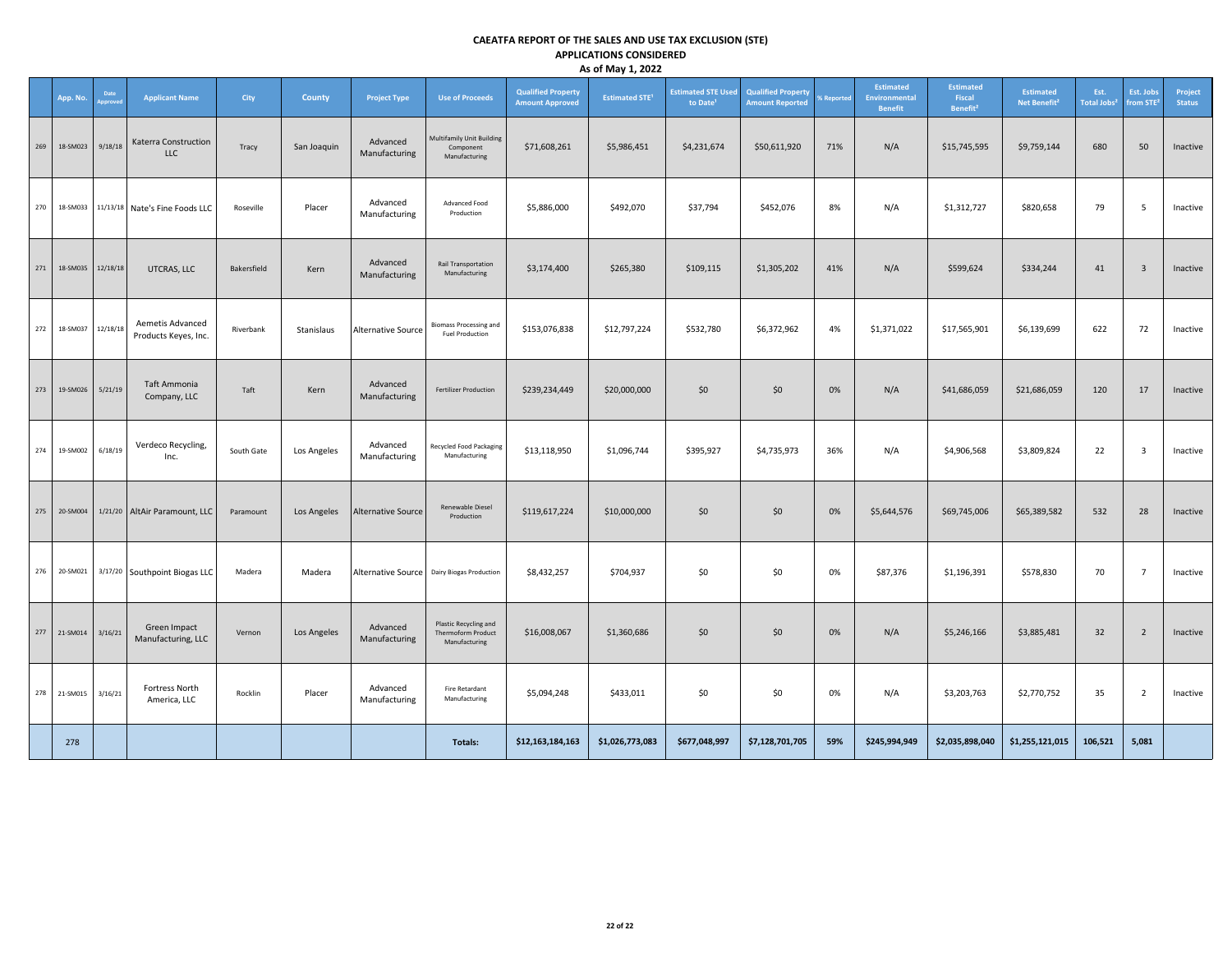|     |                      |          |                                          |             |             |                           |                                                                     |                                                     | $\sim$ $\sim$ $\sim$ $\sim$ $\sim$ $\sim$ $\sim$ |                                                   |                                                     |                               |                                                     |                                                    |                                              |                                 |                                    |                          |
|-----|----------------------|----------|------------------------------------------|-------------|-------------|---------------------------|---------------------------------------------------------------------|-----------------------------------------------------|--------------------------------------------------|---------------------------------------------------|-----------------------------------------------------|-------------------------------|-----------------------------------------------------|----------------------------------------------------|----------------------------------------------|---------------------------------|------------------------------------|--------------------------|
|     | App. No.             | Date     | <b>Applicant Name</b>                    | City        | County      | <b>Project Type</b>       | <b>Use of Proceeds</b>                                              | <b>Qualified Property</b><br><b>Amount Approved</b> | <b>Estimated STE<sup>1</sup></b>                 | <b>Estimated STE Used</b><br>to Date <sup>1</sup> | <b>Qualified Property</b><br><b>Amount Reported</b> | <b><i><u>Seported</u></i></b> | Estimated<br><b>Environmental</b><br><b>Benefit</b> | <b>Estimated</b><br>Fiscal<br>Benefit <sup>2</sup> | <b>Estimated</b><br>Net Benefit <sup>2</sup> | Est.<br>Total Jobs <sup>2</sup> | Est. Jobs<br>from STE <sup>®</sup> | Project<br><b>Status</b> |
| 269 | 18-SM023 9/18/18     |          | Katerra Construction<br><b>LLC</b>       | Tracy       | San Joaquin | Advanced<br>Manufacturing | <b>Multifamily Unit Building</b><br>Component<br>Manufacturing      | \$71,608,261                                        | \$5,986,451                                      | \$4,231,674                                       | \$50,611,920                                        | 71%                           | N/A                                                 | \$15,745,595                                       | \$9,759,144                                  | 680                             | 50                                 | Inactive                 |
| 270 | 18-SM033             |          | 11/13/18 Nate's Fine Foods LLC           | Roseville   | Placer      | Advanced<br>Manufacturing | Advanced Food<br>Production                                         | \$5,886,000                                         | \$492,070                                        | \$37,794                                          | \$452,076                                           | 8%                            | N/A                                                 | \$1,312,727                                        | \$820,658                                    | 79                              | 5                                  | Inactive                 |
| 271 | 18-SM035             | 12/18/18 | UTCRAS, LLC                              | Bakersfield | Kern        | Advanced<br>Manufacturing | Rail Transportation<br>Manufacturing                                | \$3,174,400                                         | \$265,380                                        | \$109,115                                         | \$1,305,202                                         | 41%                           | N/A                                                 | \$599,624                                          | \$334,244                                    | 41                              | $\overline{\mathbf{3}}$            | Inactive                 |
| 272 | 18-SM037 12/18/18    |          | Aemetis Advanced<br>Products Keyes, Inc. | Riverbank   | Stanislaus  | Alternative Source        | <b>Biomass Processing and</b><br>Fuel Production                    | \$153,076,838                                       | \$12,797,224                                     | \$532,780                                         | \$6,372,962                                         | 4%                            | \$1,371,022                                         | \$17,565,901                                       | \$6,139,699                                  | 622                             | 72                                 | Inactive                 |
| 273 | 19-SM026             | 5/21/19  | Taft Ammonia<br>Company, LLC             | Taft        | Kern        | Advanced<br>Manufacturing | <b>Fertilizer Production</b>                                        | \$239,234,449                                       | \$20,000,000                                     | \$0                                               | \$0                                                 | 0%                            | N/A                                                 | \$41,686,059                                       | \$21,686,059                                 | 120                             | 17                                 | Inactive                 |
|     | 274 19-SM002         | 6/18/19  | Verdeco Recycling,<br>Inc.               | South Gate  | Los Angeles | Advanced<br>Manufacturing | <b>Recycled Food Packaging</b><br>Manufacturing                     | \$13,118,950                                        | \$1,096,744                                      | \$395,927                                         | \$4,735,973                                         | 36%                           | N/A                                                 | \$4,906,568                                        | \$3,809,824                                  | 22                              | $\overline{\mathbf{3}}$            | Inactive                 |
|     | 275 20-SM004         |          | 1/21/20 AltAir Paramount, LLC            | Paramount   | Los Angeles | <b>Alternative Source</b> | Renewable Diesel<br>Production                                      | \$119,617,224                                       | \$10,000,000                                     | \$0                                               | \$0                                                 | 0%                            | \$5,644,576                                         | \$69,745,006                                       | \$65,389,582                                 | 532                             | 28                                 | Inactive                 |
|     | 276 20-SM021         |          | 3/17/20 Southpoint Biogas LLC            | Madera      | Madera      |                           | Alternative Source   Dairy Biogas Production                        | \$8,432,257                                         | \$704,937                                        | \$0                                               | \$0                                                 | 0%                            | \$87,376                                            | \$1,196,391                                        | \$578,830                                    | 70                              | $7\overline{ }$                    | Inactive                 |
|     | 277 21-SM014 3/16/21 |          | Green Impact<br>Manufacturing, LLC       | Vernon      | Los Angeles | Advanced<br>Manufacturing | Plastic Recycling and<br><b>Thermoform Product</b><br>Manufacturing | \$16,008,067                                        | \$1,360,686                                      | \$0                                               | \$0                                                 | 0%                            | N/A                                                 | \$5,246,166                                        | \$3,885,481                                  | 32                              | $\overline{2}$                     | Inactive                 |
|     | 278 21-SM015         | 3/16/21  | Fortress North<br>America, LLC           | Rocklin     | Placer      | Advanced<br>Manufacturing | <b>Fire Retardant</b><br>Manufacturing                              | \$5,094,248                                         | \$433,011                                        | \$0                                               | \$0                                                 | 0%                            | N/A                                                 | \$3,203,763                                        | \$2,770,752                                  | 35                              | $\overline{2}$                     | Inactive                 |
|     | 278                  |          |                                          |             |             |                           | Totals:                                                             | \$12,163,184,163                                    | \$1,026,773,083                                  | \$677,048,997                                     | \$7,128,701,705                                     | 59%                           | \$245,994,949                                       | \$2,035,898,040                                    | \$1,255,121,015                              | 106,521                         | 5,081                              |                          |